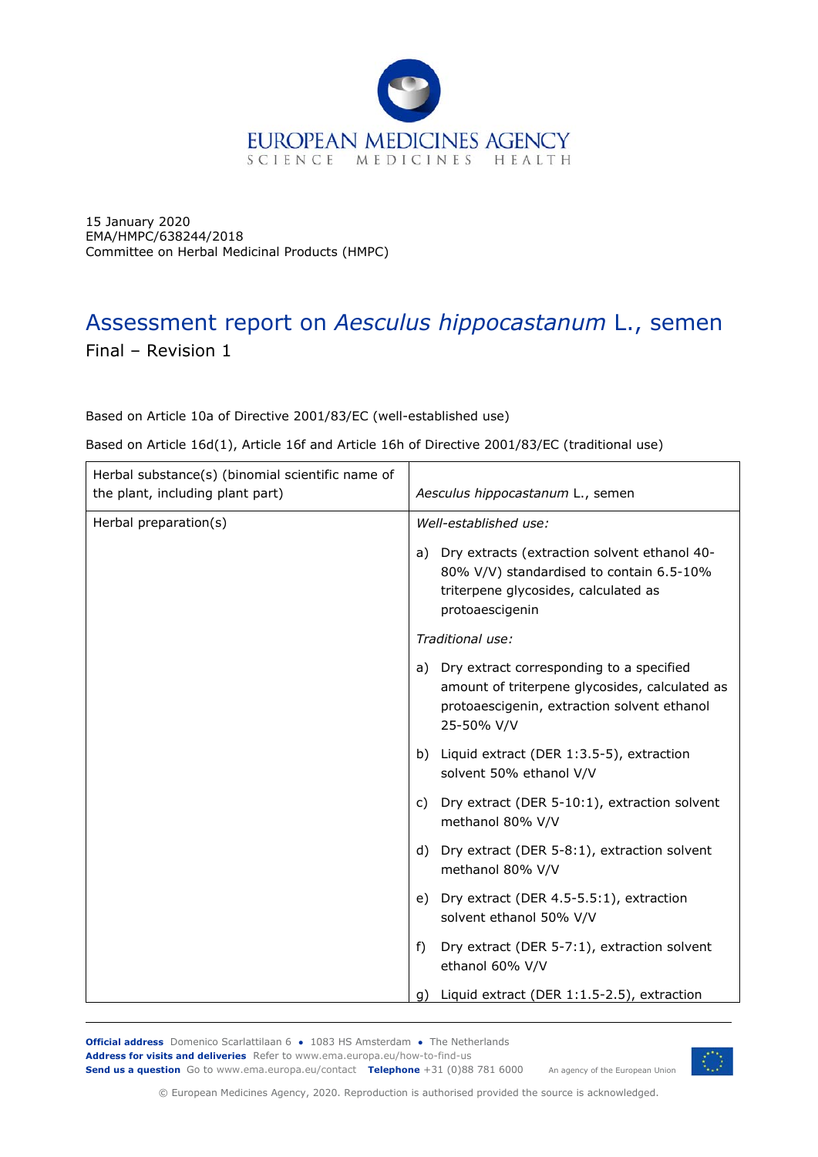

15 January 2020 EMA/HMPC/638244/2018 Committee on Herbal Medicinal Products (HMPC)

# Assessment report on *Aesculus hippocastanum* L., semen Final – Revision 1

Based on Article 10a of Directive 2001/83/EC (well-established use)

Based on Article 16d(1), Article 16f and Article 16h of Directive 2001/83/EC (traditional use)

| Herbal substance(s) (binomial scientific name of<br>the plant, including plant part) | Aesculus hippocastanum L., semen                                                                                                                           |
|--------------------------------------------------------------------------------------|------------------------------------------------------------------------------------------------------------------------------------------------------------|
| Herbal preparation(s)                                                                | Well-established use:                                                                                                                                      |
|                                                                                      | a) Dry extracts (extraction solvent ethanol 40-<br>80% V/V) standardised to contain 6.5-10%<br>triterpene glycosides, calculated as<br>protoaescigenin     |
|                                                                                      | Traditional use:                                                                                                                                           |
|                                                                                      | a) Dry extract corresponding to a specified<br>amount of triterpene glycosides, calculated as<br>protoaescigenin, extraction solvent ethanol<br>25-50% V/V |
|                                                                                      | b) Liquid extract (DER 1:3.5-5), extraction<br>solvent 50% ethanol V/V                                                                                     |
|                                                                                      | Dry extract (DER 5-10:1), extraction solvent<br>C)<br>methanol 80% V/V                                                                                     |
|                                                                                      | Dry extract (DER 5-8:1), extraction solvent<br>d)<br>methanol 80% V/V                                                                                      |
|                                                                                      | e) Dry extract (DER 4.5-5.5:1), extraction<br>solvent ethanol 50% V/V                                                                                      |
|                                                                                      | f)<br>Dry extract (DER 5-7:1), extraction solvent<br>ethanol 60% V/V                                                                                       |
|                                                                                      | Liquid extract (DER 1:1.5-2.5), extraction<br>g)                                                                                                           |

**Official address** Domenico Scarlattilaan 6 **●** 1083 HS Amsterdam **●** The Netherlands An agency of the European Union **Address for visits and deliveries** Refer to www.ema.europa.eu/how-to-find-us **Send us a question** Go to www.ema.europa.eu/contact **Telephone** +31 (0)88 781 6000



© European Medicines Agency, 2020. Reproduction is authorised provided the source is acknowledged.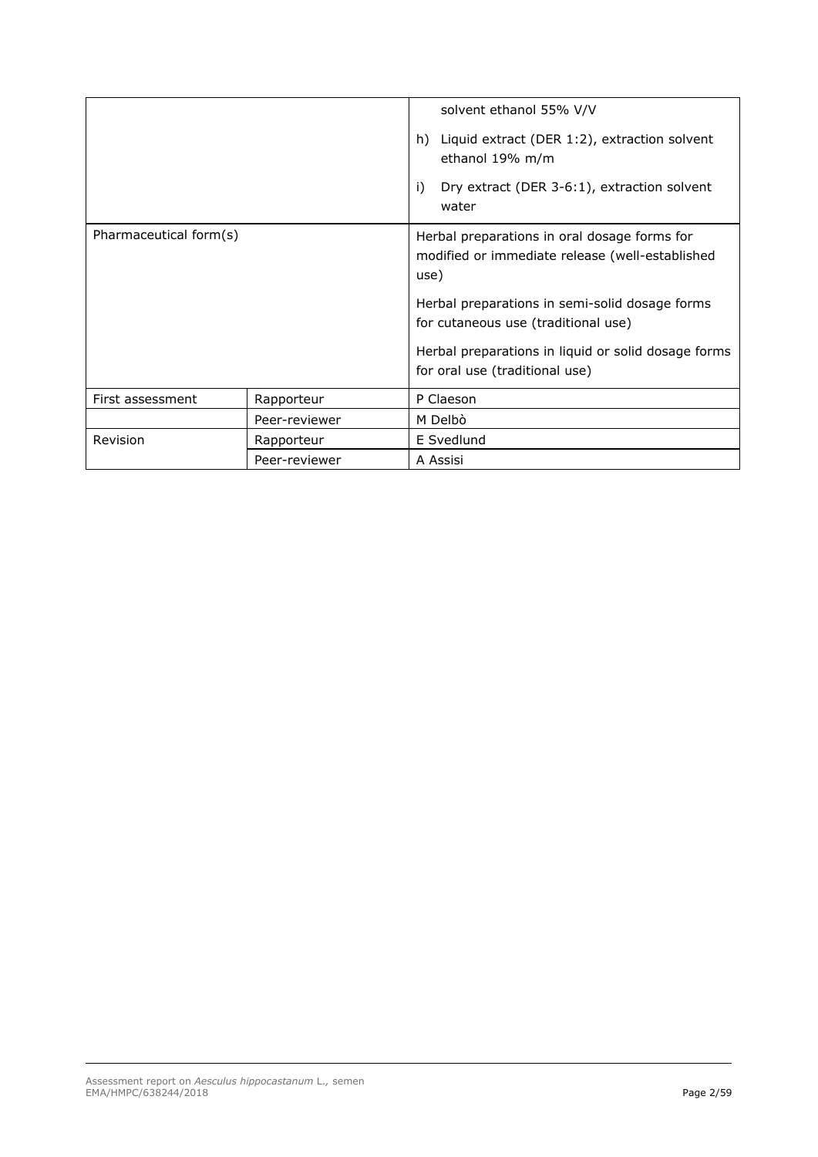|                        |               | solvent ethanol 55% V/V<br>Liquid extract (DER 1:2), extraction solvent<br>h)<br>ethanol 19% m/m<br>i)<br>Dry extract (DER 3-6:1), extraction solvent<br>water                                                                                                                            |  |
|------------------------|---------------|-------------------------------------------------------------------------------------------------------------------------------------------------------------------------------------------------------------------------------------------------------------------------------------------|--|
| Pharmaceutical form(s) |               | Herbal preparations in oral dosage forms for<br>modified or immediate release (well-established<br>use)<br>Herbal preparations in semi-solid dosage forms<br>for cutaneous use (traditional use)<br>Herbal preparations in liquid or solid dosage forms<br>for oral use (traditional use) |  |
| First assessment       | Rapporteur    | P Claeson                                                                                                                                                                                                                                                                                 |  |
|                        | Peer-reviewer | M Delbò                                                                                                                                                                                                                                                                                   |  |
| Revision               | Rapporteur    | E Svedlund                                                                                                                                                                                                                                                                                |  |
|                        | Peer-reviewer | A Assisi                                                                                                                                                                                                                                                                                  |  |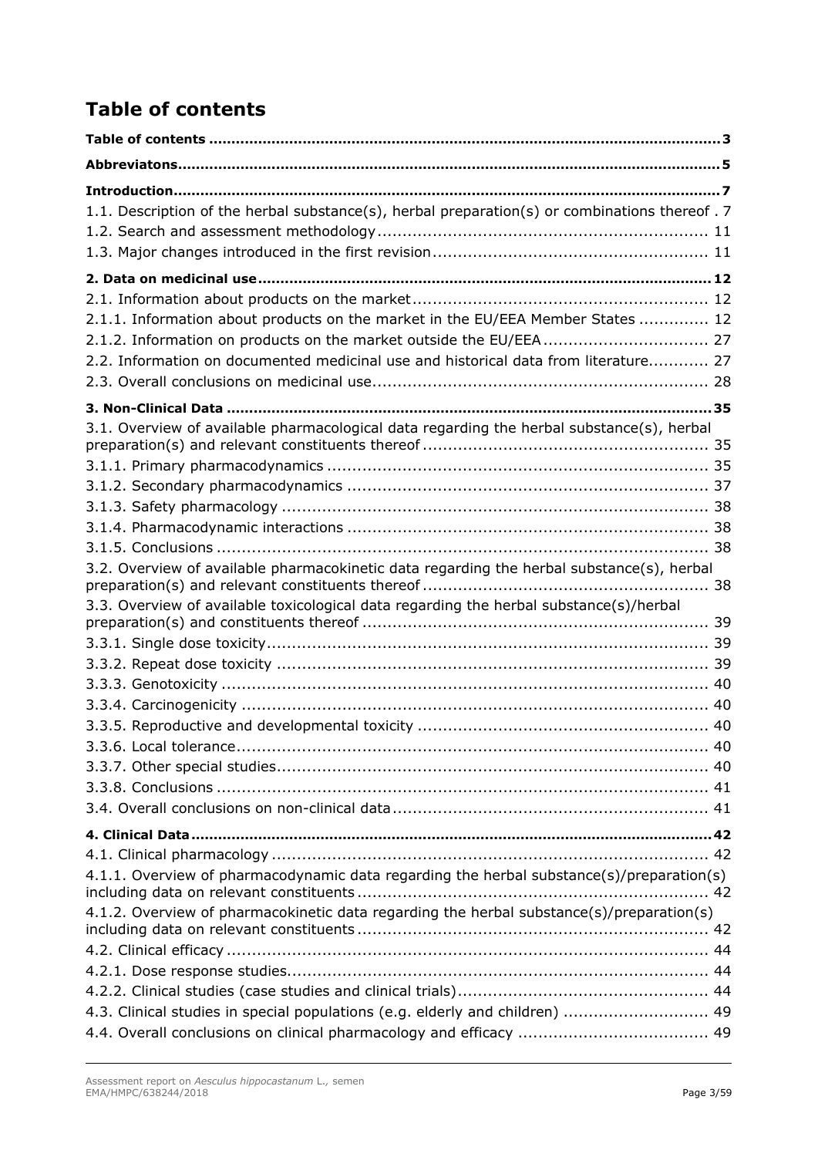# **Table of contents**

| 1.1. Description of the herbal substance(s), herbal preparation(s) or combinations thereof . 7 |  |
|------------------------------------------------------------------------------------------------|--|
|                                                                                                |  |
|                                                                                                |  |
|                                                                                                |  |
|                                                                                                |  |
| 2.1.1. Information about products on the market in the EU/EEA Member States  12                |  |
|                                                                                                |  |
| 2.2. Information on documented medicinal use and historical data from literature 27            |  |
|                                                                                                |  |
|                                                                                                |  |
| 3.1. Overview of available pharmacological data regarding the herbal substance(s), herbal      |  |
|                                                                                                |  |
|                                                                                                |  |
|                                                                                                |  |
|                                                                                                |  |
|                                                                                                |  |
| 3.2. Overview of available pharmacokinetic data regarding the herbal substance(s), herbal      |  |
| 3.3. Overview of available toxicological data regarding the herbal substance(s)/herbal         |  |
|                                                                                                |  |
|                                                                                                |  |
|                                                                                                |  |
|                                                                                                |  |
|                                                                                                |  |
|                                                                                                |  |
|                                                                                                |  |
|                                                                                                |  |
|                                                                                                |  |
|                                                                                                |  |
|                                                                                                |  |
|                                                                                                |  |
| 4.1.1. Overview of pharmacodynamic data regarding the herbal substance(s)/preparation(s)       |  |
| 4.1.2. Overview of pharmacokinetic data regarding the herbal substance(s)/preparation(s)       |  |
|                                                                                                |  |
|                                                                                                |  |
|                                                                                                |  |
| 4.3. Clinical studies in special populations (e.g. elderly and children)  49                   |  |
|                                                                                                |  |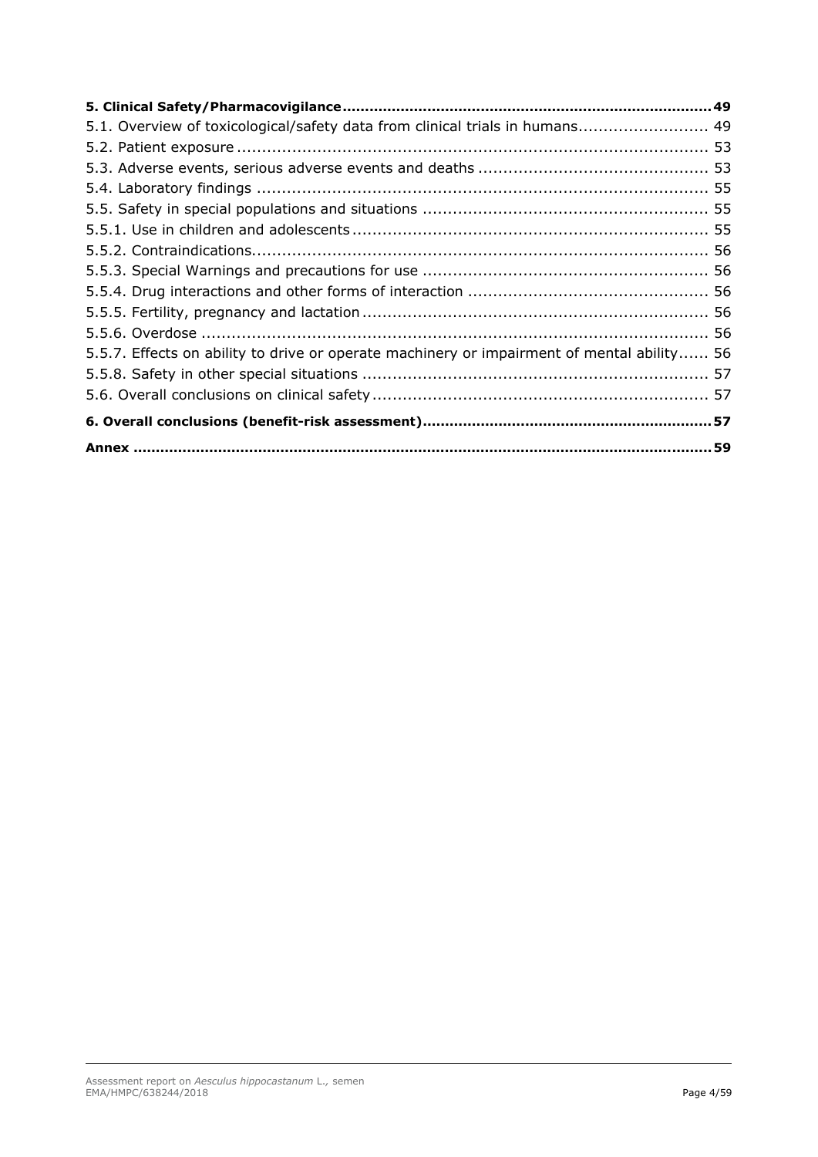| 5.1. Overview of toxicological/safety data from clinical trials in humans 49               |  |
|--------------------------------------------------------------------------------------------|--|
|                                                                                            |  |
|                                                                                            |  |
|                                                                                            |  |
|                                                                                            |  |
|                                                                                            |  |
|                                                                                            |  |
|                                                                                            |  |
|                                                                                            |  |
|                                                                                            |  |
|                                                                                            |  |
| 5.5.7. Effects on ability to drive or operate machinery or impairment of mental ability 56 |  |
|                                                                                            |  |
|                                                                                            |  |
|                                                                                            |  |
|                                                                                            |  |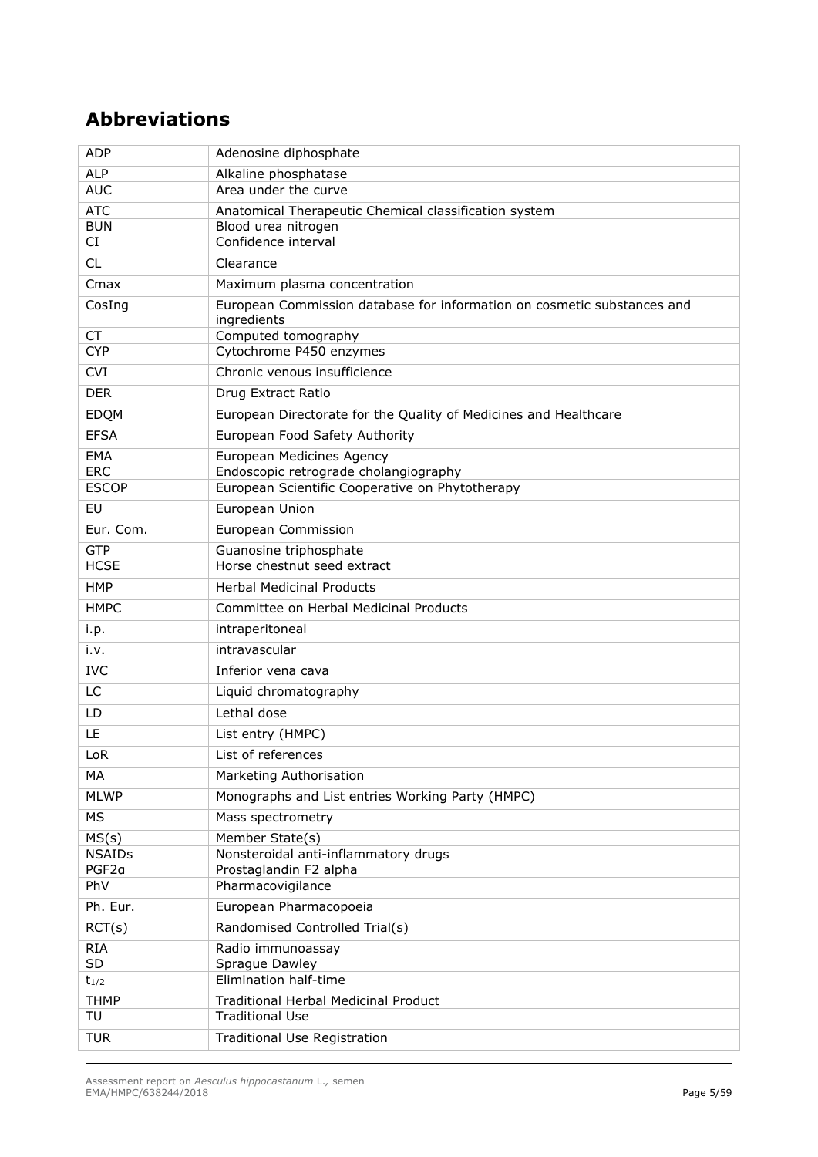# **Abbreviations**

| <b>ADP</b>        | Adenosine diphosphate                                                                  |
|-------------------|----------------------------------------------------------------------------------------|
| <b>ALP</b>        | Alkaline phosphatase                                                                   |
| <b>AUC</b>        | Area under the curve                                                                   |
| <b>ATC</b>        | Anatomical Therapeutic Chemical classification system                                  |
| <b>BUN</b>        | Blood urea nitrogen<br>Confidence interval                                             |
| CI                |                                                                                        |
| <b>CL</b>         | Clearance                                                                              |
| Cmax              | Maximum plasma concentration                                                           |
| CosIng            | European Commission database for information on cosmetic substances and<br>ingredients |
| <b>CT</b>         | Computed tomography                                                                    |
| <b>CYP</b>        | Cytochrome P450 enzymes                                                                |
| <b>CVI</b>        | Chronic venous insufficience                                                           |
| <b>DER</b>        | Drug Extract Ratio                                                                     |
| EDQM              | European Directorate for the Quality of Medicines and Healthcare                       |
| <b>EFSA</b>       | European Food Safety Authority                                                         |
| EMA               | European Medicines Agency                                                              |
| <b>ERC</b>        | Endoscopic retrograde cholangiography                                                  |
| <b>ESCOP</b>      | European Scientific Cooperative on Phytotherapy                                        |
| EU                | European Union                                                                         |
| Eur. Com.         | <b>European Commission</b>                                                             |
| <b>GTP</b>        | Guanosine triphosphate                                                                 |
| <b>HCSE</b>       | Horse chestnut seed extract                                                            |
| <b>HMP</b>        | <b>Herbal Medicinal Products</b>                                                       |
| <b>HMPC</b>       | Committee on Herbal Medicinal Products                                                 |
| i.p.              | intraperitoneal                                                                        |
| i.v.              | intravascular                                                                          |
| <b>IVC</b>        | Inferior vena cava                                                                     |
| <b>LC</b>         | Liquid chromatography                                                                  |
| LD.               | Lethal dose                                                                            |
| LE                | List entry (HMPC)                                                                      |
| LoR               | List of references                                                                     |
| МA                | Marketing Authorisation                                                                |
| <b>MLWP</b>       | Monographs and List entries Working Party (HMPC)                                       |
| <b>MS</b>         | Mass spectrometry                                                                      |
| MS(s)             | Member State(s)                                                                        |
| <b>NSAIDs</b>     | Nonsteroidal anti-inflammatory drugs                                                   |
| PGF <sub>2a</sub> | Prostaglandin F2 alpha                                                                 |
| PhV               | Pharmacovigilance                                                                      |
| Ph. Eur.          | European Pharmacopoeia                                                                 |
| RCT(s)            | Randomised Controlled Trial(s)                                                         |
| <b>RIA</b>        | Radio immunoassay                                                                      |
| SD                | Sprague Dawley                                                                         |
| $t_{1/2}$         | Elimination half-time                                                                  |
| <b>THMP</b>       | Traditional Herbal Medicinal Product                                                   |
| TU                | <b>Traditional Use</b>                                                                 |
| <b>TUR</b>        | <b>Traditional Use Registration</b>                                                    |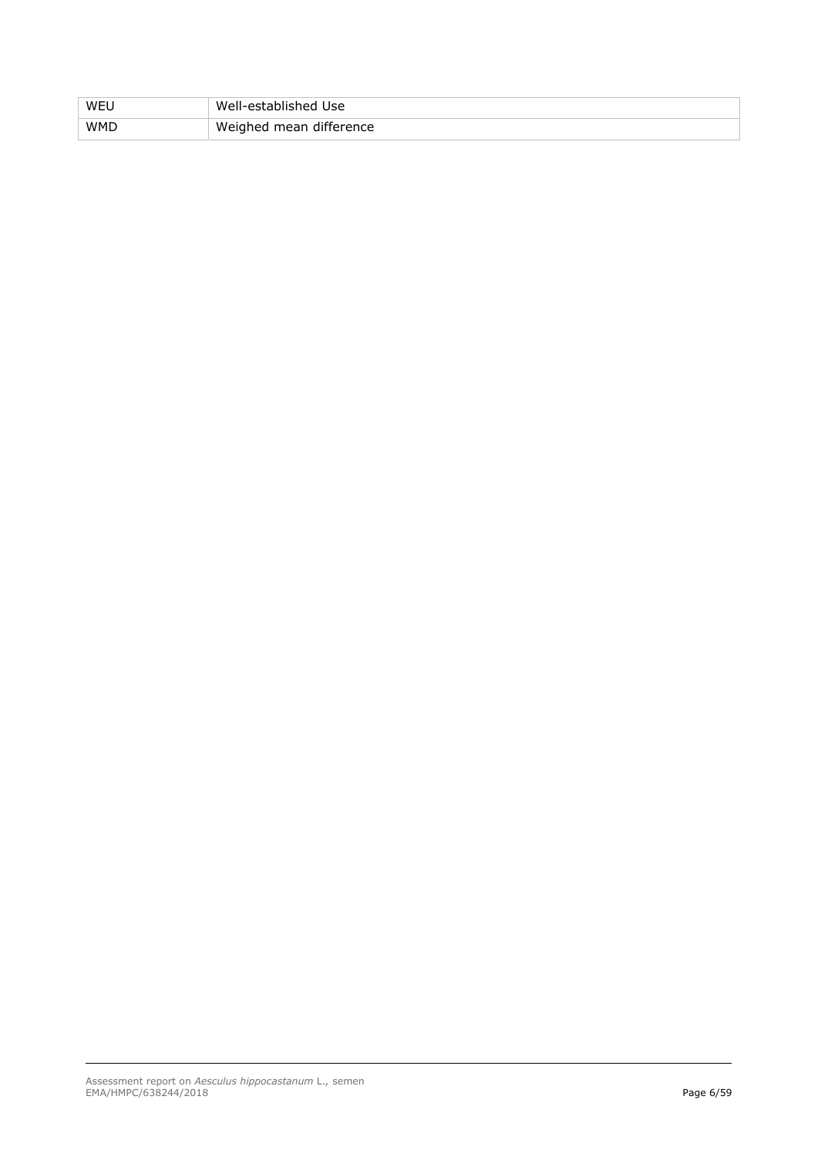| WEU        | Well-established Use    |
|------------|-------------------------|
| <b>WMD</b> | Weighed mean difference |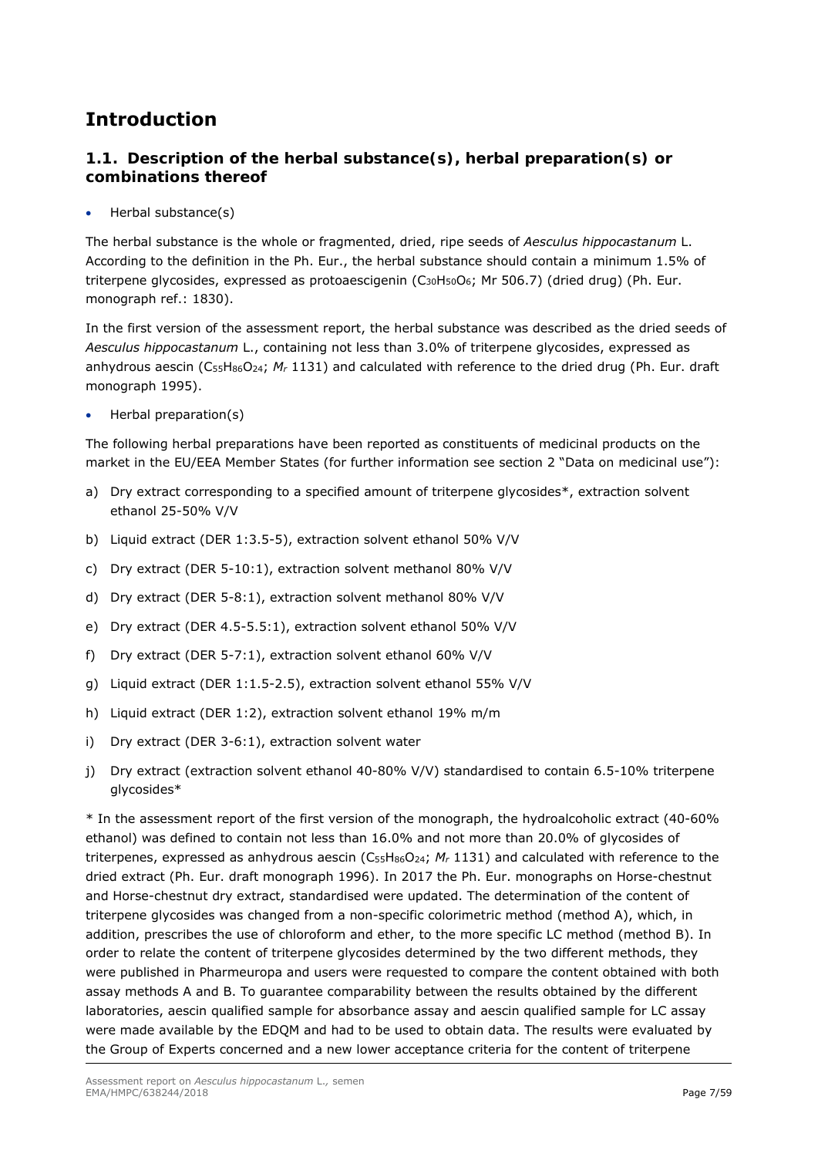# **Introduction**

# *1.1. Description of the herbal substance(s), herbal preparation(s) or combinations thereof*

Herbal substance(s)

The herbal substance is the whole or fragmented, dried, ripe seeds of *Aesculus hippocastanum* L. According to the definition in the Ph. Eur., the herbal substance should contain a minimum 1.5% of triterpene glycosides, expressed as protoaescigenin (C<sub>30</sub>H<sub>50</sub>O<sub>6</sub>; Mr 506.7) (dried drug) (Ph. Eur. monograph ref.: 1830).

In the first version of the assessment report, the herbal substance was described as the dried seeds of *Aesculus hippocastanum* L., containing not less than 3.0% of triterpene glycosides, expressed as anhydrous aescin (C55H86O24; *Mr* 1131) and calculated with reference to the dried drug (Ph. Eur. draft monograph 1995).

Herbal preparation(s)

The following herbal preparations have been reported as constituents of medicinal products on the market in the EU/EEA Member States (for further information see section 2 "Data on medicinal use"):

- a) Dry extract corresponding to a specified amount of triterpene glycosides\*, extraction solvent ethanol 25-50% V/V
- b) Liquid extract (DER 1:3.5-5), extraction solvent ethanol 50% V/V
- c) Dry extract (DER 5-10:1), extraction solvent methanol 80% V/V
- d) Dry extract (DER 5-8:1), extraction solvent methanol 80% V/V
- e) Dry extract (DER 4.5-5.5:1), extraction solvent ethanol 50% V/V
- f) Dry extract (DER 5-7:1), extraction solvent ethanol 60% V/V
- g) Liquid extract (DER 1:1.5-2.5), extraction solvent ethanol 55% V/V
- h) Liquid extract (DER 1:2), extraction solvent ethanol 19% m/m
- i) Dry extract (DER 3-6:1), extraction solvent water
- j) Dry extract (extraction solvent ethanol 40-80% V/V) standardised to contain 6.5-10% triterpene glycosides\*

\* In the assessment report of the first version of the monograph, the hydroalcoholic extract (40-60% ethanol) was defined to contain not less than 16.0% and not more than 20.0% of glycosides of triterpenes, expressed as anhydrous aescin (C<sub>55</sub>H<sub>86</sub>O<sub>24</sub>; *M<sub>r</sub>* 1131) and calculated with reference to the dried extract (Ph. Eur. draft monograph 1996). In 2017 the Ph. Eur. monographs on Horse-chestnut and Horse-chestnut dry extract, standardised were updated. The determination of the content of triterpene glycosides was changed from a non-specific colorimetric method (method A), which, in addition, prescribes the use of chloroform and ether, to the more specific LC method (method B). In order to relate the content of triterpene glycosides determined by the two different methods, they were published in Pharmeuropa and users were requested to compare the content obtained with both assay methods A and B. To guarantee comparability between the results obtained by the different laboratories, aescin qualified sample for absorbance assay and aescin qualified sample for LC assay were made available by the EDQM and had to be used to obtain data. The results were evaluated by the Group of Experts concerned and a new lower acceptance criteria for the content of triterpene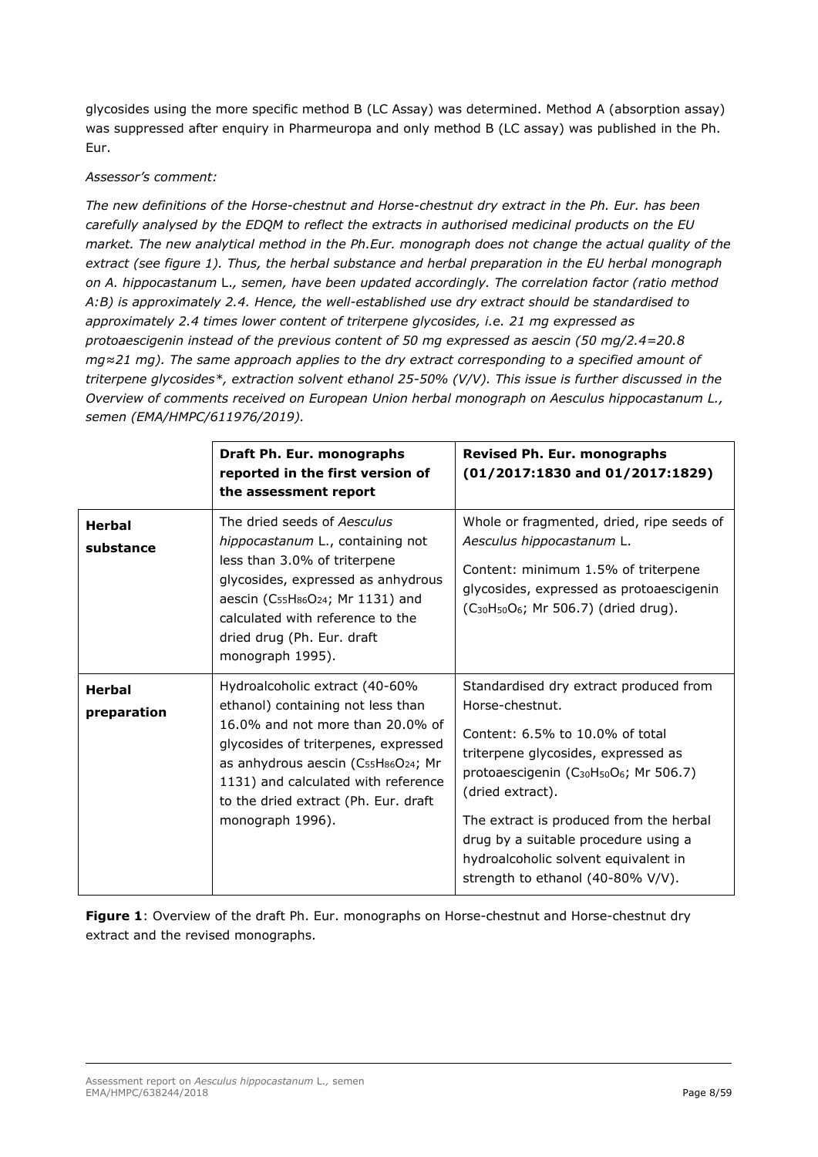glycosides using the more specific method B (LC Assay) was determined. Method A (absorption assay) was suppressed after enquiry in Pharmeuropa and only method B (LC assay) was published in the Ph. Eur.

### *Assessor's comment:*

*The new definitions of the Horse-chestnut and Horse-chestnut dry extract in the Ph. Eur. has been carefully analysed by the EDQM to reflect the extracts in authorised medicinal products on the EU market. The new analytical method in the Ph.Eur. monograph does not change the actual quality of the extract (see figure 1). Thus, the herbal substance and herbal preparation in the EU herbal monograph on A. hippocastanum* L.*, semen, have been updated accordingly. The correlation factor (ratio method A:B) is approximately 2.4. Hence, the well-established use dry extract should be standardised to approximately 2.4 times lower content of triterpene glycosides, i.e. 21 mg expressed as protoaescigenin instead of the previous content of 50 mg expressed as aescin (50 mg/2.4=20.8 mg≈21 mg). The same approach applies to the dry extract corresponding to a specified amount of triterpene glycosides\*, extraction solvent ethanol 25-50% (V/V). This issue is further discussed in the Overview of comments received on European Union herbal monograph on Aesculus hippocastanum L., semen (EMA/HMPC/611976/2019).* 

|                              | Draft Ph. Eur. monographs<br>reported in the first version of<br>the assessment report                                                                                                                                                                                                                | <b>Revised Ph. Eur. monographs</b><br>$(01/2017:1830$ and $01/2017:1829)$                                                                                                                                                                                                                                                                                                                              |
|------------------------------|-------------------------------------------------------------------------------------------------------------------------------------------------------------------------------------------------------------------------------------------------------------------------------------------------------|--------------------------------------------------------------------------------------------------------------------------------------------------------------------------------------------------------------------------------------------------------------------------------------------------------------------------------------------------------------------------------------------------------|
| <b>Herbal</b><br>substance   | The dried seeds of Aesculus<br>hippocastanum L., containing not<br>less than 3.0% of triterpene<br>glycosides, expressed as anhydrous<br>aescin (C <sub>55</sub> H <sub>86</sub> O <sub>24</sub> ; Mr 1131) and<br>calculated with reference to the<br>dried drug (Ph. Eur. draft<br>monograph 1995). | Whole or fragmented, dried, ripe seeds of<br>Aesculus hippocastanum L.<br>Content: minimum 1.5% of triterpene<br>glycosides, expressed as protoaescigenin<br>(C <sub>30</sub> H <sub>50</sub> O <sub>6</sub> ; Mr 506.7) (dried drug).                                                                                                                                                                 |
| <b>Herbal</b><br>preparation | Hydroalcoholic extract (40-60%<br>ethanol) containing not less than<br>16.0% and not more than 20.0% of<br>glycosides of triterpenes, expressed<br>as anhydrous aescin (C55H86O24; Mr<br>1131) and calculated with reference<br>to the dried extract (Ph. Eur. draft<br>monograph 1996).              | Standardised dry extract produced from<br>Horse-chestnut.<br>Content: 6.5% to 10.0% of total<br>triterpene glycosides, expressed as<br>protoaescigenin (C <sub>30</sub> H <sub>50</sub> O <sub>6</sub> ; Mr 506.7)<br>(dried extract).<br>The extract is produced from the herbal<br>drug by a suitable procedure using a<br>hydroalcoholic solvent equivalent in<br>strength to ethanol (40-80% V/V). |

Figure 1: Overview of the draft Ph. Eur. monographs on Horse-chestnut and Horse-chestnut dry extract and the revised monographs.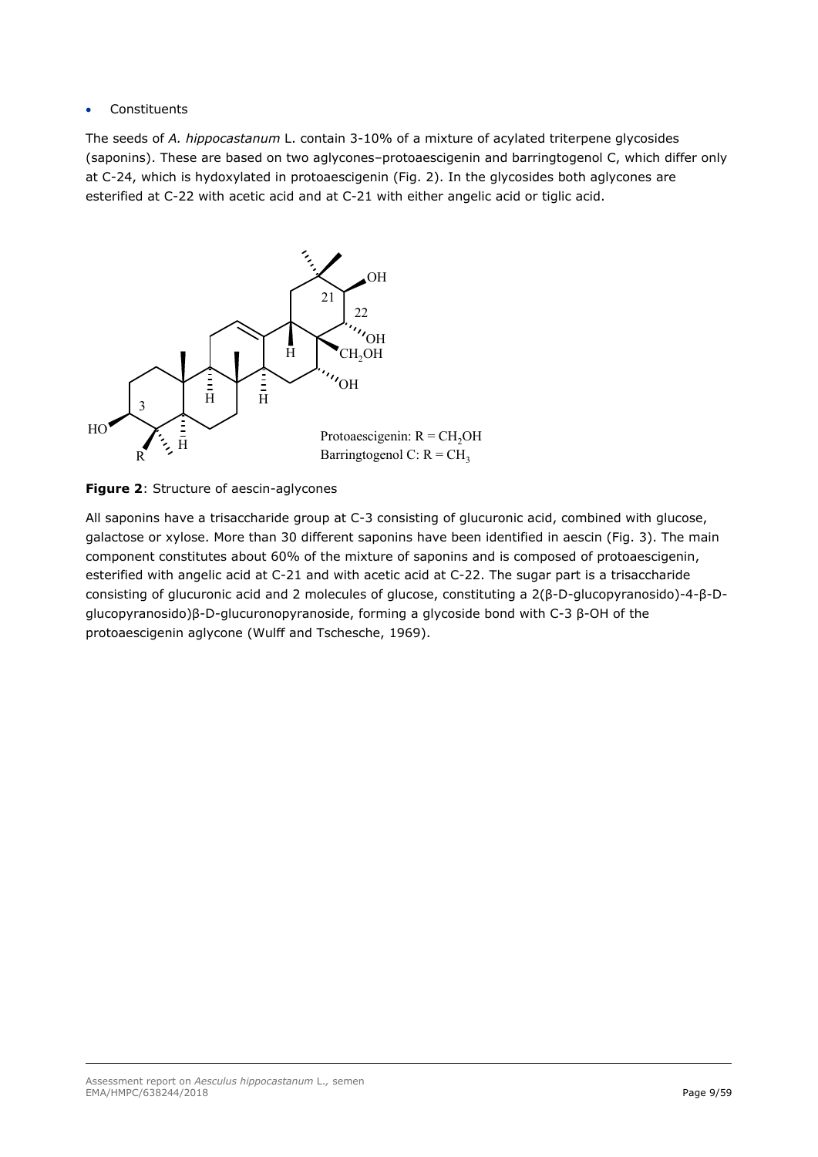## Constituents

The seeds of *A. hippocastanum* L. contain 3-10% of a mixture of acylated triterpene glycosides (saponins). These are based on two aglycones–protoaescigenin and barringtogenol C, which differ only at C-24, which is hydoxylated in protoaescigenin (Fig. 2). In the glycosides both aglycones are esterified at C-22 with acetic acid and at C-21 with either angelic acid or tiglic acid.





All saponins have a trisaccharide group at C-3 consisting of glucuronic acid, combined with glucose, galactose or xylose. More than 30 different saponins have been identified in aescin (Fig. 3). The main component constitutes about 60% of the mixture of saponins and is composed of protoaescigenin, esterified with angelic acid at C-21 and with acetic acid at C-22. The sugar part is a trisaccharide consisting of glucuronic acid and 2 molecules of glucose, constituting a 2(β-D-glucopyranosido)-4-β-Dglucopyranosido)β-D-glucuronopyranoside, forming a glycoside bond with C-3 β-OH of the protoaescigenin aglycone (Wulff and Tschesche, 1969).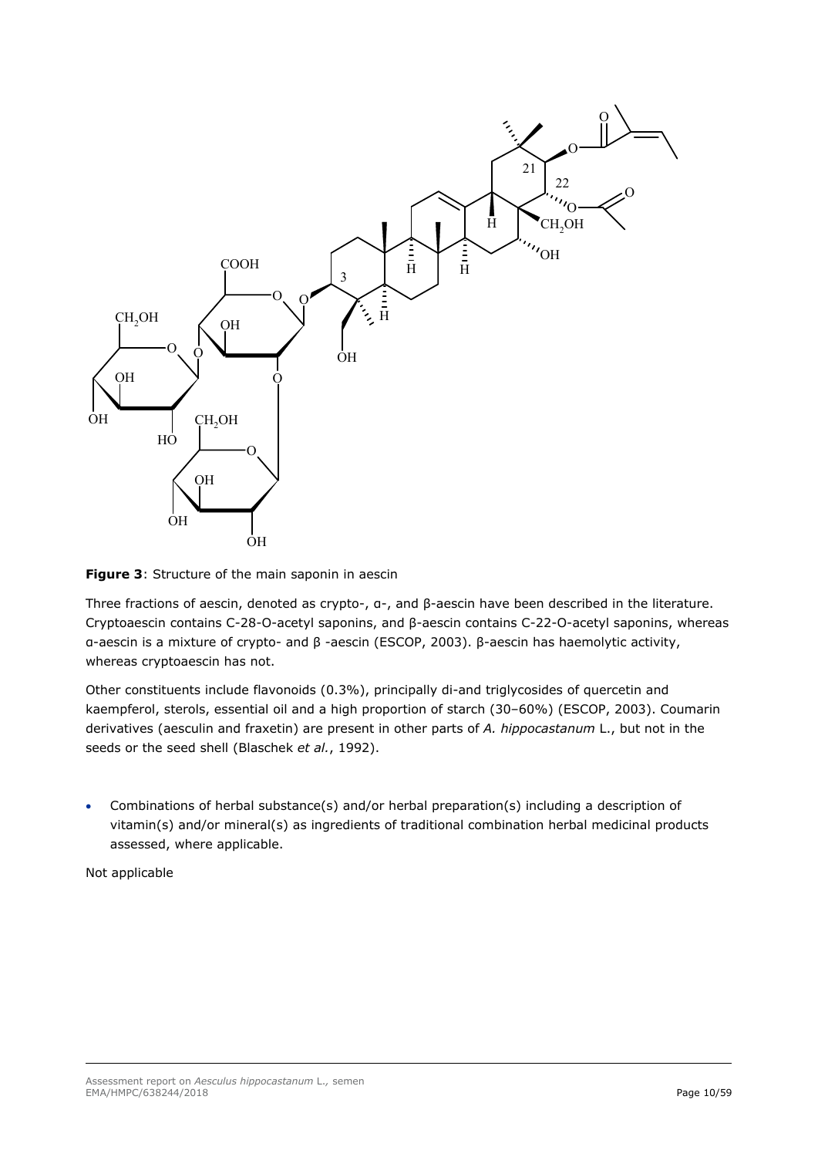

**Figure 3**: Structure of the main saponin in aescin

Three fractions of aescin, denoted as crypto-, α-, and β-aescin have been described in the literature. Cryptoaescin contains C-28-O-acetyl saponins, and β-aescin contains C-22-O-acetyl saponins, whereas α-aescin is a mixture of crypto- and β -aescin (ESCOP, 2003). β-aescin has haemolytic activity, whereas cryptoaescin has not.

Other constituents include flavonoids (0.3%), principally di-and triglycosides of quercetin and kaempferol, sterols, essential oil and a high proportion of starch (30–60%) (ESCOP, 2003). Coumarin derivatives (aesculin and fraxetin) are present in other parts of *A. hippocastanum* L., but not in the seeds or the seed shell (Blaschek *et al.*, 1992).

 Combinations of herbal substance(s) and/or herbal preparation(s) including a description of vitamin(s) and/or mineral(s) as ingredients of traditional combination herbal medicinal products assessed, where applicable.

Not applicable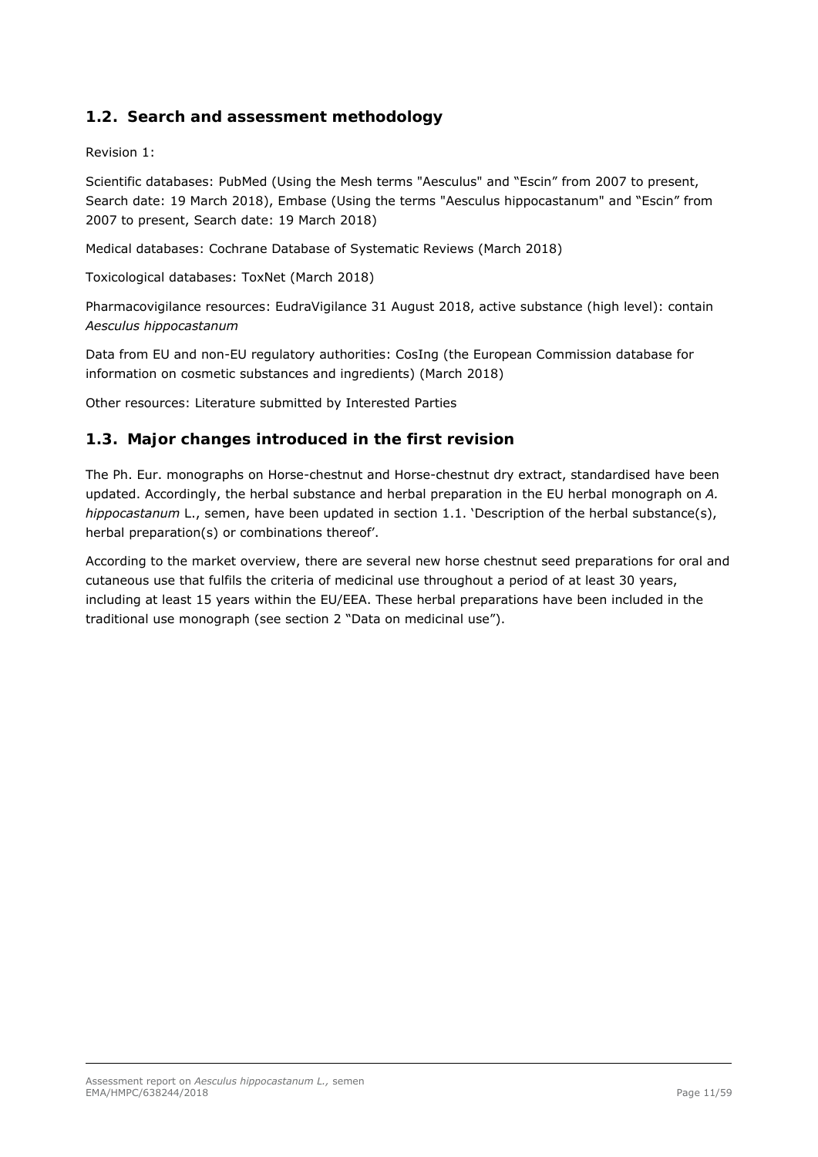# *1.2. Search and assessment methodology*

Revision 1:

Scientific databases: PubMed (Using the Mesh terms "Aesculus" and "Escin" from 2007 to present, Search date: 19 March 2018), Embase (Using the terms "Aesculus hippocastanum" and "Escin" from 2007 to present, Search date: 19 March 2018)

Medical databases: Cochrane Database of Systematic Reviews (March 2018)

Toxicological databases: ToxNet (March 2018)

Pharmacovigilance resources: EudraVigilance 31 August 2018, active substance (high level): contain *Aesculus hippocastanum*

Data from EU and non-EU regulatory authorities: CosIng (the European Commission database for information on cosmetic substances and ingredients) (March 2018)

Other resources: Literature submitted by Interested Parties

# *1.3. Major changes introduced in the first revision*

The Ph. Eur. monographs on Horse-chestnut and Horse-chestnut dry extract, standardised have been updated. Accordingly, the herbal substance and herbal preparation in the EU herbal monograph on *A. hippocastanum* L., semen, have been updated in section 1.1. 'Description of the herbal substance(s), herbal preparation(s) or combinations thereof'.

According to the market overview, there are several new horse chestnut seed preparations for oral and cutaneous use that fulfils the criteria of medicinal use throughout a period of at least 30 years, including at least 15 years within the EU/EEA. These herbal preparations have been included in the traditional use monograph (see section 2 "Data on medicinal use").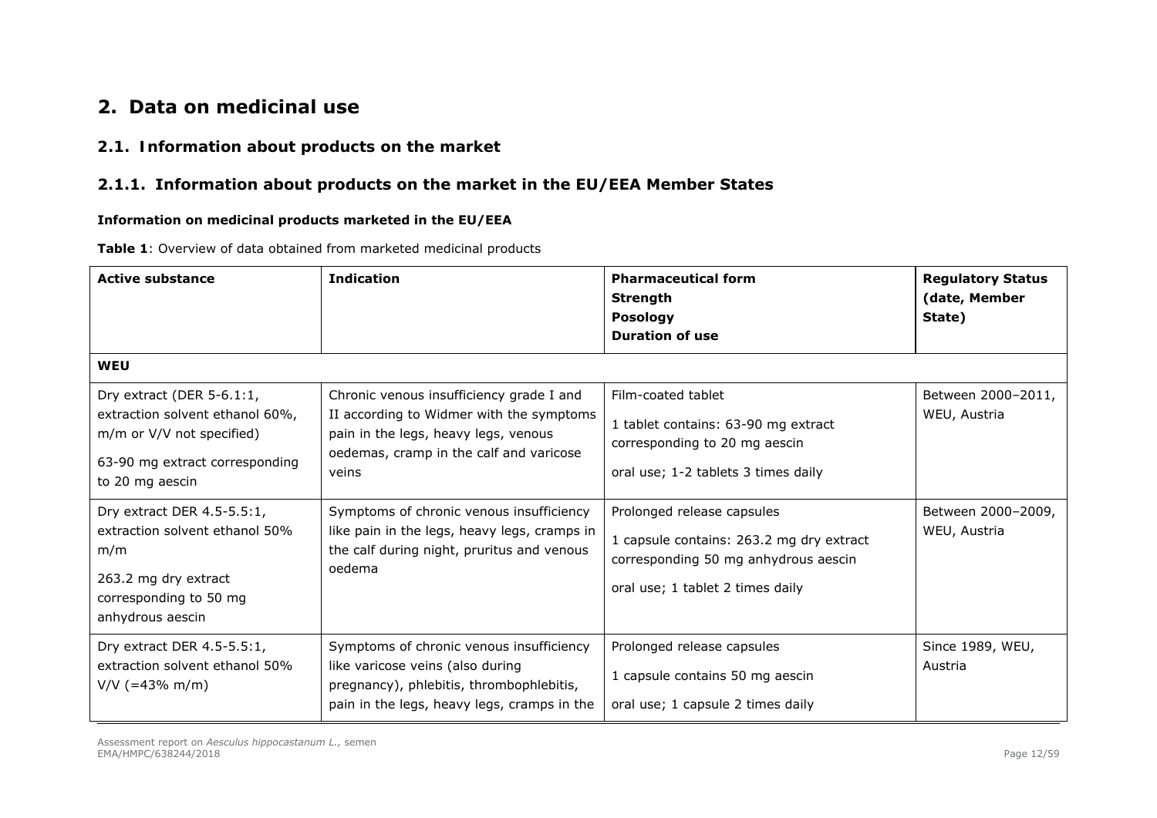# **2. Data on medicinal use**

## *2.1. Information about products on the market*

# **2.1.1. Information about products on the market in the EU/EEA Member States**

#### **Information on medicinal products marketed in the EU/EEA**

**Table 1**: Overview of data obtained from marketed medicinal products

| <b>Active substance</b>                                                                                                                           | <b>Indication</b>                                                                                                                                                                | <b>Pharmaceutical form</b><br><b>Strength</b><br><b>Posology</b><br><b>Duration of use</b>                                                         | <b>Regulatory Status</b><br>(date, Member<br>State) |
|---------------------------------------------------------------------------------------------------------------------------------------------------|----------------------------------------------------------------------------------------------------------------------------------------------------------------------------------|----------------------------------------------------------------------------------------------------------------------------------------------------|-----------------------------------------------------|
| <b>WEU</b>                                                                                                                                        |                                                                                                                                                                                  |                                                                                                                                                    |                                                     |
| Dry extract (DER $5-6.1:1$ ,<br>extraction solvent ethanol 60%,<br>m/m or V/V not specified)<br>63-90 mg extract corresponding<br>to 20 mg aescin | Chronic venous insufficiency grade I and<br>II according to Widmer with the symptoms<br>pain in the legs, heavy legs, venous<br>oedemas, cramp in the calf and varicose<br>veins | Film-coated tablet<br>1 tablet contains: 63-90 mg extract<br>corresponding to 20 mg aescin<br>oral use; 1-2 tablets 3 times daily                  | Between 2000-2011,<br>WEU, Austria                  |
| Dry extract DER 4.5-5.5:1,<br>extraction solvent ethanol 50%<br>m/m<br>263.2 mg dry extract<br>corresponding to 50 mg<br>anhydrous aescin         | Symptoms of chronic venous insufficiency<br>like pain in the legs, heavy legs, cramps in<br>the calf during night, pruritus and venous<br>oedema                                 | Prolonged release capsules<br>1 capsule contains: 263.2 mg dry extract<br>corresponding 50 mg anhydrous aescin<br>oral use; 1 tablet 2 times daily | Between 2000-2009,<br>WEU, Austria                  |
| Dry extract DER 4.5-5.5:1,<br>extraction solvent ethanol 50%<br>$V/V$ (=43% m/m)                                                                  | Symptoms of chronic venous insufficiency<br>like varicose veins (also during<br>pregnancy), phlebitis, thrombophlebitis,<br>pain in the legs, heavy legs, cramps in the          | Prolonged release capsules<br>1 capsule contains 50 mg aescin<br>oral use; 1 capsule 2 times daily                                                 | Since 1989, WEU,<br>Austria                         |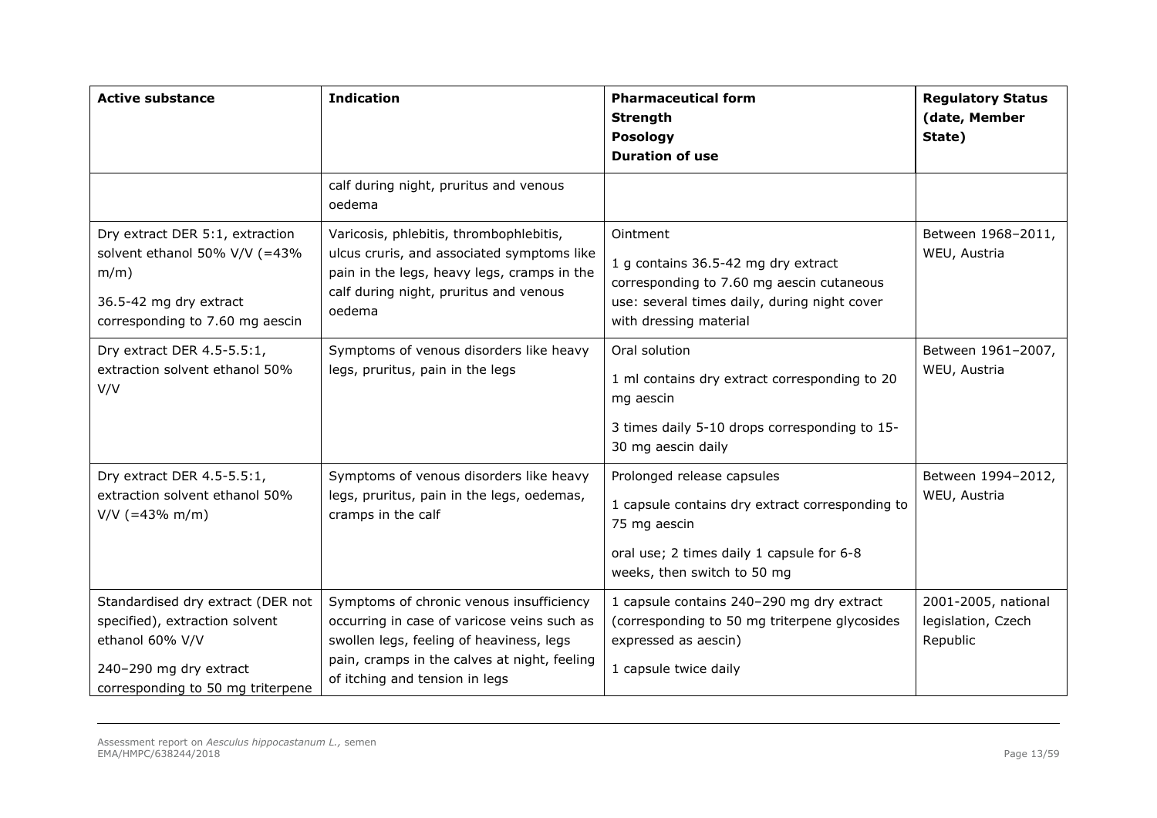| <b>Active substance</b>                                                                                                                               | <b>Indication</b>                                                                                                                                                                                                     | <b>Pharmaceutical form</b><br><b>Strength</b><br><b>Posology</b><br><b>Duration of use</b>                                                                                | <b>Regulatory Status</b><br>(date, Member<br>State)   |
|-------------------------------------------------------------------------------------------------------------------------------------------------------|-----------------------------------------------------------------------------------------------------------------------------------------------------------------------------------------------------------------------|---------------------------------------------------------------------------------------------------------------------------------------------------------------------------|-------------------------------------------------------|
|                                                                                                                                                       | calf during night, pruritus and venous<br>oedema                                                                                                                                                                      |                                                                                                                                                                           |                                                       |
| Dry extract DER 5:1, extraction<br>solvent ethanol 50% V/V (=43%<br>$m/m$ )<br>36.5-42 mg dry extract<br>corresponding to 7.60 mg aescin              | Varicosis, phlebitis, thrombophlebitis,<br>ulcus cruris, and associated symptoms like<br>pain in the legs, heavy legs, cramps in the<br>calf during night, pruritus and venous<br>oedema                              | Ointment<br>1 g contains 36.5-42 mg dry extract<br>corresponding to 7.60 mg aescin cutaneous<br>use: several times daily, during night cover<br>with dressing material    | Between 1968-2011,<br>WEU, Austria                    |
| Dry extract DER 4.5-5.5:1,<br>extraction solvent ethanol 50%<br>V/V                                                                                   | Symptoms of venous disorders like heavy<br>legs, pruritus, pain in the legs                                                                                                                                           | Oral solution<br>1 ml contains dry extract corresponding to 20<br>mg aescin<br>3 times daily 5-10 drops corresponding to 15-<br>30 mg aescin daily                        | Between 1961-2007,<br>WEU, Austria                    |
| Dry extract DER 4.5-5.5:1,<br>extraction solvent ethanol 50%<br>$V/V$ (=43% m/m)                                                                      | Symptoms of venous disorders like heavy<br>legs, pruritus, pain in the legs, oedemas,<br>cramps in the calf                                                                                                           | Prolonged release capsules<br>1 capsule contains dry extract corresponding to<br>75 mg aescin<br>oral use; 2 times daily 1 capsule for 6-8<br>weeks, then switch to 50 mg | Between 1994-2012,<br>WEU, Austria                    |
| Standardised dry extract (DER not<br>specified), extraction solvent<br>ethanol 60% V/V<br>240-290 mg dry extract<br>corresponding to 50 mg triterpene | Symptoms of chronic venous insufficiency<br>occurring in case of varicose veins such as<br>swollen legs, feeling of heaviness, legs<br>pain, cramps in the calves at night, feeling<br>of itching and tension in legs | 1 capsule contains 240-290 mg dry extract<br>(corresponding to 50 mg triterpene glycosides<br>expressed as aescin)<br>1 capsule twice daily                               | 2001-2005, national<br>legislation, Czech<br>Republic |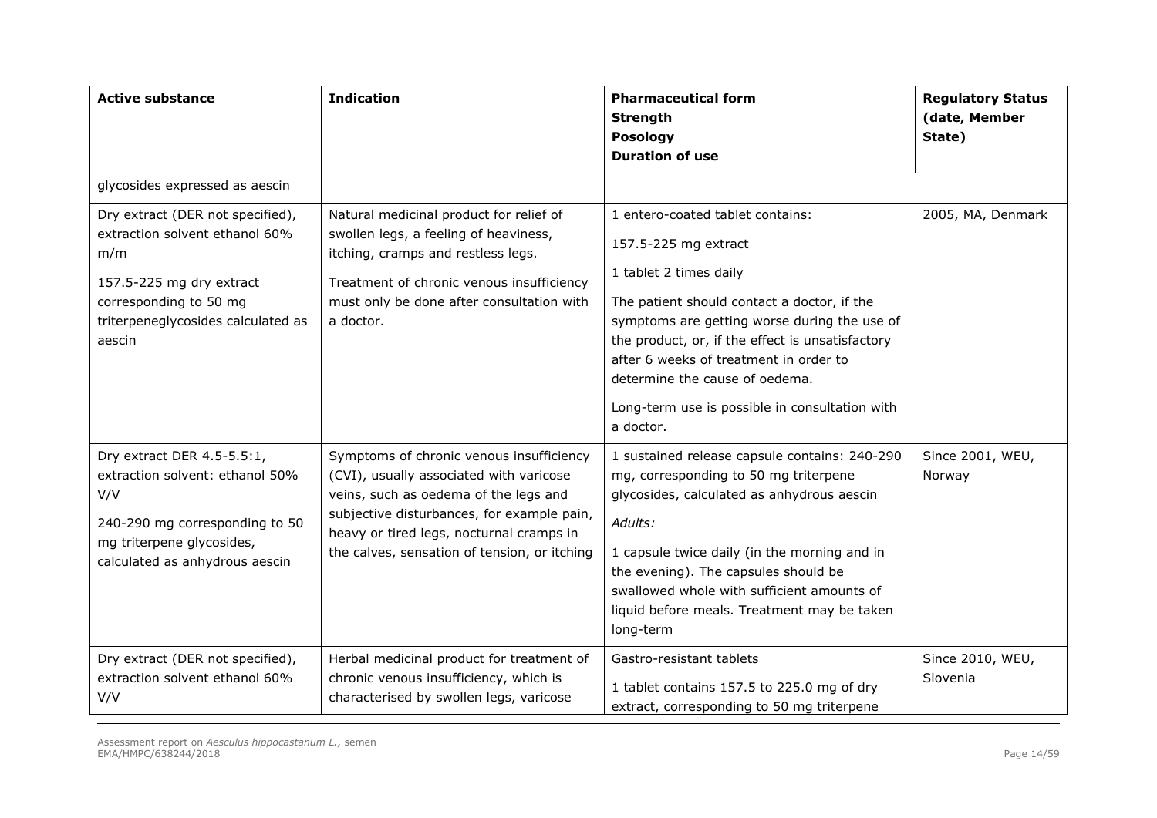| <b>Active substance</b>                                                                                                                                                         | <b>Indication</b>                                                                                                                                                                                                                                                      | <b>Pharmaceutical form</b><br><b>Strength</b><br>Posology<br><b>Duration of use</b>                                                                                                                                                                                                                                                                                 | <b>Regulatory Status</b><br>(date, Member<br>State) |
|---------------------------------------------------------------------------------------------------------------------------------------------------------------------------------|------------------------------------------------------------------------------------------------------------------------------------------------------------------------------------------------------------------------------------------------------------------------|---------------------------------------------------------------------------------------------------------------------------------------------------------------------------------------------------------------------------------------------------------------------------------------------------------------------------------------------------------------------|-----------------------------------------------------|
| glycosides expressed as aescin                                                                                                                                                  |                                                                                                                                                                                                                                                                        |                                                                                                                                                                                                                                                                                                                                                                     |                                                     |
| Dry extract (DER not specified),<br>extraction solvent ethanol 60%<br>m/m<br>157.5-225 mg dry extract<br>corresponding to 50 mg<br>triterpeneglycosides calculated as<br>aescin | Natural medicinal product for relief of<br>swollen legs, a feeling of heaviness,<br>itching, cramps and restless legs.<br>Treatment of chronic venous insufficiency<br>must only be done after consultation with<br>a doctor.                                          | 1 entero-coated tablet contains:<br>157.5-225 mg extract<br>1 tablet 2 times daily<br>The patient should contact a doctor, if the<br>symptoms are getting worse during the use of<br>the product, or, if the effect is unsatisfactory<br>after 6 weeks of treatment in order to<br>determine the cause of oedema.<br>Long-term use is possible in consultation with | 2005, MA, Denmark                                   |
| Dry extract DER 4.5-5.5:1,<br>extraction solvent: ethanol 50%<br>V/V<br>240-290 mg corresponding to 50<br>mg triterpene glycosides,<br>calculated as anhydrous aescin           | Symptoms of chronic venous insufficiency<br>(CVI), usually associated with varicose<br>veins, such as oedema of the legs and<br>subjective disturbances, for example pain,<br>heavy or tired legs, nocturnal cramps in<br>the calves, sensation of tension, or itching | a doctor.<br>1 sustained release capsule contains: 240-290<br>mg, corresponding to 50 mg triterpene<br>glycosides, calculated as anhydrous aescin<br>Adults:<br>1 capsule twice daily (in the morning and in<br>the evening). The capsules should be<br>swallowed whole with sufficient amounts of<br>liquid before meals. Treatment may be taken<br>long-term      | Since 2001, WEU,<br>Norway                          |
| Dry extract (DER not specified),<br>extraction solvent ethanol 60%<br>V/V                                                                                                       | Herbal medicinal product for treatment of<br>chronic venous insufficiency, which is<br>characterised by swollen legs, varicose                                                                                                                                         | Gastro-resistant tablets<br>1 tablet contains 157.5 to 225.0 mg of dry<br>extract, corresponding to 50 mg triterpene                                                                                                                                                                                                                                                | Since 2010, WEU,<br>Slovenia                        |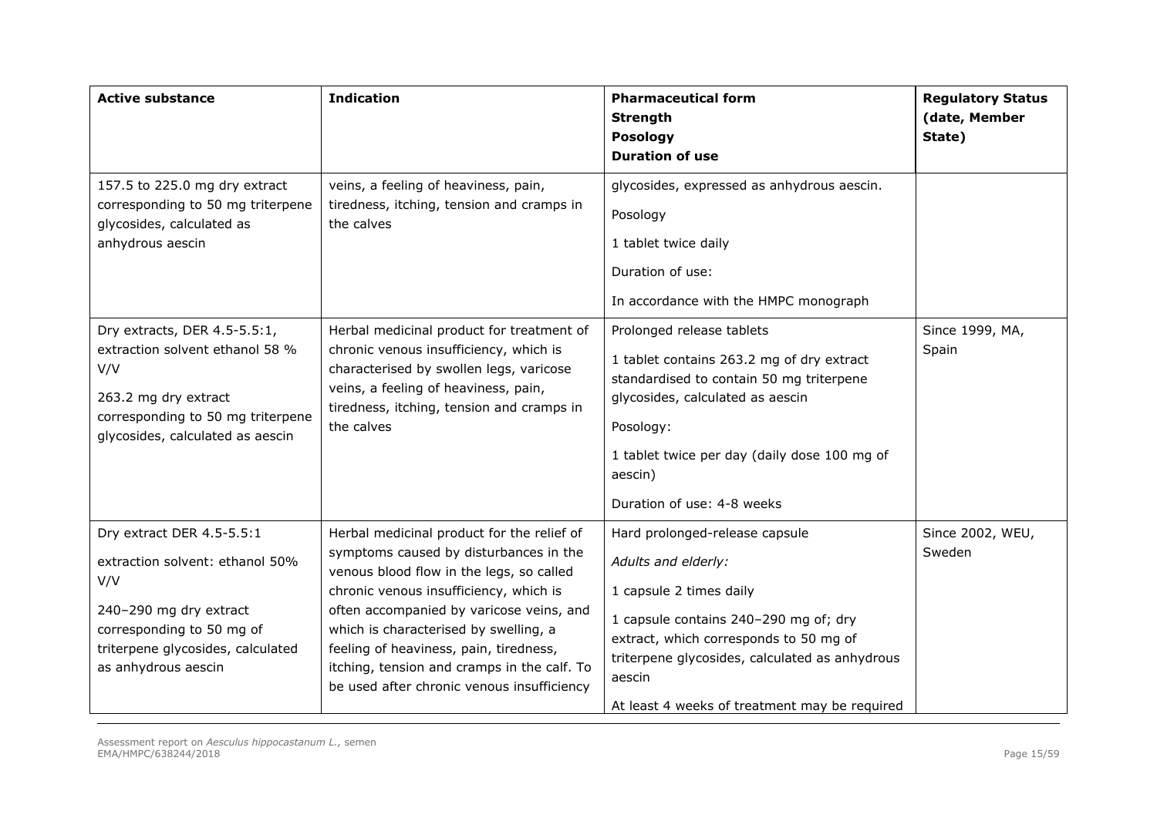| <b>Active substance</b>                                                                                                                                                                | <b>Indication</b>                                                                                                                                                                                                                                                                                                                                                                                      | <b>Pharmaceutical form</b><br><b>Strength</b><br><b>Posology</b><br><b>Duration of use</b>                                                                                                                                                                                       | <b>Regulatory Status</b><br>(date, Member<br>State) |
|----------------------------------------------------------------------------------------------------------------------------------------------------------------------------------------|--------------------------------------------------------------------------------------------------------------------------------------------------------------------------------------------------------------------------------------------------------------------------------------------------------------------------------------------------------------------------------------------------------|----------------------------------------------------------------------------------------------------------------------------------------------------------------------------------------------------------------------------------------------------------------------------------|-----------------------------------------------------|
| 157.5 to 225.0 mg dry extract<br>corresponding to 50 mg triterpene<br>glycosides, calculated as<br>anhydrous aescin                                                                    | veins, a feeling of heaviness, pain,<br>tiredness, itching, tension and cramps in<br>the calves                                                                                                                                                                                                                                                                                                        | glycosides, expressed as anhydrous aescin.<br>Posology<br>1 tablet twice daily<br>Duration of use:<br>In accordance with the HMPC monograph                                                                                                                                      |                                                     |
| Dry extracts, DER 4.5-5.5:1,<br>extraction solvent ethanol 58 %<br>V/V<br>263.2 mg dry extract<br>corresponding to 50 mg triterpene<br>glycosides, calculated as aescin                | Herbal medicinal product for treatment of<br>chronic venous insufficiency, which is<br>characterised by swollen legs, varicose<br>veins, a feeling of heaviness, pain,<br>tiredness, itching, tension and cramps in<br>the calves                                                                                                                                                                      | Prolonged release tablets<br>1 tablet contains 263.2 mg of dry extract<br>standardised to contain 50 mg triterpene<br>glycosides, calculated as aescin<br>Posology:<br>1 tablet twice per day (daily dose 100 mg of<br>aescin)<br>Duration of use: 4-8 weeks                     | Since 1999, MA,<br>Spain                            |
| Dry extract DER 4.5-5.5:1<br>extraction solvent: ethanol 50%<br>V/V<br>240-290 mg dry extract<br>corresponding to 50 mg of<br>triterpene glycosides, calculated<br>as anhydrous aescin | Herbal medicinal product for the relief of<br>symptoms caused by disturbances in the<br>venous blood flow in the legs, so called<br>chronic venous insufficiency, which is<br>often accompanied by varicose veins, and<br>which is characterised by swelling, a<br>feeling of heaviness, pain, tiredness,<br>itching, tension and cramps in the calf. To<br>be used after chronic venous insufficiency | Hard prolonged-release capsule<br>Adults and elderly:<br>1 capsule 2 times daily<br>1 capsule contains 240-290 mg of; dry<br>extract, which corresponds to 50 mg of<br>triterpene glycosides, calculated as anhydrous<br>aescin<br>At least 4 weeks of treatment may be required | Since 2002, WEU,<br>Sweden                          |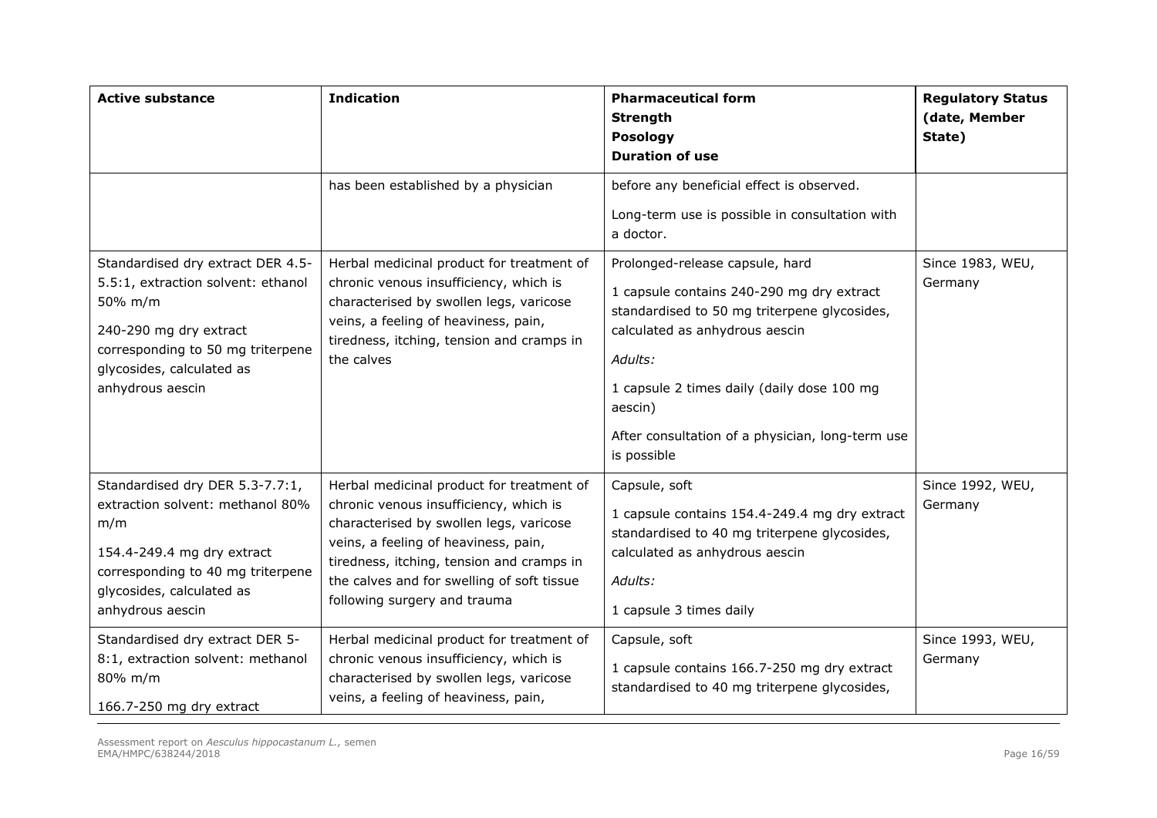| <b>Active substance</b>                                                                                                                                                                            | <b>Indication</b>                                                                                                                                                                                                                                                                                 | <b>Pharmaceutical form</b><br><b>Strength</b><br><b>Posology</b><br><b>Duration of use</b>                                                                                                                                                                                                            | <b>Regulatory Status</b><br>(date, Member<br>State) |
|----------------------------------------------------------------------------------------------------------------------------------------------------------------------------------------------------|---------------------------------------------------------------------------------------------------------------------------------------------------------------------------------------------------------------------------------------------------------------------------------------------------|-------------------------------------------------------------------------------------------------------------------------------------------------------------------------------------------------------------------------------------------------------------------------------------------------------|-----------------------------------------------------|
|                                                                                                                                                                                                    | has been established by a physician                                                                                                                                                                                                                                                               | before any beneficial effect is observed.<br>Long-term use is possible in consultation with<br>a doctor.                                                                                                                                                                                              |                                                     |
| Standardised dry extract DER 4.5-<br>5.5:1, extraction solvent: ethanol<br>50% m/m<br>240-290 mg dry extract<br>corresponding to 50 mg triterpene<br>glycosides, calculated as<br>anhydrous aescin | Herbal medicinal product for treatment of<br>chronic venous insufficiency, which is<br>characterised by swollen legs, varicose<br>veins, a feeling of heaviness, pain,<br>tiredness, itching, tension and cramps in<br>the calves                                                                 | Prolonged-release capsule, hard<br>1 capsule contains 240-290 mg dry extract<br>standardised to 50 mg triterpene glycosides,<br>calculated as anhydrous aescin<br>Adults:<br>1 capsule 2 times daily (daily dose 100 mg<br>aescin)<br>After consultation of a physician, long-term use<br>is possible | Since 1983, WEU,<br>Germany                         |
| Standardised dry DER 5.3-7.7:1,<br>extraction solvent: methanol 80%<br>m/m<br>154.4-249.4 mg dry extract<br>corresponding to 40 mg triterpene<br>glycosides, calculated as<br>anhydrous aescin     | Herbal medicinal product for treatment of<br>chronic venous insufficiency, which is<br>characterised by swollen legs, varicose<br>veins, a feeling of heaviness, pain,<br>tiredness, itching, tension and cramps in<br>the calves and for swelling of soft tissue<br>following surgery and trauma | Capsule, soft<br>1 capsule contains 154.4-249.4 mg dry extract<br>standardised to 40 mg triterpene glycosides,<br>calculated as anhydrous aescin<br>Adults:<br>1 capsule 3 times daily                                                                                                                | Since 1992, WEU,<br>Germany                         |
| Standardised dry extract DER 5-<br>8:1, extraction solvent: methanol<br>80% m/m<br>166.7-250 mg dry extract                                                                                        | Herbal medicinal product for treatment of<br>chronic venous insufficiency, which is<br>characterised by swollen legs, varicose<br>veins, a feeling of heaviness, pain,                                                                                                                            | Capsule, soft<br>1 capsule contains 166.7-250 mg dry extract<br>standardised to 40 mg triterpene glycosides,                                                                                                                                                                                          | Since 1993, WEU,<br>Germany                         |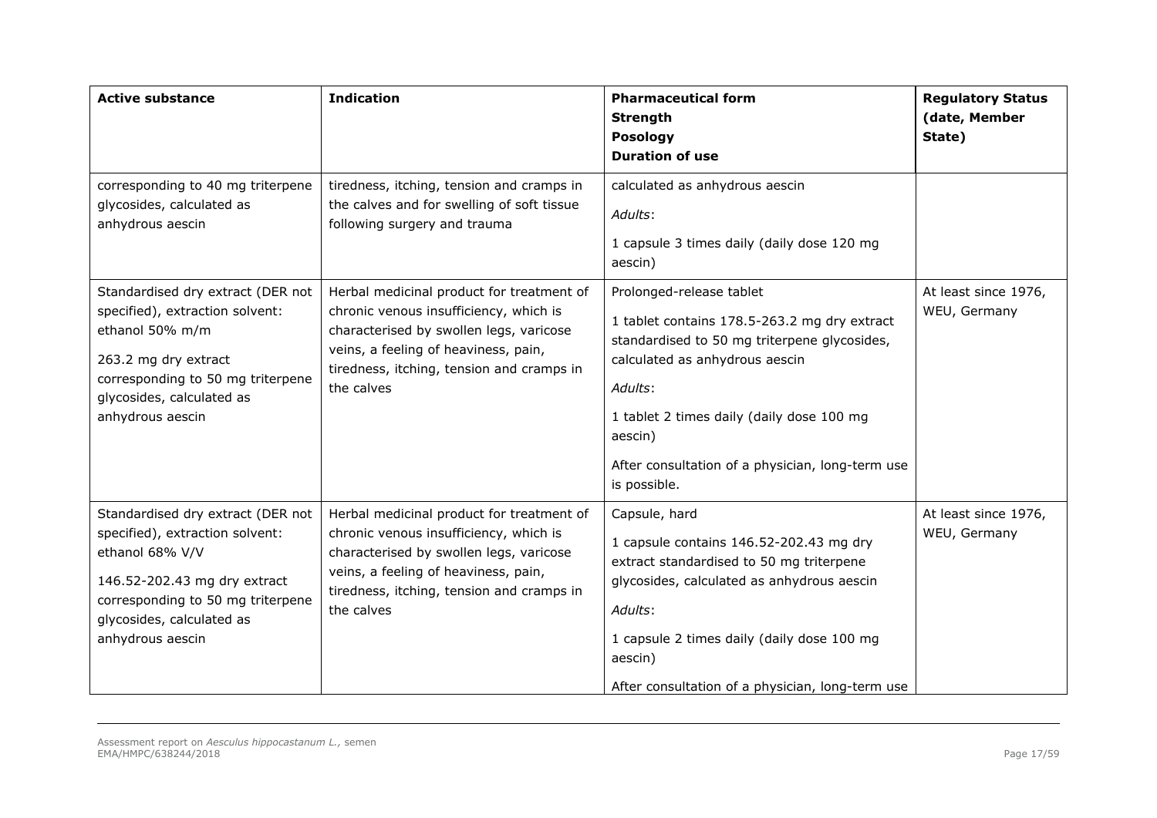| <b>Active substance</b>                                                                                                                                                                                       | <b>Indication</b>                                                                                                                                                                                                                 | <b>Pharmaceutical form</b><br><b>Strength</b><br><b>Posology</b><br><b>Duration of use</b>                                                                                                                                                                                                        | <b>Regulatory Status</b><br>(date, Member<br>State) |
|---------------------------------------------------------------------------------------------------------------------------------------------------------------------------------------------------------------|-----------------------------------------------------------------------------------------------------------------------------------------------------------------------------------------------------------------------------------|---------------------------------------------------------------------------------------------------------------------------------------------------------------------------------------------------------------------------------------------------------------------------------------------------|-----------------------------------------------------|
| corresponding to 40 mg triterpene<br>glycosides, calculated as<br>anhydrous aescin                                                                                                                            | tiredness, itching, tension and cramps in<br>the calves and for swelling of soft tissue<br>following surgery and trauma                                                                                                           | calculated as anhydrous aescin<br>Adults:<br>1 capsule 3 times daily (daily dose 120 mg<br>aescin)                                                                                                                                                                                                |                                                     |
| Standardised dry extract (DER not<br>specified), extraction solvent:<br>ethanol 50% m/m<br>263.2 mg dry extract<br>corresponding to 50 mg triterpene<br>glycosides, calculated as<br>anhydrous aescin         | Herbal medicinal product for treatment of<br>chronic venous insufficiency, which is<br>characterised by swollen legs, varicose<br>veins, a feeling of heaviness, pain,<br>tiredness, itching, tension and cramps in<br>the calves | Prolonged-release tablet<br>1 tablet contains 178.5-263.2 mg dry extract<br>standardised to 50 mg triterpene glycosides,<br>calculated as anhydrous aescin<br>Adults:<br>1 tablet 2 times daily (daily dose 100 mg<br>aescin)<br>After consultation of a physician, long-term use<br>is possible. | At least since 1976,<br>WEU, Germany                |
| Standardised dry extract (DER not<br>specified), extraction solvent:<br>ethanol 68% V/V<br>146.52-202.43 mg dry extract<br>corresponding to 50 mg triterpene<br>glycosides, calculated as<br>anhydrous aescin | Herbal medicinal product for treatment of<br>chronic venous insufficiency, which is<br>characterised by swollen legs, varicose<br>veins, a feeling of heaviness, pain,<br>tiredness, itching, tension and cramps in<br>the calves | Capsule, hard<br>1 capsule contains 146.52-202.43 mg dry<br>extract standardised to 50 mg triterpene<br>glycosides, calculated as anhydrous aescin<br>Adults:<br>1 capsule 2 times daily (daily dose 100 mg<br>aescin)<br>After consultation of a physician, long-term use                        | At least since 1976,<br>WEU, Germany                |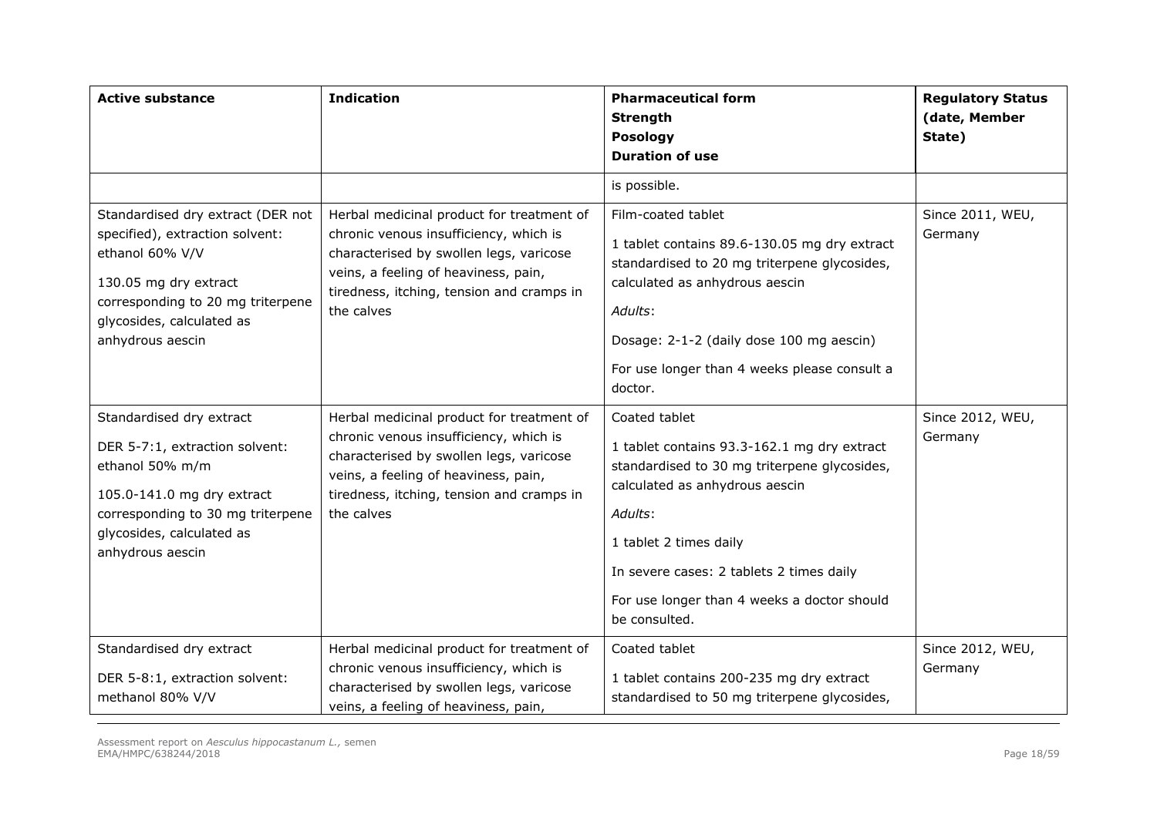| <b>Active substance</b>                                                                                                                                                                                | <b>Indication</b>                                                                                                                                                                                                                 | <b>Pharmaceutical form</b><br><b>Strength</b><br>Posology<br><b>Duration of use</b>                                                                                                                                                                                                             | <b>Regulatory Status</b><br>(date, Member<br>State) |  |
|--------------------------------------------------------------------------------------------------------------------------------------------------------------------------------------------------------|-----------------------------------------------------------------------------------------------------------------------------------------------------------------------------------------------------------------------------------|-------------------------------------------------------------------------------------------------------------------------------------------------------------------------------------------------------------------------------------------------------------------------------------------------|-----------------------------------------------------|--|
|                                                                                                                                                                                                        |                                                                                                                                                                                                                                   | is possible.                                                                                                                                                                                                                                                                                    |                                                     |  |
| Standardised dry extract (DER not<br>specified), extraction solvent:<br>ethanol 60% V/V<br>130.05 mg dry extract<br>corresponding to 20 mg triterpene<br>glycosides, calculated as<br>anhydrous aescin | Herbal medicinal product for treatment of<br>chronic venous insufficiency, which is<br>characterised by swollen legs, varicose<br>veins, a feeling of heaviness, pain,<br>tiredness, itching, tension and cramps in<br>the calves | Film-coated tablet<br>1 tablet contains 89.6-130.05 mg dry extract<br>standardised to 20 mg triterpene glycosides,<br>calculated as anhydrous aescin<br>Adults:<br>Dosage: 2-1-2 (daily dose 100 mg aescin)<br>For use longer than 4 weeks please consult a<br>doctor.                          | Since 2011, WEU,<br>Germany                         |  |
| Standardised dry extract<br>DER 5-7:1, extraction solvent:<br>ethanol 50% m/m<br>105.0-141.0 mg dry extract<br>corresponding to 30 mg triterpene<br>glycosides, calculated as<br>anhydrous aescin      | Herbal medicinal product for treatment of<br>chronic venous insufficiency, which is<br>characterised by swollen legs, varicose<br>veins, a feeling of heaviness, pain,<br>tiredness, itching, tension and cramps in<br>the calves | Coated tablet<br>1 tablet contains 93.3-162.1 mg dry extract<br>standardised to 30 mg triterpene glycosides,<br>calculated as anhydrous aescin<br>Adults:<br>1 tablet 2 times daily<br>In severe cases: 2 tablets 2 times daily<br>For use longer than 4 weeks a doctor should<br>be consulted. | Since 2012, WEU,<br>Germany                         |  |
| Standardised dry extract<br>DER 5-8:1, extraction solvent:<br>methanol 80% V/V                                                                                                                         | Herbal medicinal product for treatment of<br>chronic venous insufficiency, which is<br>characterised by swollen legs, varicose<br>veins, a feeling of heaviness, pain,                                                            | Coated tablet<br>1 tablet contains 200-235 mg dry extract<br>standardised to 50 mg triterpene glycosides,                                                                                                                                                                                       | Since 2012, WEU,<br>Germany                         |  |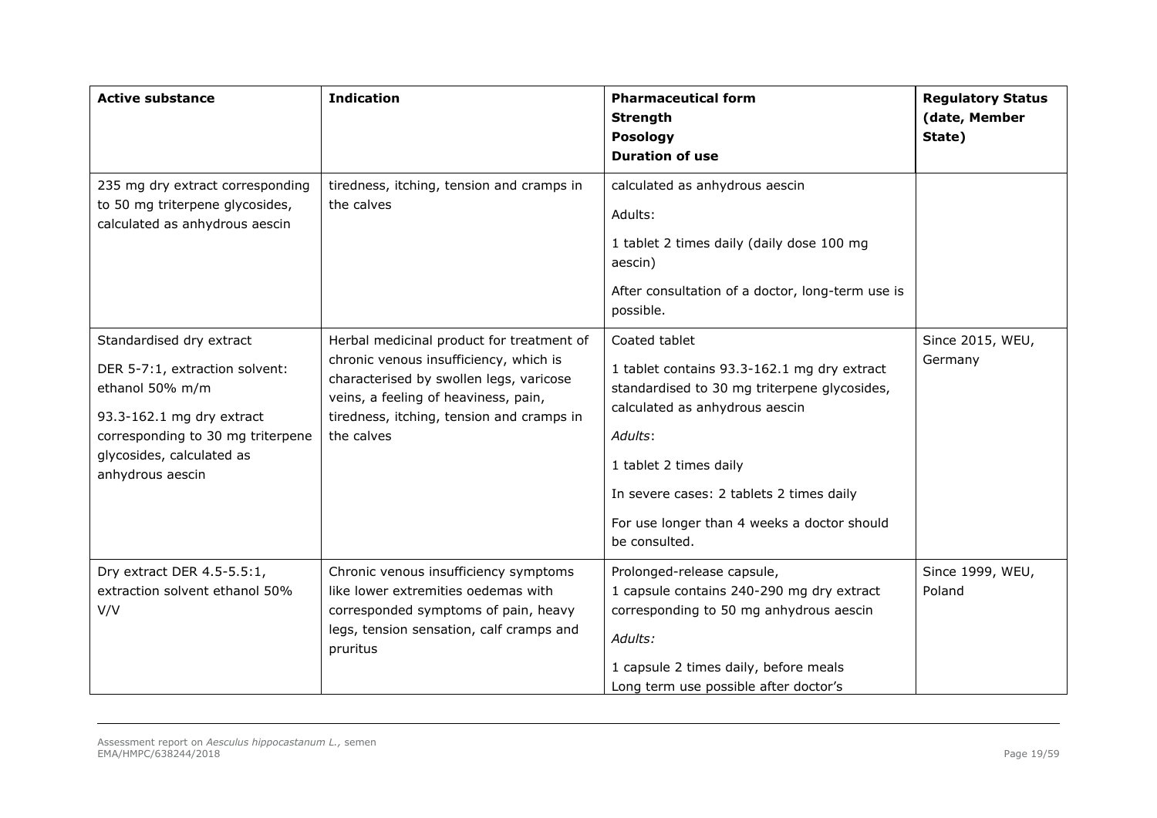| <b>Active substance</b>                                                                                                                                                                          | <b>Indication</b>                                                                                                                                                                                                                 | <b>Pharmaceutical form</b><br><b>Strength</b><br><b>Posology</b><br><b>Duration of use</b>                                                                                                                                                                                                      | <b>Regulatory Status</b><br>(date, Member<br>State) |
|--------------------------------------------------------------------------------------------------------------------------------------------------------------------------------------------------|-----------------------------------------------------------------------------------------------------------------------------------------------------------------------------------------------------------------------------------|-------------------------------------------------------------------------------------------------------------------------------------------------------------------------------------------------------------------------------------------------------------------------------------------------|-----------------------------------------------------|
| 235 mg dry extract corresponding<br>to 50 mg triterpene glycosides,<br>calculated as anhydrous aescin                                                                                            | tiredness, itching, tension and cramps in<br>the calves                                                                                                                                                                           | calculated as anhydrous aescin<br>Adults:<br>1 tablet 2 times daily (daily dose 100 mg<br>aescin)<br>After consultation of a doctor, long-term use is<br>possible.                                                                                                                              |                                                     |
| Standardised dry extract<br>DER 5-7:1, extraction solvent:<br>ethanol 50% m/m<br>93.3-162.1 mg dry extract<br>corresponding to 30 mg triterpene<br>glycosides, calculated as<br>anhydrous aescin | Herbal medicinal product for treatment of<br>chronic venous insufficiency, which is<br>characterised by swollen legs, varicose<br>veins, a feeling of heaviness, pain,<br>tiredness, itching, tension and cramps in<br>the calves | Coated tablet<br>1 tablet contains 93.3-162.1 mg dry extract<br>standardised to 30 mg triterpene glycosides,<br>calculated as anhydrous aescin<br>Adults:<br>1 tablet 2 times daily<br>In severe cases: 2 tablets 2 times daily<br>For use longer than 4 weeks a doctor should<br>be consulted. | Since 2015, WEU,<br>Germany                         |
| Dry extract DER 4.5-5.5:1,<br>extraction solvent ethanol 50%<br>V/V                                                                                                                              | Chronic venous insufficiency symptoms<br>like lower extremities oedemas with<br>corresponded symptoms of pain, heavy<br>legs, tension sensation, calf cramps and<br>pruritus                                                      | Prolonged-release capsule,<br>1 capsule contains 240-290 mg dry extract<br>corresponding to 50 mg anhydrous aescin<br>Adults:<br>1 capsule 2 times daily, before meals<br>Long term use possible after doctor's                                                                                 | Since 1999, WEU,<br>Poland                          |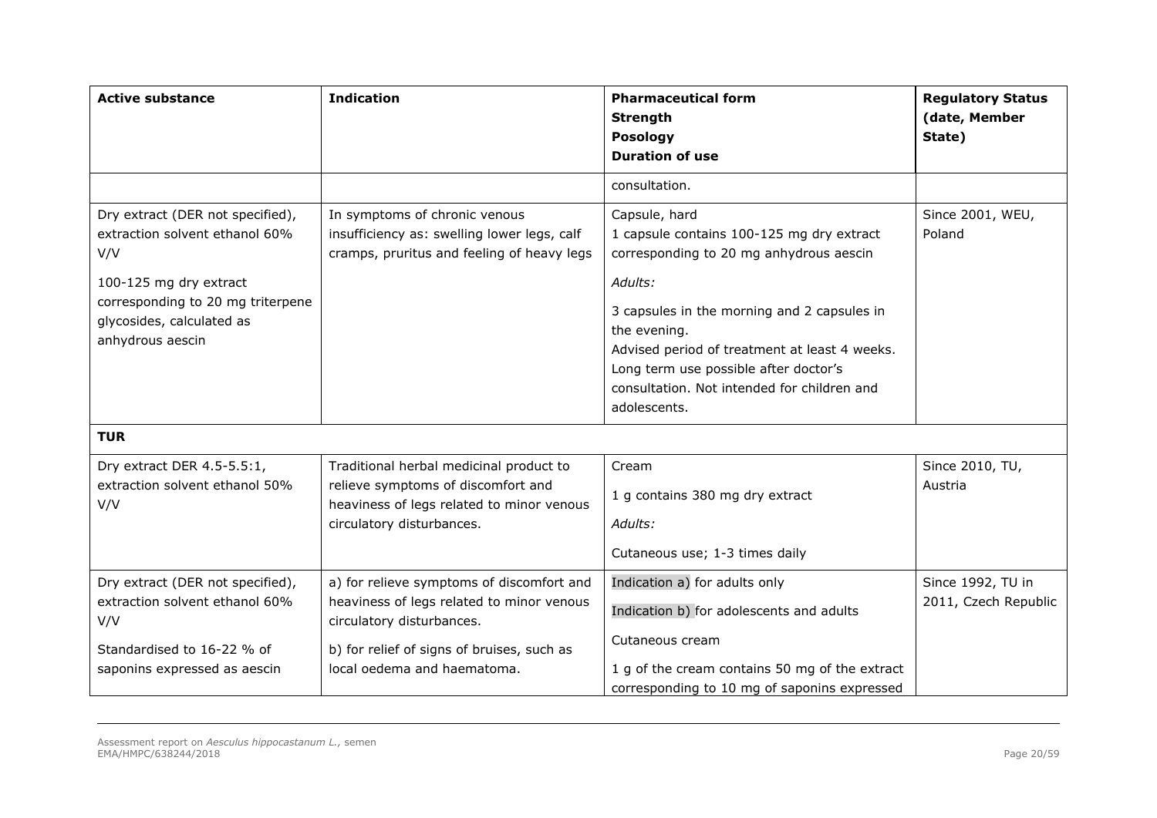| <b>Active substance</b>                                                                                                                                                                   | <b>Indication</b>                                                                                                                                                                                | <b>Pharmaceutical form</b><br><b>Strength</b><br>Posology<br><b>Duration of use</b>                                                                                                                                                                                                                                                      | <b>Regulatory Status</b><br>(date, Member<br>State) |
|-------------------------------------------------------------------------------------------------------------------------------------------------------------------------------------------|--------------------------------------------------------------------------------------------------------------------------------------------------------------------------------------------------|------------------------------------------------------------------------------------------------------------------------------------------------------------------------------------------------------------------------------------------------------------------------------------------------------------------------------------------|-----------------------------------------------------|
|                                                                                                                                                                                           |                                                                                                                                                                                                  | consultation.                                                                                                                                                                                                                                                                                                                            |                                                     |
| Dry extract (DER not specified),<br>extraction solvent ethanol 60%<br>V/V<br>100-125 mg dry extract<br>corresponding to 20 mg triterpene<br>glycosides, calculated as<br>anhydrous aescin | In symptoms of chronic venous<br>insufficiency as: swelling lower legs, calf<br>cramps, pruritus and feeling of heavy legs                                                                       | Capsule, hard<br>1 capsule contains 100-125 mg dry extract<br>corresponding to 20 mg anhydrous aescin<br>Adults:<br>3 capsules in the morning and 2 capsules in<br>the evening.<br>Advised period of treatment at least 4 weeks.<br>Long term use possible after doctor's<br>consultation. Not intended for children and<br>adolescents. | Since 2001, WEU,<br>Poland                          |
| <b>TUR</b>                                                                                                                                                                                |                                                                                                                                                                                                  |                                                                                                                                                                                                                                                                                                                                          |                                                     |
| Dry extract DER 4.5-5.5:1,<br>extraction solvent ethanol 50%<br>V/V                                                                                                                       | Traditional herbal medicinal product to<br>relieve symptoms of discomfort and<br>heaviness of legs related to minor venous<br>circulatory disturbances.                                          | Cream<br>1 g contains 380 mg dry extract<br>Adults:<br>Cutaneous use; 1-3 times daily                                                                                                                                                                                                                                                    | Since 2010, TU,<br>Austria                          |
| Dry extract (DER not specified),<br>extraction solvent ethanol 60%<br>V/V<br>Standardised to 16-22 % of<br>saponins expressed as aescin                                                   | a) for relieve symptoms of discomfort and<br>heaviness of legs related to minor venous<br>circulatory disturbances.<br>b) for relief of signs of bruises, such as<br>local oedema and haematoma. | Indication a) for adults only<br>Indication b) for adolescents and adults<br>Cutaneous cream<br>1 g of the cream contains 50 mg of the extract<br>corresponding to 10 mg of saponins expressed                                                                                                                                           | Since 1992, TU in<br>2011, Czech Republic           |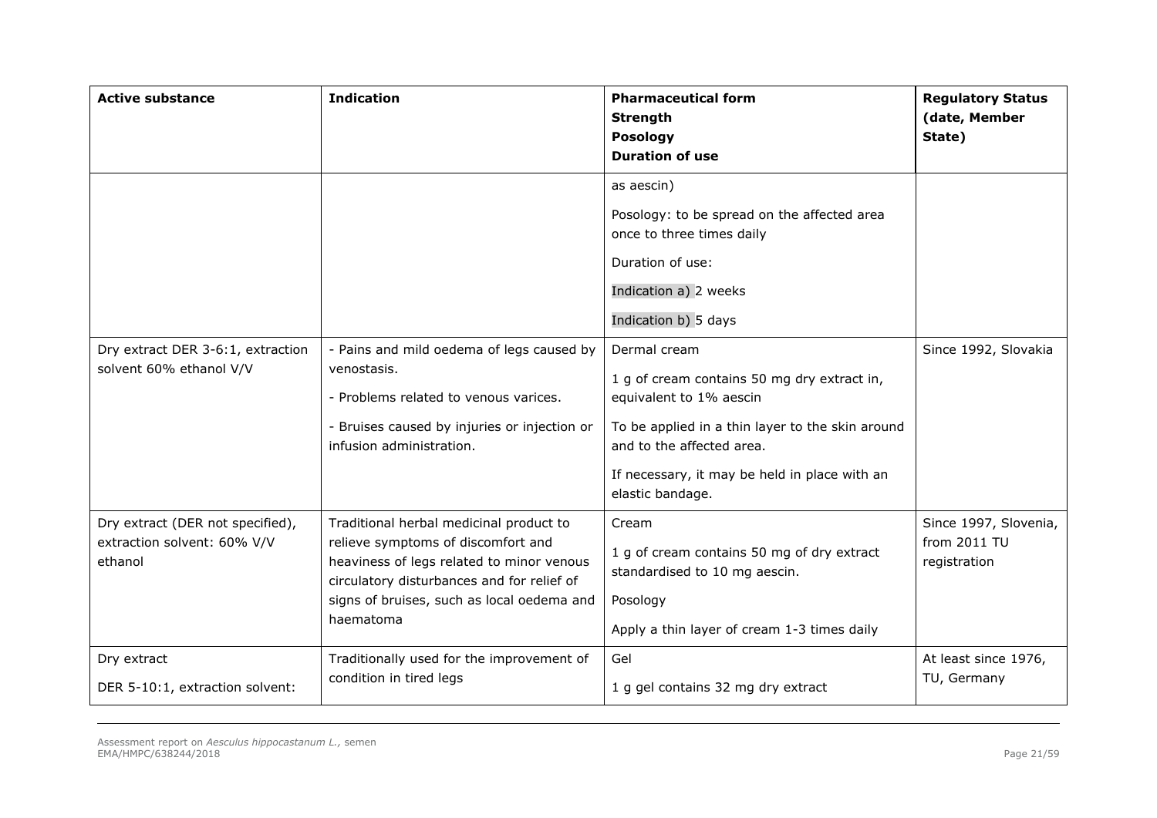| <b>Active substance</b>                                                    | <b>Indication</b>                                                                                                                                                                                                                   | <b>Pharmaceutical form</b><br><b>Strength</b><br>Posology<br><b>Duration of use</b>                                                                                                                                                          | <b>Regulatory Status</b><br>(date, Member<br>State)   |
|----------------------------------------------------------------------------|-------------------------------------------------------------------------------------------------------------------------------------------------------------------------------------------------------------------------------------|----------------------------------------------------------------------------------------------------------------------------------------------------------------------------------------------------------------------------------------------|-------------------------------------------------------|
|                                                                            |                                                                                                                                                                                                                                     | as aescin)<br>Posology: to be spread on the affected area<br>once to three times daily<br>Duration of use:<br>Indication a) 2 weeks<br>Indication b) 5 days                                                                                  |                                                       |
| Dry extract DER 3-6:1, extraction<br>solvent 60% ethanol V/V               | - Pains and mild oedema of legs caused by<br>venostasis.<br>- Problems related to venous varices.<br>- Bruises caused by injuries or injection or<br>infusion administration.                                                       | Dermal cream<br>1 g of cream contains 50 mg dry extract in,<br>equivalent to 1% aescin<br>To be applied in a thin layer to the skin around<br>and to the affected area.<br>If necessary, it may be held in place with an<br>elastic bandage. | Since 1992, Slovakia                                  |
| Dry extract (DER not specified),<br>extraction solvent: 60% V/V<br>ethanol | Traditional herbal medicinal product to<br>relieve symptoms of discomfort and<br>heaviness of legs related to minor venous<br>circulatory disturbances and for relief of<br>signs of bruises, such as local oedema and<br>haematoma | Cream<br>1 g of cream contains 50 mg of dry extract<br>standardised to 10 mg aescin.<br>Posology<br>Apply a thin layer of cream 1-3 times daily                                                                                              | Since 1997, Slovenia,<br>from 2011 TU<br>registration |
| Dry extract<br>DER 5-10:1, extraction solvent:                             | Traditionally used for the improvement of<br>condition in tired legs                                                                                                                                                                | Gel<br>1 g gel contains 32 mg dry extract                                                                                                                                                                                                    | At least since 1976,<br>TU, Germany                   |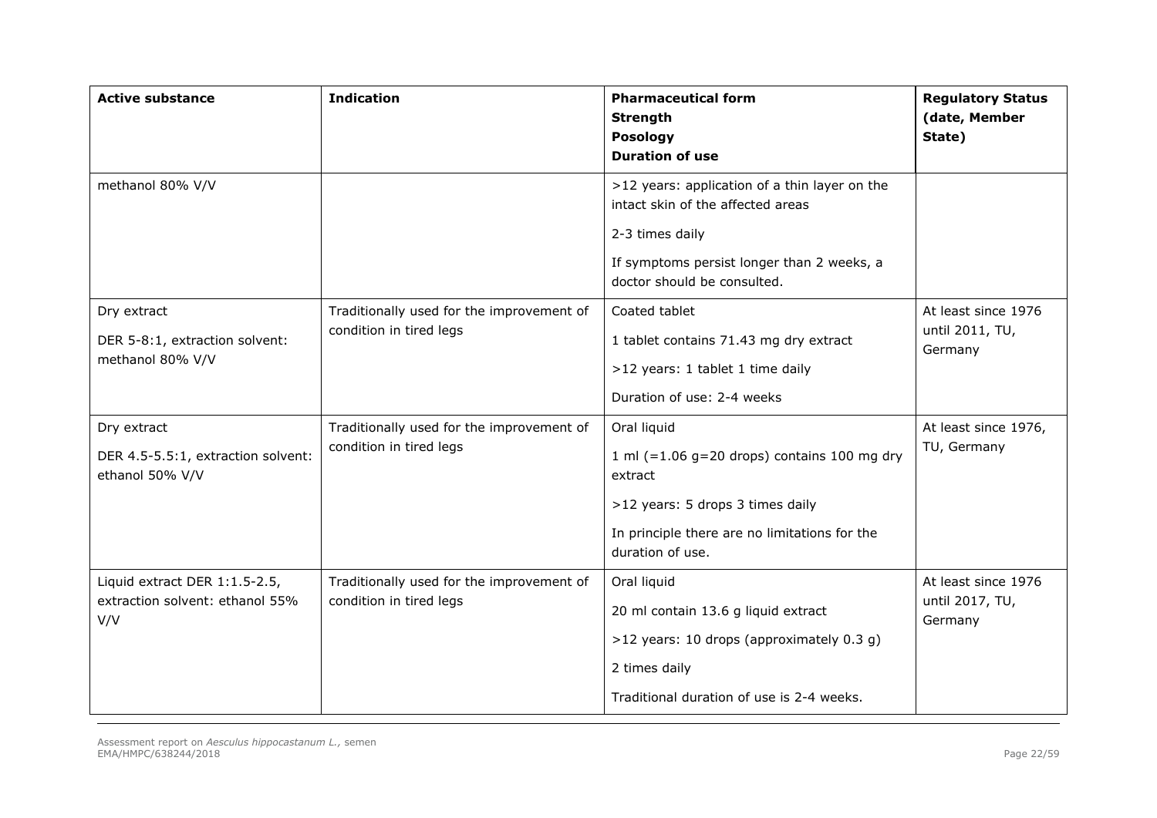| <b>Active substance</b>                                                 | <b>Indication</b>                                                    | <b>Pharmaceutical form</b><br><b>Strength</b><br><b>Posology</b><br><b>Duration of use</b>                                                                                         | <b>Regulatory Status</b><br>(date, Member<br>State) |
|-------------------------------------------------------------------------|----------------------------------------------------------------------|------------------------------------------------------------------------------------------------------------------------------------------------------------------------------------|-----------------------------------------------------|
| methanol 80% V/V                                                        |                                                                      | >12 years: application of a thin layer on the<br>intact skin of the affected areas<br>2-3 times daily<br>If symptoms persist longer than 2 weeks, a<br>doctor should be consulted. |                                                     |
| Dry extract<br>DER 5-8:1, extraction solvent:<br>methanol 80% V/V       | Traditionally used for the improvement of<br>condition in tired legs | Coated tablet<br>1 tablet contains 71.43 mg dry extract<br>>12 years: 1 tablet 1 time daily<br>Duration of use: 2-4 weeks                                                          | At least since 1976<br>until 2011, TU,<br>Germany   |
| Dry extract<br>DER 4.5-5.5:1, extraction solvent:<br>ethanol 50% V/V    | Traditionally used for the improvement of<br>condition in tired legs | Oral liquid<br>1 ml $(=1.06$ g=20 drops) contains 100 mg dry<br>extract<br>>12 years: 5 drops 3 times daily<br>In principle there are no limitations for the<br>duration of use.   | At least since 1976,<br>TU, Germany                 |
| Liquid extract DER 1:1.5-2.5,<br>extraction solvent: ethanol 55%<br>V/V | Traditionally used for the improvement of<br>condition in tired legs | Oral liquid<br>20 ml contain 13.6 g liquid extract<br>>12 years: 10 drops (approximately 0.3 g)<br>2 times daily<br>Traditional duration of use is 2-4 weeks.                      | At least since 1976<br>until 2017, TU,<br>Germany   |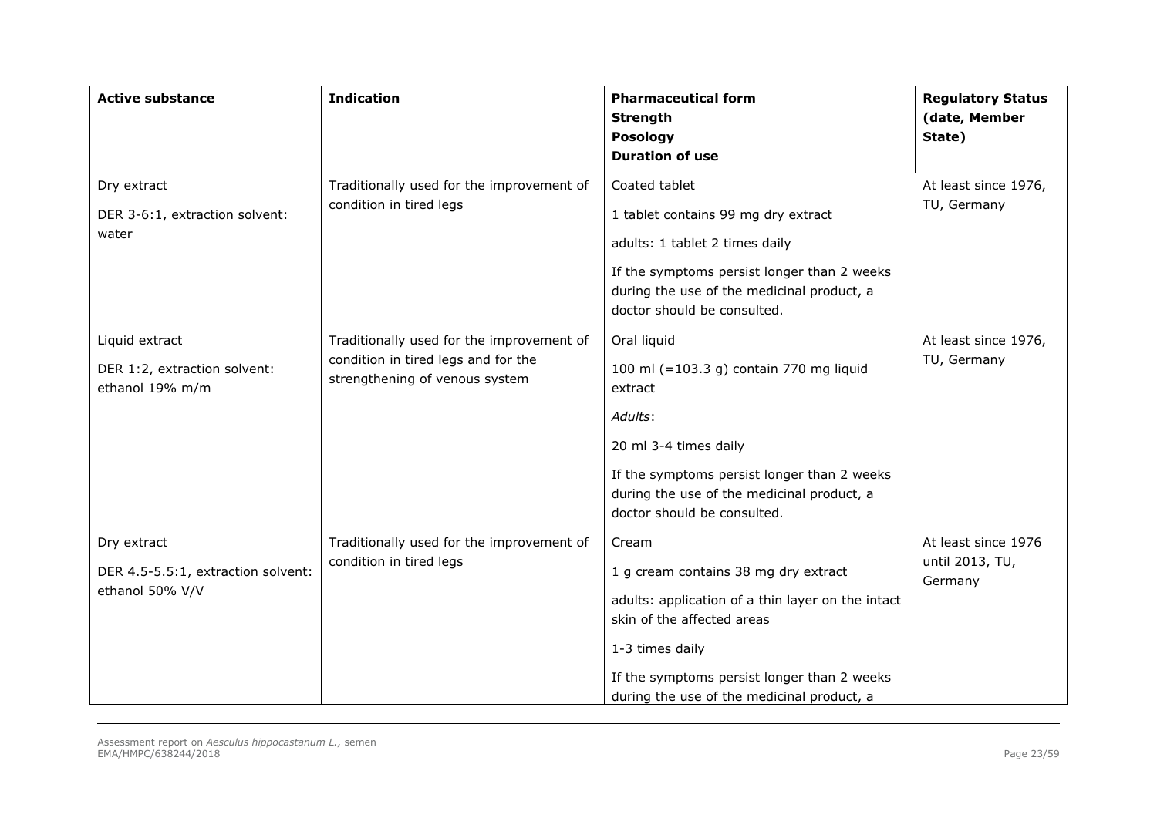| <b>Active substance</b>                                              | <b>Indication</b>                                                                                                  | <b>Pharmaceutical form</b><br><b>Strength</b><br><b>Posology</b><br><b>Duration of use</b>                                                                                                                                                       | <b>Regulatory Status</b><br>(date, Member<br>State) |
|----------------------------------------------------------------------|--------------------------------------------------------------------------------------------------------------------|--------------------------------------------------------------------------------------------------------------------------------------------------------------------------------------------------------------------------------------------------|-----------------------------------------------------|
| Dry extract<br>DER 3-6:1, extraction solvent:<br>water               | Traditionally used for the improvement of<br>condition in tired legs                                               | Coated tablet<br>1 tablet contains 99 mg dry extract<br>adults: 1 tablet 2 times daily<br>If the symptoms persist longer than 2 weeks<br>during the use of the medicinal product, a<br>doctor should be consulted.                               | At least since 1976,<br>TU, Germany                 |
| Liquid extract<br>DER 1:2, extraction solvent:<br>ethanol 19% m/m    | Traditionally used for the improvement of<br>condition in tired legs and for the<br>strengthening of venous system | Oral liquid<br>100 ml (=103.3 g) contain 770 mg liquid<br>extract<br>Adults:<br>20 ml 3-4 times daily<br>If the symptoms persist longer than 2 weeks<br>during the use of the medicinal product, a<br>doctor should be consulted.                | At least since 1976,<br>TU, Germany                 |
| Dry extract<br>DER 4.5-5.5:1, extraction solvent:<br>ethanol 50% V/V | Traditionally used for the improvement of<br>condition in tired legs                                               | Cream<br>1 g cream contains 38 mg dry extract<br>adults: application of a thin layer on the intact<br>skin of the affected areas<br>1-3 times daily<br>If the symptoms persist longer than 2 weeks<br>during the use of the medicinal product, a | At least since 1976<br>until 2013, TU,<br>Germany   |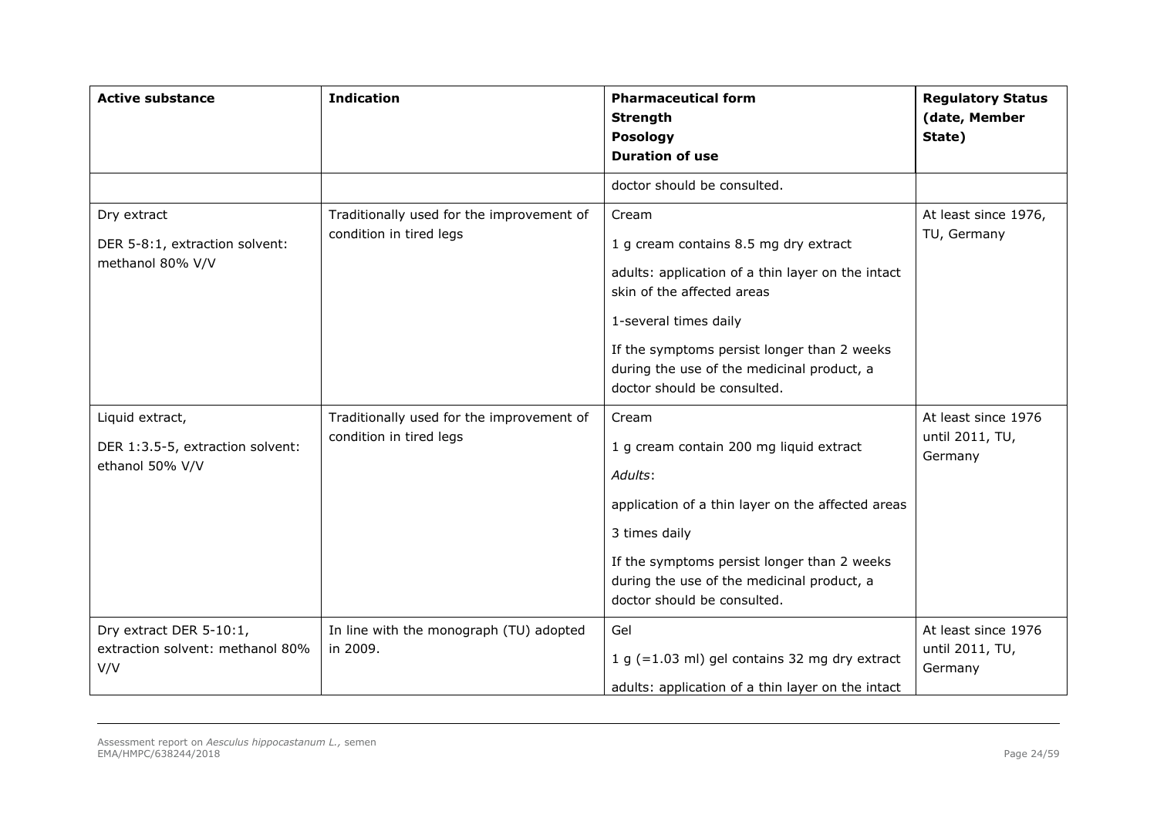| <b>Active substance</b>                                                | <b>Indication</b>                                                    | <b>Pharmaceutical form</b><br><b>Strength</b><br>Posology<br><b>Duration of use</b>                                                                                                                                                                                                    | <b>Regulatory Status</b><br>(date, Member<br>State) |
|------------------------------------------------------------------------|----------------------------------------------------------------------|----------------------------------------------------------------------------------------------------------------------------------------------------------------------------------------------------------------------------------------------------------------------------------------|-----------------------------------------------------|
|                                                                        |                                                                      | doctor should be consulted.                                                                                                                                                                                                                                                            |                                                     |
| Dry extract<br>DER 5-8:1, extraction solvent:<br>methanol 80% V/V      | Traditionally used for the improvement of<br>condition in tired legs | Cream<br>1 g cream contains 8.5 mg dry extract<br>adults: application of a thin layer on the intact<br>skin of the affected areas<br>1-several times daily<br>If the symptoms persist longer than 2 weeks<br>during the use of the medicinal product, a<br>doctor should be consulted. | At least since 1976,<br>TU, Germany                 |
| Liquid extract,<br>DER 1:3.5-5, extraction solvent:<br>ethanol 50% V/V | Traditionally used for the improvement of<br>condition in tired legs | Cream<br>1 g cream contain 200 mg liquid extract<br>Adults:<br>application of a thin layer on the affected areas<br>3 times daily<br>If the symptoms persist longer than 2 weeks<br>during the use of the medicinal product, a<br>doctor should be consulted.                          | At least since 1976<br>until 2011, TU,<br>Germany   |
| Dry extract DER 5-10:1,<br>extraction solvent: methanol 80%<br>V/V     | In line with the monograph (TU) adopted<br>in 2009.                  | Gel<br>1 g $(=1.03$ ml) gel contains 32 mg dry extract<br>adults: application of a thin layer on the intact                                                                                                                                                                            | At least since 1976<br>until 2011, TU,<br>Germany   |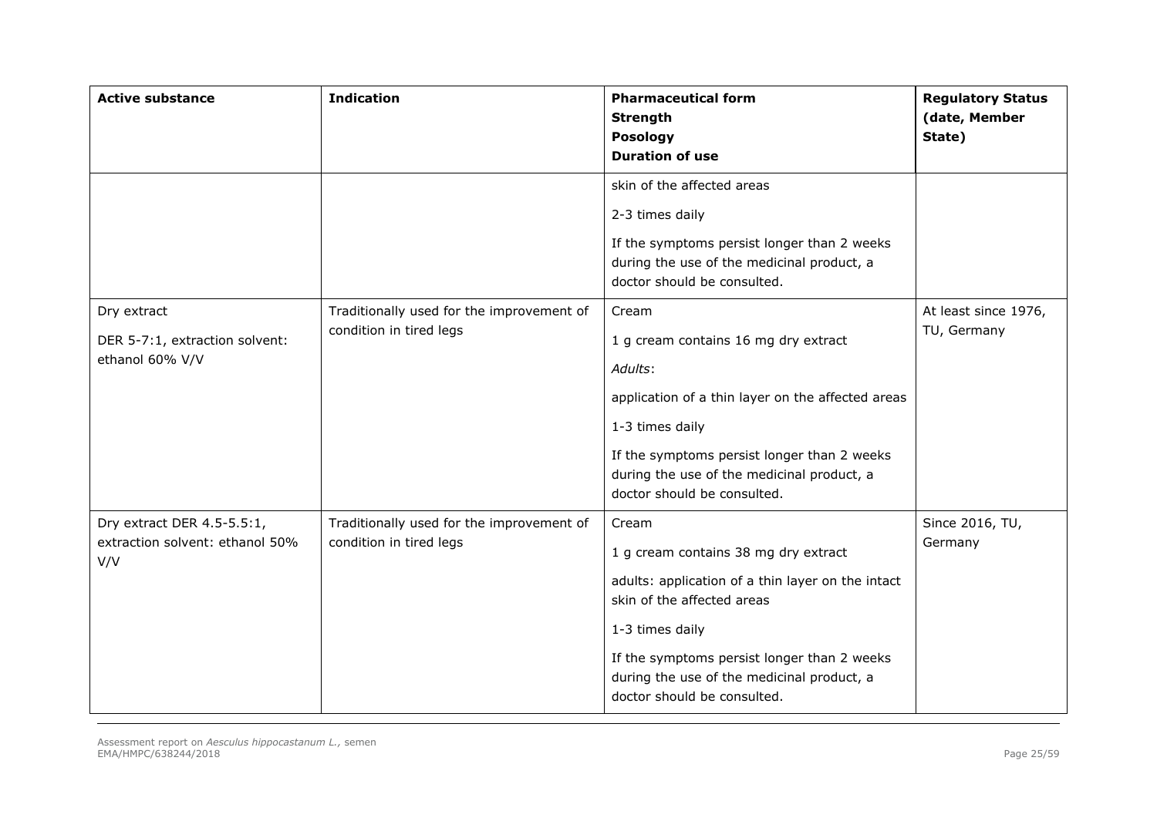| <b>Active substance</b>                                              | <b>Indication</b>                                                    | <b>Pharmaceutical form</b><br><b>Strength</b><br>Posology<br><b>Duration of use</b>                                                                                                                                                                                             | <b>Regulatory Status</b><br>(date, Member<br>State) |
|----------------------------------------------------------------------|----------------------------------------------------------------------|---------------------------------------------------------------------------------------------------------------------------------------------------------------------------------------------------------------------------------------------------------------------------------|-----------------------------------------------------|
|                                                                      |                                                                      | skin of the affected areas<br>2-3 times daily<br>If the symptoms persist longer than 2 weeks<br>during the use of the medicinal product, a<br>doctor should be consulted.                                                                                                       |                                                     |
| Dry extract<br>DER 5-7:1, extraction solvent:<br>ethanol 60% V/V     | Traditionally used for the improvement of<br>condition in tired legs | Cream<br>1 g cream contains 16 mg dry extract<br>Adults:<br>application of a thin layer on the affected areas<br>1-3 times daily<br>If the symptoms persist longer than 2 weeks<br>during the use of the medicinal product, a<br>doctor should be consulted.                    | At least since 1976,<br>TU, Germany                 |
| Dry extract DER 4.5-5.5:1,<br>extraction solvent: ethanol 50%<br>V/V | Traditionally used for the improvement of<br>condition in tired legs | Cream<br>1 g cream contains 38 mg dry extract<br>adults: application of a thin layer on the intact<br>skin of the affected areas<br>1-3 times daily<br>If the symptoms persist longer than 2 weeks<br>during the use of the medicinal product, a<br>doctor should be consulted. | Since 2016, TU,<br>Germany                          |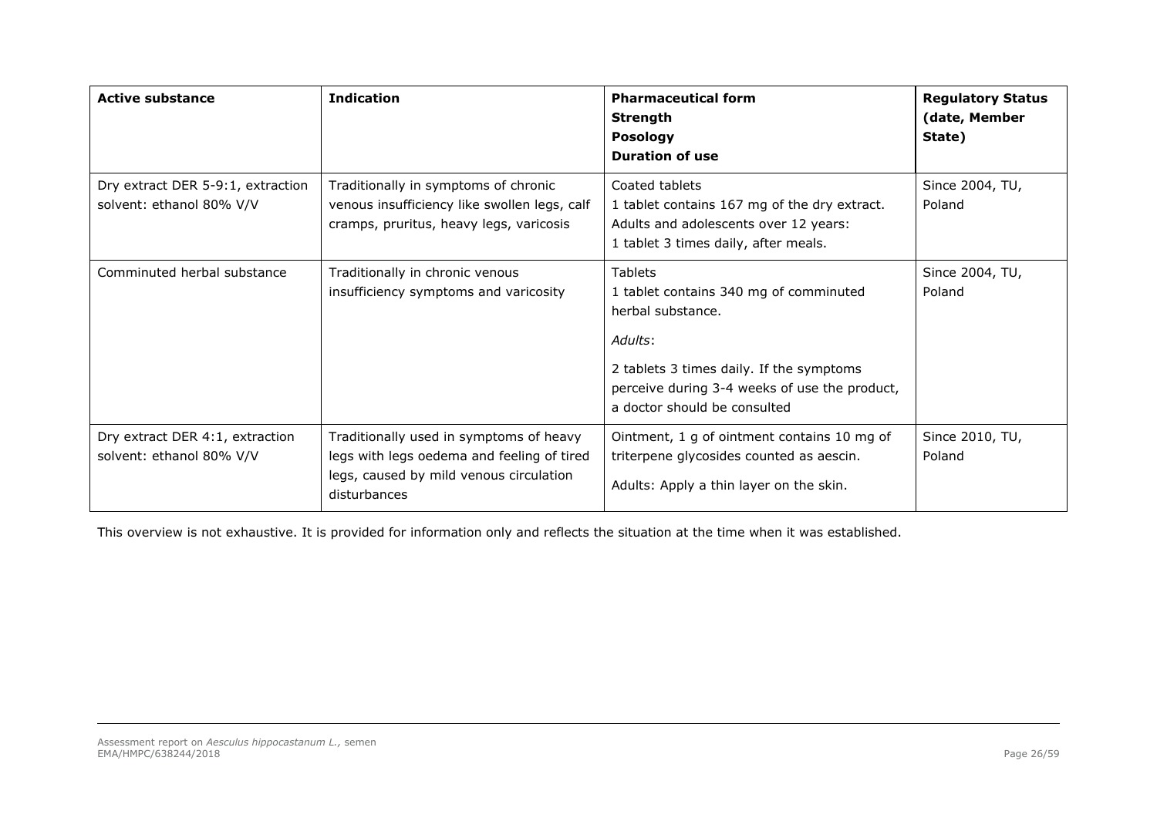| <b>Active substance</b>                                       | <b>Indication</b><br><b>Pharmaceutical form</b><br>Strength<br><b>Posology</b><br><b>Duration of use</b>                                         |                                                                                                                                                                                                                       | <b>Regulatory Status</b><br>(date, Member<br>State) |
|---------------------------------------------------------------|--------------------------------------------------------------------------------------------------------------------------------------------------|-----------------------------------------------------------------------------------------------------------------------------------------------------------------------------------------------------------------------|-----------------------------------------------------|
| Dry extract DER 5-9:1, extraction<br>solvent: ethanol 80% V/V | Traditionally in symptoms of chronic<br>venous insufficiency like swollen legs, calf<br>cramps, pruritus, heavy legs, varicosis                  | Coated tablets<br>1 tablet contains 167 mg of the dry extract.<br>Adults and adolescents over 12 years:<br>1 tablet 3 times daily, after meals.                                                                       | Since 2004, TU,<br>Poland                           |
| Comminuted herbal substance                                   | Traditionally in chronic venous<br>insufficiency symptoms and varicosity                                                                         | <b>Tablets</b><br>1 tablet contains 340 mg of comminuted<br>herbal substance.<br>Adults:<br>2 tablets 3 times daily. If the symptoms<br>perceive during 3-4 weeks of use the product,<br>a doctor should be consulted | Since 2004, TU,<br>Poland                           |
| Dry extract DER 4:1, extraction<br>solvent: ethanol 80% V/V   | Traditionally used in symptoms of heavy<br>legs with legs oedema and feeling of tired<br>legs, caused by mild venous circulation<br>disturbances | Ointment, 1 g of ointment contains 10 mg of<br>triterpene glycosides counted as aescin.<br>Adults: Apply a thin layer on the skin.                                                                                    | Since 2010, TU,<br>Poland                           |

This overview is not exhaustive. It is provided for information only and reflects the situation at the time when it was established.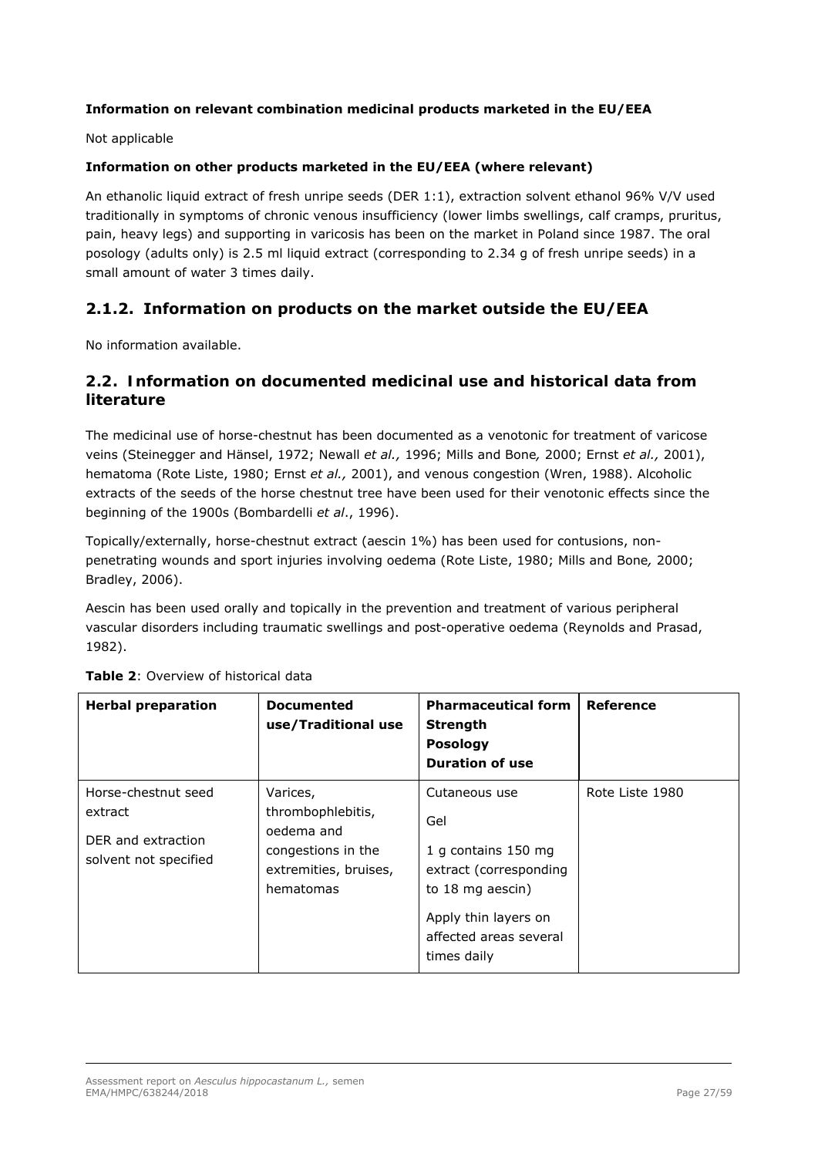## **Information on relevant combination medicinal products marketed in the EU/EEA**

Not applicable

## **Information on other products marketed in the EU/EEA (where relevant)**

An ethanolic liquid extract of fresh unripe seeds (DER 1:1), extraction solvent ethanol 96% V/V used traditionally in symptoms of chronic venous insufficiency (lower limbs swellings, calf cramps, pruritus, pain, heavy legs) and supporting in varicosis has been on the market in Poland since 1987. The oral posology (adults only) is 2.5 ml liquid extract (corresponding to 2.34 g of fresh unripe seeds) in a small amount of water 3 times daily.

# **2.1.2. Information on products on the market outside the EU/EEA**

No information available.

# *2.2. Information on documented medicinal use and historical data from literature*

The medicinal use of horse-chestnut has been documented as a venotonic for treatment of varicose veins (Steinegger and Hänsel, 1972; Newall *et al.,* 1996; Mills and Bone*,* 2000; Ernst *et al.,* 2001), hematoma (Rote Liste, 1980; Ernst *et al.,* 2001), and venous congestion (Wren, 1988). Alcoholic extracts of the seeds of the horse chestnut tree have been used for their venotonic effects since the beginning of the 1900s (Bombardelli *et al*., 1996).

Topically/externally, horse-chestnut extract (aescin 1%) has been used for contusions, nonpenetrating wounds and sport injuries involving oedema (Rote Liste, 1980; Mills and Bone*,* 2000; Bradley, 2006).

Aescin has been used orally and topically in the prevention and treatment of various peripheral vascular disorders including traumatic swellings and post-operative oedema (Reynolds and Prasad, 1982).

| <b>Herbal preparation</b>                                                     | <b>Documented</b><br>use/Traditional use                                                                | <b>Pharmaceutical form</b><br><b>Strength</b><br><b>Posology</b><br><b>Duration of use</b>                                                                 | Reference       |
|-------------------------------------------------------------------------------|---------------------------------------------------------------------------------------------------------|------------------------------------------------------------------------------------------------------------------------------------------------------------|-----------------|
| Horse-chestnut seed<br>extract<br>DER and extraction<br>solvent not specified | Varices,<br>thrombophlebitis,<br>oedema and<br>congestions in the<br>extremities, bruises,<br>hematomas | Cutaneous use<br>Gel<br>1 g contains 150 mg<br>extract (corresponding<br>to 18 mg aescin)<br>Apply thin layers on<br>affected areas several<br>times daily | Rote Liste 1980 |

| <b>Table 2:</b> Overview of historical data |  |  |  |  |  |  |  |
|---------------------------------------------|--|--|--|--|--|--|--|
|---------------------------------------------|--|--|--|--|--|--|--|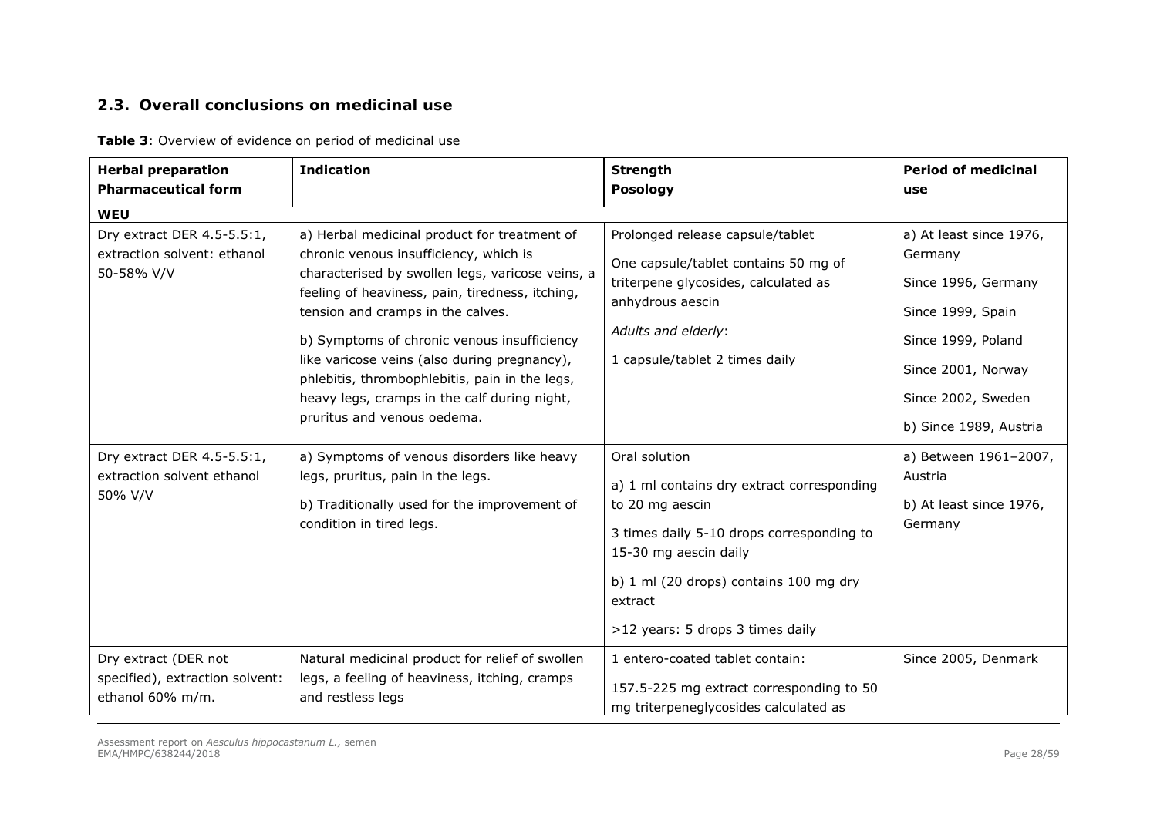# *2.3. Overall conclusions on medicinal use*

**Table 3**: Overview of evidence on period of medicinal use

| <b>Herbal preparation</b><br><b>Pharmaceutical form</b>                     | <b>Indication</b>                                                                                                                                                                                                                                                                                                                                                                                                                                                  | <b>Strength</b><br><b>Posology</b>                                                                                                                                                                                                            | <b>Period of medicinal</b><br>use                                                                                                                                          |
|-----------------------------------------------------------------------------|--------------------------------------------------------------------------------------------------------------------------------------------------------------------------------------------------------------------------------------------------------------------------------------------------------------------------------------------------------------------------------------------------------------------------------------------------------------------|-----------------------------------------------------------------------------------------------------------------------------------------------------------------------------------------------------------------------------------------------|----------------------------------------------------------------------------------------------------------------------------------------------------------------------------|
| <b>WEU</b>                                                                  |                                                                                                                                                                                                                                                                                                                                                                                                                                                                    |                                                                                                                                                                                                                                               |                                                                                                                                                                            |
| Dry extract DER 4.5-5.5:1,<br>extraction solvent: ethanol<br>50-58% V/V     | a) Herbal medicinal product for treatment of<br>chronic venous insufficiency, which is<br>characterised by swollen legs, varicose veins, a<br>feeling of heaviness, pain, tiredness, itching,<br>tension and cramps in the calves.<br>b) Symptoms of chronic venous insufficiency<br>like varicose veins (also during pregnancy),<br>phlebitis, thrombophlebitis, pain in the legs,<br>heavy legs, cramps in the calf during night,<br>pruritus and venous oedema. | Prolonged release capsule/tablet<br>One capsule/tablet contains 50 mg of<br>triterpene glycosides, calculated as<br>anhydrous aescin<br>Adults and elderly:<br>1 capsule/tablet 2 times daily                                                 | a) At least since 1976,<br>Germany<br>Since 1996, Germany<br>Since 1999, Spain<br>Since 1999, Poland<br>Since 2001, Norway<br>Since 2002, Sweden<br>b) Since 1989, Austria |
| Dry extract DER 4.5-5.5:1,<br>extraction solvent ethanol<br>50% V/V         | a) Symptoms of venous disorders like heavy<br>legs, pruritus, pain in the legs.<br>b) Traditionally used for the improvement of<br>condition in tired legs.                                                                                                                                                                                                                                                                                                        | Oral solution<br>a) 1 ml contains dry extract corresponding<br>to 20 mg aescin<br>3 times daily 5-10 drops corresponding to<br>15-30 mg aescin daily<br>b) 1 ml (20 drops) contains 100 mg dry<br>extract<br>>12 years: 5 drops 3 times daily | a) Between 1961-2007,<br>Austria<br>b) At least since 1976,<br>Germany                                                                                                     |
| Dry extract (DER not<br>specified), extraction solvent:<br>ethanol 60% m/m. | Natural medicinal product for relief of swollen<br>legs, a feeling of heaviness, itching, cramps<br>and restless legs                                                                                                                                                                                                                                                                                                                                              | 1 entero-coated tablet contain:<br>157.5-225 mg extract corresponding to 50<br>mg triterpeneglycosides calculated as                                                                                                                          | Since 2005, Denmark                                                                                                                                                        |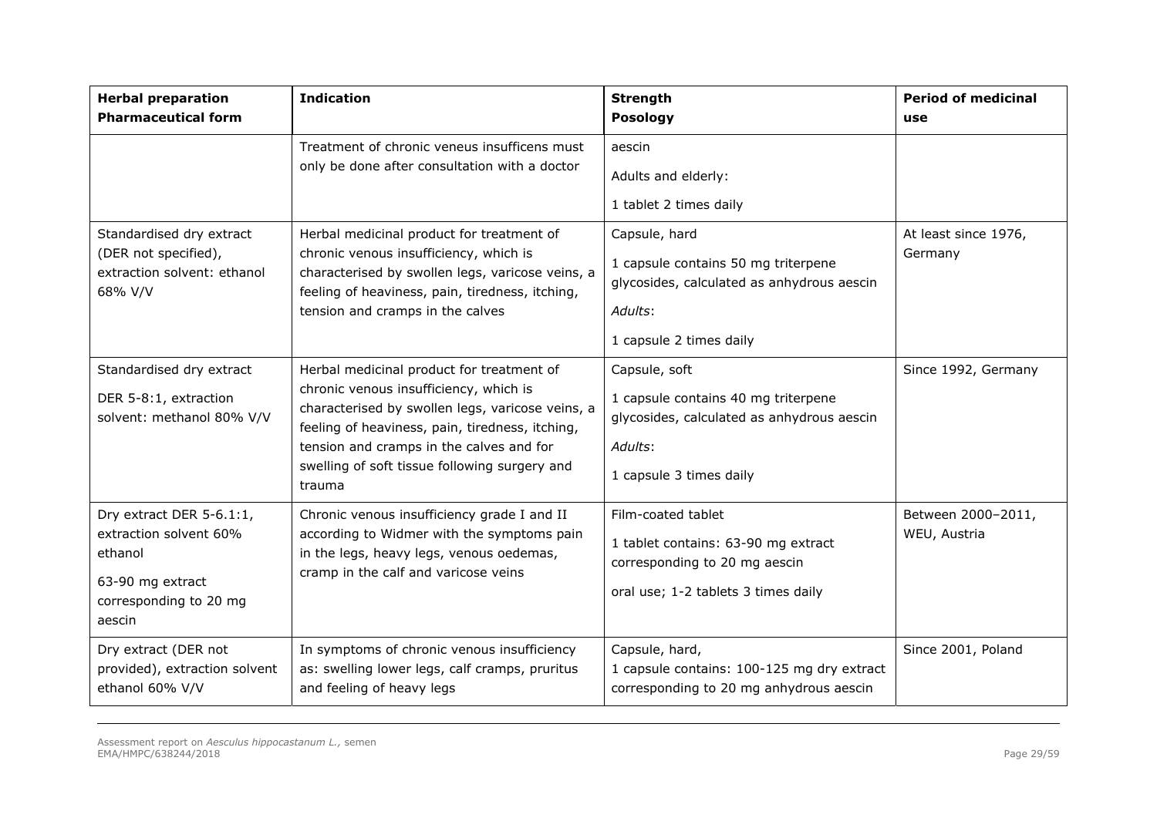| <b>Herbal preparation</b><br><b>Pharmaceutical form</b>                                                               | <b>Indication</b>                                                                                                                                                                                                                                                                                 | <b>Strength</b><br><b>Posology</b>                                                                                                       | <b>Period of medicinal</b><br>use  |
|-----------------------------------------------------------------------------------------------------------------------|---------------------------------------------------------------------------------------------------------------------------------------------------------------------------------------------------------------------------------------------------------------------------------------------------|------------------------------------------------------------------------------------------------------------------------------------------|------------------------------------|
|                                                                                                                       | Treatment of chronic veneus insufficens must<br>only be done after consultation with a doctor                                                                                                                                                                                                     | aescin<br>Adults and elderly:<br>1 tablet 2 times daily                                                                                  |                                    |
| Standardised dry extract<br>(DER not specified),<br>extraction solvent: ethanol<br>68% V/V                            | Herbal medicinal product for treatment of<br>chronic venous insufficiency, which is<br>characterised by swollen legs, varicose veins, a<br>feeling of heaviness, pain, tiredness, itching,<br>tension and cramps in the calves                                                                    | Capsule, hard<br>1 capsule contains 50 mg triterpene<br>glycosides, calculated as anhydrous aescin<br>Adults:<br>1 capsule 2 times daily | At least since 1976,<br>Germany    |
| Standardised dry extract<br>DER 5-8:1, extraction<br>solvent: methanol 80% V/V                                        | Herbal medicinal product for treatment of<br>chronic venous insufficiency, which is<br>characterised by swollen legs, varicose veins, a<br>feeling of heaviness, pain, tiredness, itching,<br>tension and cramps in the calves and for<br>swelling of soft tissue following surgery and<br>trauma | Capsule, soft<br>1 capsule contains 40 mg triterpene<br>glycosides, calculated as anhydrous aescin<br>Adults:<br>1 capsule 3 times daily | Since 1992, Germany                |
| Dry extract DER 5-6.1:1,<br>extraction solvent 60%<br>ethanol<br>63-90 mg extract<br>corresponding to 20 mg<br>aescin | Chronic venous insufficiency grade I and II<br>according to Widmer with the symptoms pain<br>in the legs, heavy legs, venous oedemas,<br>cramp in the calf and varicose veins                                                                                                                     | Film-coated tablet<br>1 tablet contains: 63-90 mg extract<br>corresponding to 20 mg aescin<br>oral use; 1-2 tablets 3 times daily        | Between 2000-2011,<br>WEU, Austria |
| Dry extract (DER not<br>provided), extraction solvent<br>ethanol 60% V/V                                              | In symptoms of chronic venous insufficiency<br>as: swelling lower legs, calf cramps, pruritus<br>and feeling of heavy legs                                                                                                                                                                        | Capsule, hard,<br>1 capsule contains: 100-125 mg dry extract<br>corresponding to 20 mg anhydrous aescin                                  | Since 2001, Poland                 |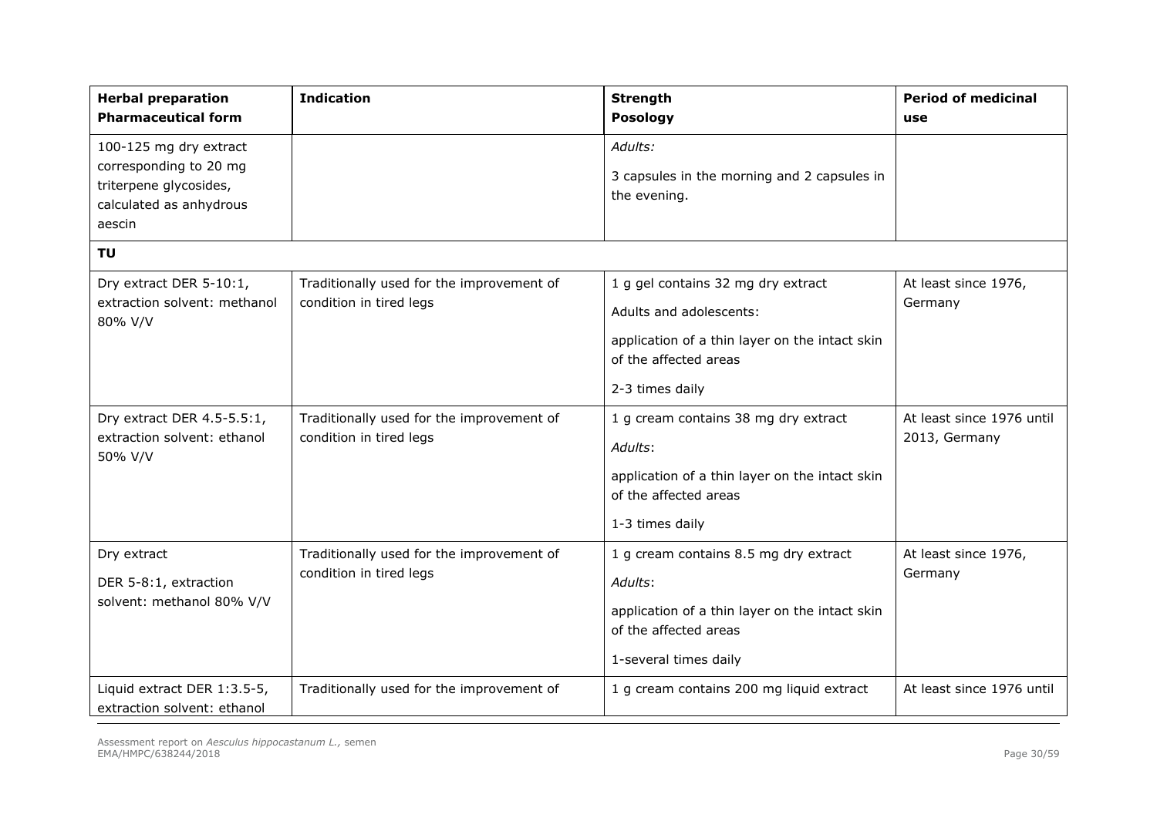| <b>Herbal preparation</b><br><b>Pharmaceutical form</b>                                                         | <b>Indication</b>                                                    | <b>Strength</b><br><b>Posology</b>                                                                                                                          | <b>Period of medicinal</b><br>use          |
|-----------------------------------------------------------------------------------------------------------------|----------------------------------------------------------------------|-------------------------------------------------------------------------------------------------------------------------------------------------------------|--------------------------------------------|
| 100-125 mg dry extract<br>corresponding to 20 mg<br>triterpene glycosides,<br>calculated as anhydrous<br>aescin |                                                                      | Adults:<br>3 capsules in the morning and 2 capsules in<br>the evening.                                                                                      |                                            |
| <b>TU</b>                                                                                                       |                                                                      |                                                                                                                                                             |                                            |
| Dry extract DER 5-10:1,<br>extraction solvent: methanol<br>80% V/V                                              | Traditionally used for the improvement of<br>condition in tired legs | 1 g gel contains 32 mg dry extract<br>Adults and adolescents:<br>application of a thin layer on the intact skin<br>of the affected areas<br>2-3 times daily | At least since 1976,<br>Germany            |
| Dry extract DER 4.5-5.5:1,<br>extraction solvent: ethanol<br>50% V/V                                            | Traditionally used for the improvement of<br>condition in tired legs | 1 g cream contains 38 mg dry extract<br>Adults:<br>application of a thin layer on the intact skin<br>of the affected areas<br>1-3 times daily               | At least since 1976 until<br>2013, Germany |
| Dry extract<br>DER 5-8:1, extraction<br>solvent: methanol 80% V/V                                               | Traditionally used for the improvement of<br>condition in tired legs | 1 g cream contains 8.5 mg dry extract<br>Adults:<br>application of a thin layer on the intact skin<br>of the affected areas<br>1-several times daily        | At least since 1976,<br>Germany            |
| Liquid extract DER 1:3.5-5,<br>extraction solvent: ethanol                                                      | Traditionally used for the improvement of                            | 1 g cream contains 200 mg liquid extract                                                                                                                    | At least since 1976 until                  |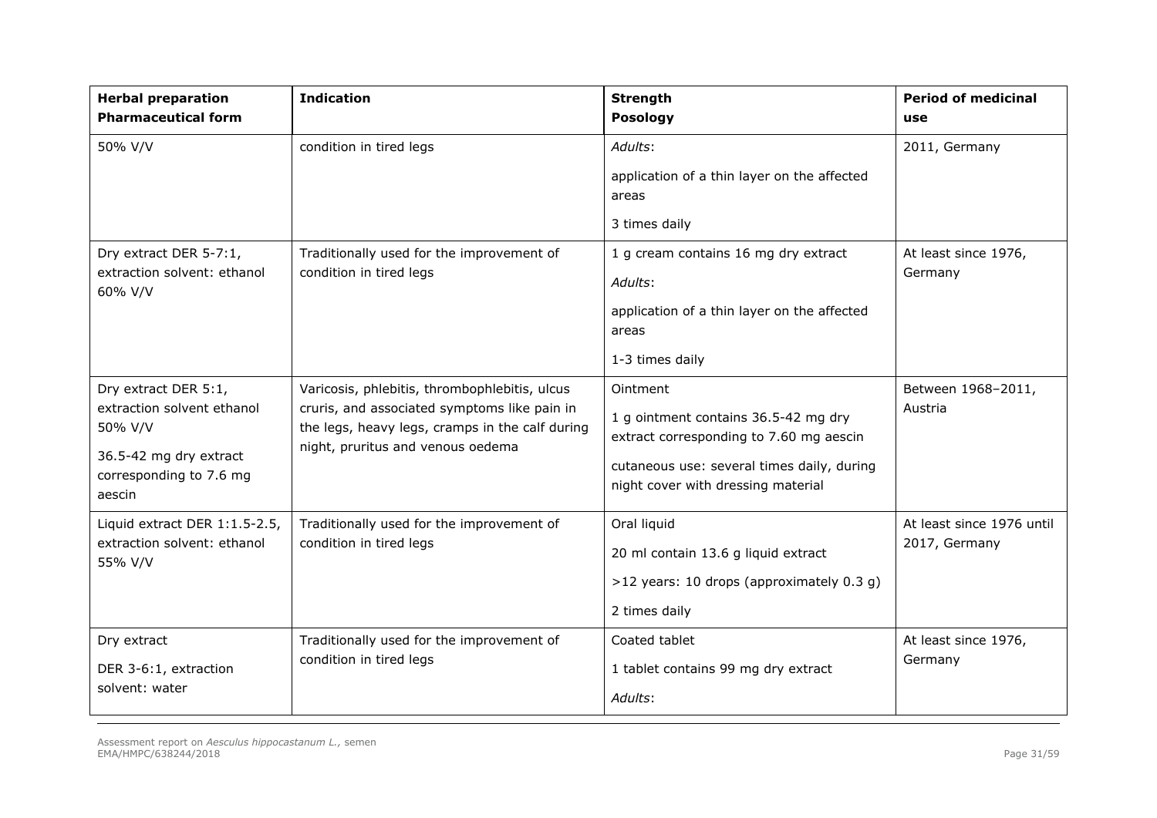| <b>Herbal preparation</b><br><b>Pharmaceutical form</b>                                                                      | <b>Indication</b>                                                                                                                                                                     | <b>Strength</b><br><b>Posology</b>                                                                                                                                              | <b>Period of medicinal</b><br>use          |
|------------------------------------------------------------------------------------------------------------------------------|---------------------------------------------------------------------------------------------------------------------------------------------------------------------------------------|---------------------------------------------------------------------------------------------------------------------------------------------------------------------------------|--------------------------------------------|
| 50% V/V                                                                                                                      | condition in tired legs                                                                                                                                                               | Adults:<br>application of a thin layer on the affected<br>areas<br>3 times daily                                                                                                | 2011, Germany                              |
| Dry extract DER 5-7:1,<br>extraction solvent: ethanol<br>60% V/V                                                             | Traditionally used for the improvement of<br>condition in tired legs                                                                                                                  | 1 g cream contains 16 mg dry extract<br>Adults:<br>application of a thin layer on the affected<br>areas<br>1-3 times daily                                                      | At least since 1976,<br>Germany            |
| Dry extract DER 5:1,<br>extraction solvent ethanol<br>50% V/V<br>36.5-42 mg dry extract<br>corresponding to 7.6 mg<br>aescin | Varicosis, phlebitis, thrombophlebitis, ulcus<br>cruris, and associated symptoms like pain in<br>the legs, heavy legs, cramps in the calf during<br>night, pruritus and venous oedema | Ointment<br>1 g ointment contains 36.5-42 mg dry<br>extract corresponding to 7.60 mg aescin<br>cutaneous use: several times daily, during<br>night cover with dressing material | Between 1968-2011,<br>Austria              |
| Liquid extract DER 1:1.5-2.5,<br>extraction solvent: ethanol<br>55% V/V                                                      | Traditionally used for the improvement of<br>condition in tired legs                                                                                                                  | Oral liquid<br>20 ml contain 13.6 g liquid extract<br>>12 years: 10 drops (approximately 0.3 g)<br>2 times daily                                                                | At least since 1976 until<br>2017, Germany |
| Dry extract<br>DER 3-6:1, extraction<br>solvent: water                                                                       | Traditionally used for the improvement of<br>condition in tired legs                                                                                                                  | Coated tablet<br>1 tablet contains 99 mg dry extract<br>Adults:                                                                                                                 | At least since 1976,<br>Germany            |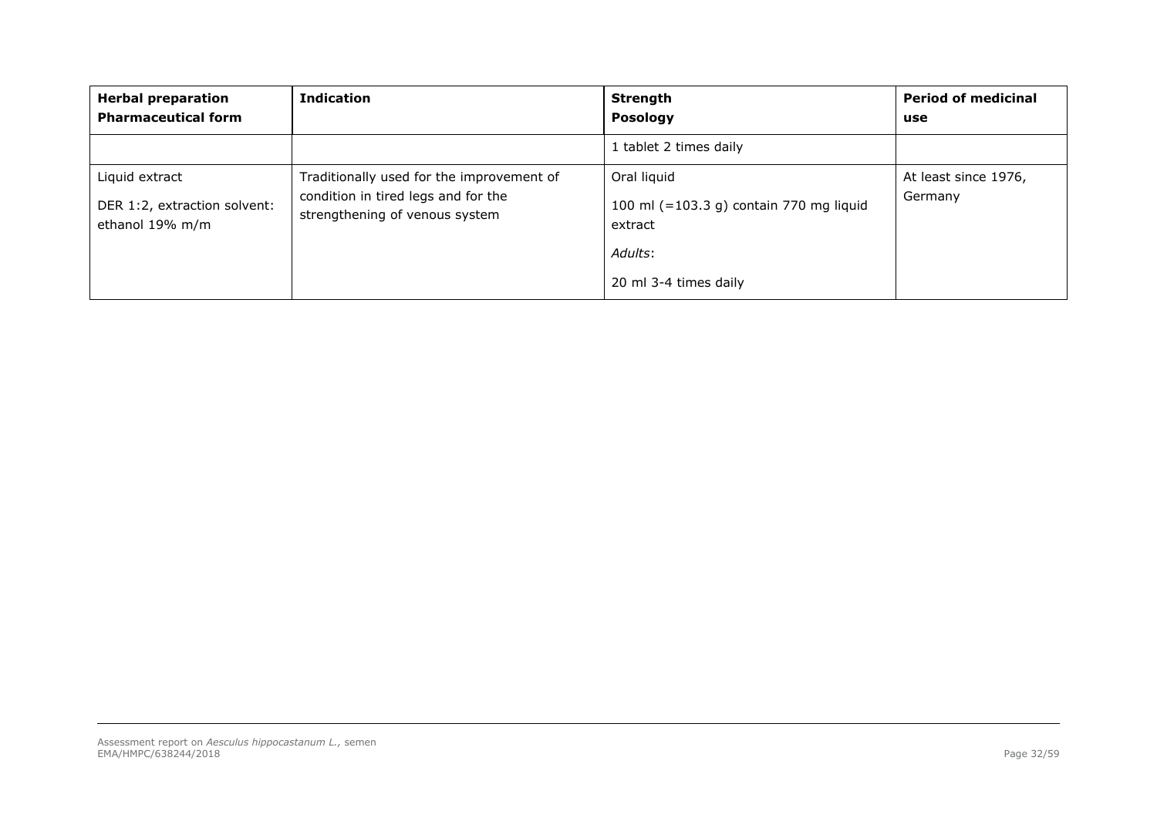| <b>Herbal preparation</b><br><b>Pharmaceutical form</b>           | <b>Indication</b>                                                                                                  | <b>Strength</b><br><b>Posology</b>                                                                    | <b>Period of medicinal</b><br>use |
|-------------------------------------------------------------------|--------------------------------------------------------------------------------------------------------------------|-------------------------------------------------------------------------------------------------------|-----------------------------------|
|                                                                   |                                                                                                                    | 1 tablet 2 times daily                                                                                |                                   |
| Liquid extract<br>DER 1:2, extraction solvent:<br>ethanol 19% m/m | Traditionally used for the improvement of<br>condition in tired legs and for the<br>strengthening of venous system | Oral liquid<br>100 ml (=103.3 g) contain 770 mg liquid<br>extract<br>Adults:<br>20 ml 3-4 times daily | At least since 1976,<br>Germany   |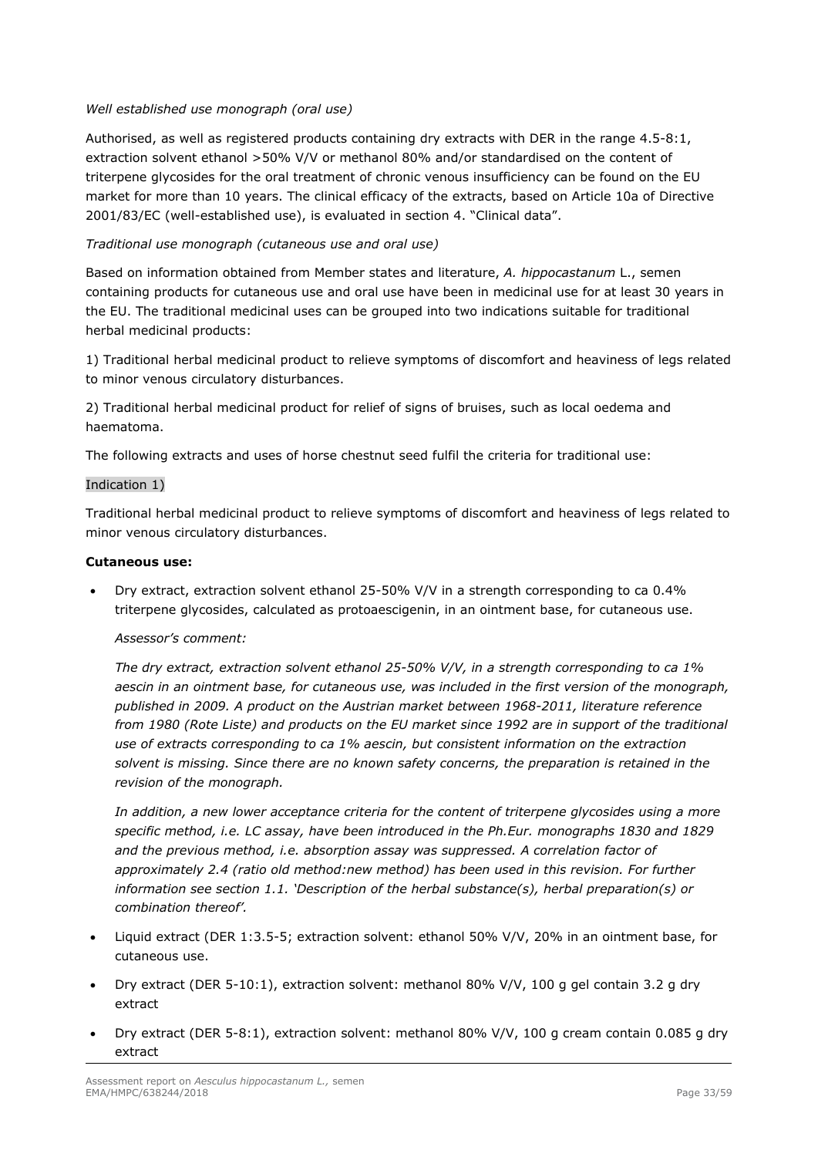## *Well established use monograph (oral use)*

Authorised, as well as registered products containing dry extracts with DER in the range 4.5-8:1, extraction solvent ethanol >50% V/V or methanol 80% and/or standardised on the content of triterpene glycosides for the oral treatment of chronic venous insufficiency can be found on the EU market for more than 10 years. The clinical efficacy of the extracts, based on Article 10a of Directive 2001/83/EC (well-established use), is evaluated in section 4. "Clinical data".

## *Traditional use monograph (cutaneous use and oral use)*

Based on information obtained from Member states and literature, *A. hippocastanum* L., semen containing products for cutaneous use and oral use have been in medicinal use for at least 30 years in the EU. The traditional medicinal uses can be grouped into two indications suitable for traditional herbal medicinal products:

1) Traditional herbal medicinal product to relieve symptoms of discomfort and heaviness of legs related to minor venous circulatory disturbances.

2) Traditional herbal medicinal product for relief of signs of bruises, such as local oedema and haematoma.

The following extracts and uses of horse chestnut seed fulfil the criteria for traditional use:

### Indication 1)

Traditional herbal medicinal product to relieve symptoms of discomfort and heaviness of legs related to minor venous circulatory disturbances.

### **Cutaneous use:**

 Dry extract, extraction solvent ethanol 25-50% V/V in a strength corresponding to ca 0.4% triterpene glycosides, calculated as protoaescigenin, in an ointment base, for cutaneous use.

### *Assessor's comment:*

*The dry extract, extraction solvent ethanol 25-50% V/V, in a strength corresponding to ca 1% aescin in an ointment base, for cutaneous use, was included in the first version of the monograph, published in 2009. A product on the Austrian market between 1968-2011, literature reference from 1980 (Rote Liste) and products on the EU market since 1992 are in support of the traditional use of extracts corresponding to ca 1% aescin, but consistent information on the extraction solvent is missing. Since there are no known safety concerns, the preparation is retained in the revision of the monograph.* 

*In addition, a new lower acceptance criteria for the content of triterpene glycosides using a more specific method, i.e. LC assay, have been introduced in the Ph.Eur. monographs 1830 and 1829 and the previous method, i.e. absorption assay was suppressed. A correlation factor of approximately 2.4 (ratio old method:new method) has been used in this revision. For further information see section 1.1. 'Description of the herbal substance(s), herbal preparation(s) or combination thereof'.* 

- Liquid extract (DER 1:3.5-5; extraction solvent: ethanol 50% V/V, 20% in an ointment base, for cutaneous use.
- Dry extract (DER 5-10:1), extraction solvent: methanol 80% V/V, 100 g gel contain 3.2 g dry extract
- Dry extract (DER 5-8:1), extraction solvent: methanol 80% V/V, 100 g cream contain 0.085 g dry extract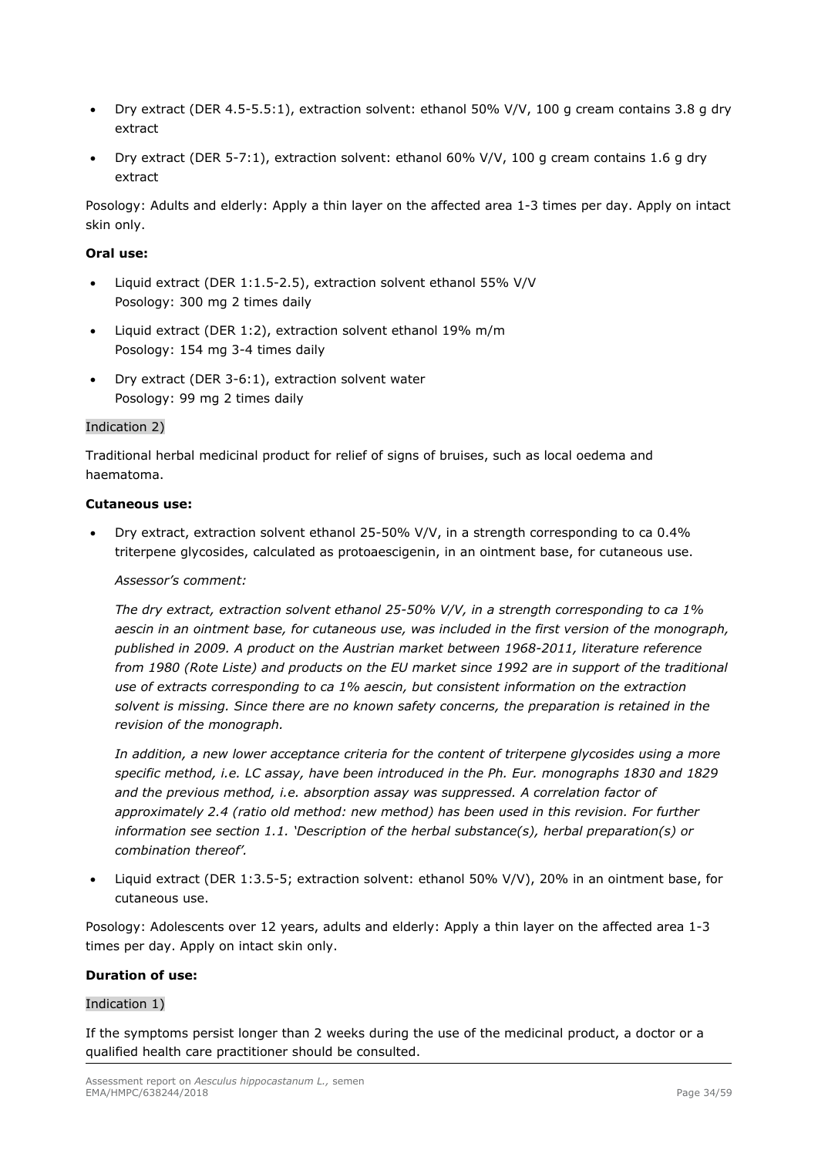- Dry extract (DER 4.5-5.5:1), extraction solvent: ethanol 50% V/V, 100 g cream contains 3.8 g dry extract
- Dry extract (DER 5-7:1), extraction solvent: ethanol  $60\%$  V/V, 100 g cream contains 1.6 g dry extract

Posology: Adults and elderly: Apply a thin layer on the affected area 1-3 times per day. Apply on intact skin only.

## **Oral use:**

- Liquid extract (DER 1:1.5-2.5), extraction solvent ethanol 55% V/V Posology: 300 mg 2 times daily
- Liquid extract (DER 1:2), extraction solvent ethanol 19% m/m Posology: 154 mg 3-4 times daily
- Dry extract (DER 3-6:1), extraction solvent water Posology: 99 mg 2 times daily

### Indication 2)

Traditional herbal medicinal product for relief of signs of bruises, such as local oedema and haematoma.

### **Cutaneous use:**

 Dry extract, extraction solvent ethanol 25-50% V/V, in a strength corresponding to ca 0.4% triterpene glycosides, calculated as protoaescigenin, in an ointment base, for cutaneous use.

### *Assessor's comment:*

*The dry extract, extraction solvent ethanol 25-50% V/V, in a strength corresponding to ca 1% aescin in an ointment base, for cutaneous use, was included in the first version of the monograph, published in 2009. A product on the Austrian market between 1968-2011, literature reference from 1980 (Rote Liste) and products on the EU market since 1992 are in support of the traditional use of extracts corresponding to ca 1% aescin, but consistent information on the extraction solvent is missing. Since there are no known safety concerns, the preparation is retained in the revision of the monograph.* 

*In addition, a new lower acceptance criteria for the content of triterpene glycosides using a more specific method, i.e. LC assay, have been introduced in the Ph. Eur. monographs 1830 and 1829 and the previous method, i.e. absorption assay was suppressed. A correlation factor of approximately 2.4 (ratio old method: new method) has been used in this revision. For further information see section 1.1. 'Description of the herbal substance(s), herbal preparation(s) or combination thereof'.* 

 Liquid extract (DER 1:3.5-5; extraction solvent: ethanol 50% V/V), 20% in an ointment base, for cutaneous use.

Posology: Adolescents over 12 years, adults and elderly: Apply a thin layer on the affected area 1-3 times per day. Apply on intact skin only.

### **Duration of use:**

### Indication 1)

If the symptoms persist longer than 2 weeks during the use of the medicinal product, a doctor or a qualified health care practitioner should be consulted.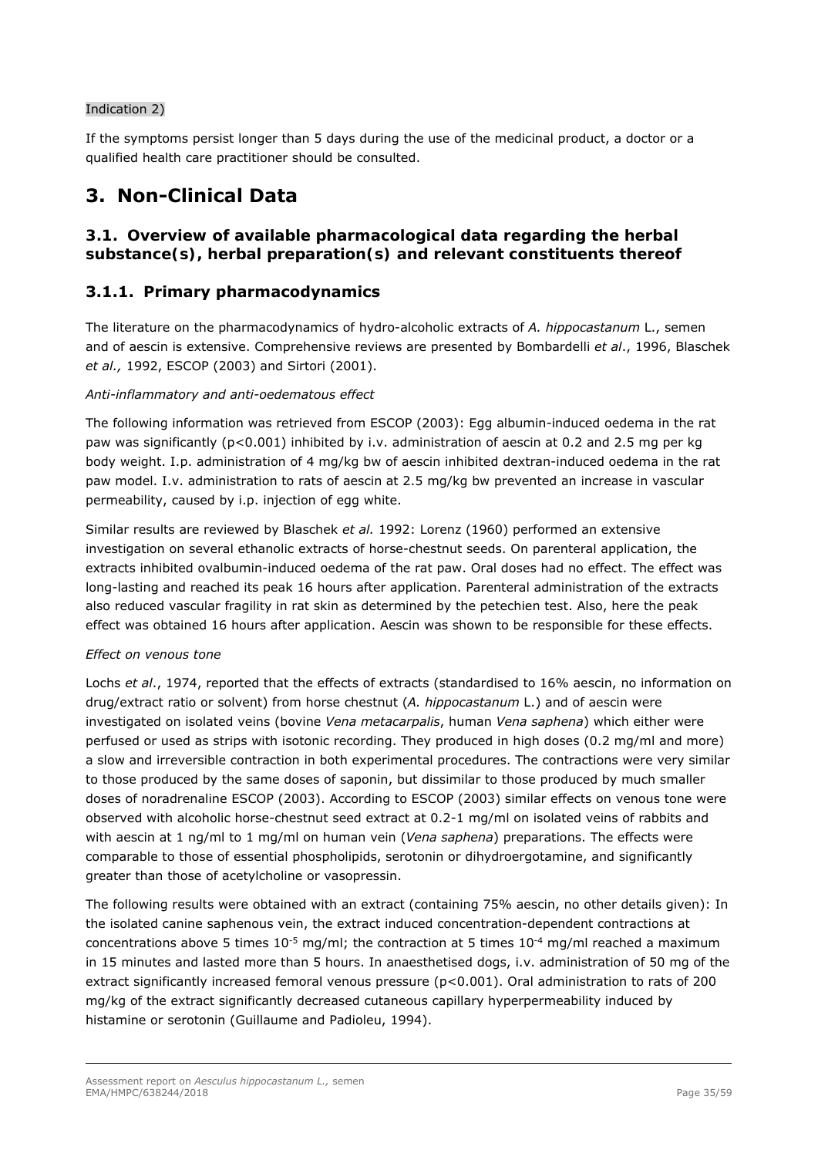## Indication 2)

If the symptoms persist longer than 5 days during the use of the medicinal product, a doctor or a qualified health care practitioner should be consulted.

# **3. Non-Clinical Data**

# *3.1. Overview of available pharmacological data regarding the herbal substance(s), herbal preparation(s) and relevant constituents thereof*

# **3.1.1. Primary pharmacodynamics**

The literature on the pharmacodynamics of hydro-alcoholic extracts of *A. hippocastanum* L., semen and of aescin is extensive. Comprehensive reviews are presented by Bombardelli *et al*., 1996, Blaschek *et al.,* 1992, ESCOP (2003) and Sirtori (2001).

## *Anti-inflammatory and anti-oedematous effect*

The following information was retrieved from ESCOP (2003): Egg albumin-induced oedema in the rat paw was significantly (p<0.001) inhibited by i.v. administration of aescin at 0.2 and 2.5 mg per kg body weight. I.p. administration of 4 mg/kg bw of aescin inhibited dextran-induced oedema in the rat paw model. I.v. administration to rats of aescin at 2.5 mg/kg bw prevented an increase in vascular permeability, caused by i.p. injection of egg white.

Similar results are reviewed by Blaschek *et al.* 1992: Lorenz (1960) performed an extensive investigation on several ethanolic extracts of horse-chestnut seeds. On parenteral application, the extracts inhibited ovalbumin-induced oedema of the rat paw. Oral doses had no effect. The effect was long-lasting and reached its peak 16 hours after application. Parenteral administration of the extracts also reduced vascular fragility in rat skin as determined by the petechien test. Also, here the peak effect was obtained 16 hours after application. Aescin was shown to be responsible for these effects.

### *Effect on venous tone*

Lochs *et al*., 1974, reported that the effects of extracts (standardised to 16% aescin, no information on drug/extract ratio or solvent) from horse chestnut (*A. hippocastanum* L.) and of aescin were investigated on isolated veins (bovine *Vena metacarpalis*, human *Vena saphena*) which either were perfused or used as strips with isotonic recording. They produced in high doses (0.2 mg/ml and more) a slow and irreversible contraction in both experimental procedures. The contractions were very similar to those produced by the same doses of saponin, but dissimilar to those produced by much smaller doses of noradrenaline ESCOP (2003). According to ESCOP (2003) similar effects on venous tone were observed with alcoholic horse-chestnut seed extract at 0.2-1 mg/ml on isolated veins of rabbits and with aescin at 1 ng/ml to 1 mg/ml on human vein (*Vena saphena*) preparations. The effects were comparable to those of essential phospholipids, serotonin or dihydroergotamine, and significantly greater than those of acetylcholine or vasopressin.

The following results were obtained with an extract (containing 75% aescin, no other details given): In the isolated canine saphenous vein, the extract induced concentration-dependent contractions at concentrations above 5 times  $10^{-5}$  mg/ml; the contraction at 5 times  $10^{-4}$  mg/ml reached a maximum in 15 minutes and lasted more than 5 hours. In anaesthetised dogs, i.v. administration of 50 mg of the extract significantly increased femoral venous pressure (p<0.001). Oral administration to rats of 200 mg/kg of the extract significantly decreased cutaneous capillary hyperpermeability induced by histamine or serotonin (Guillaume and Padioleu, 1994).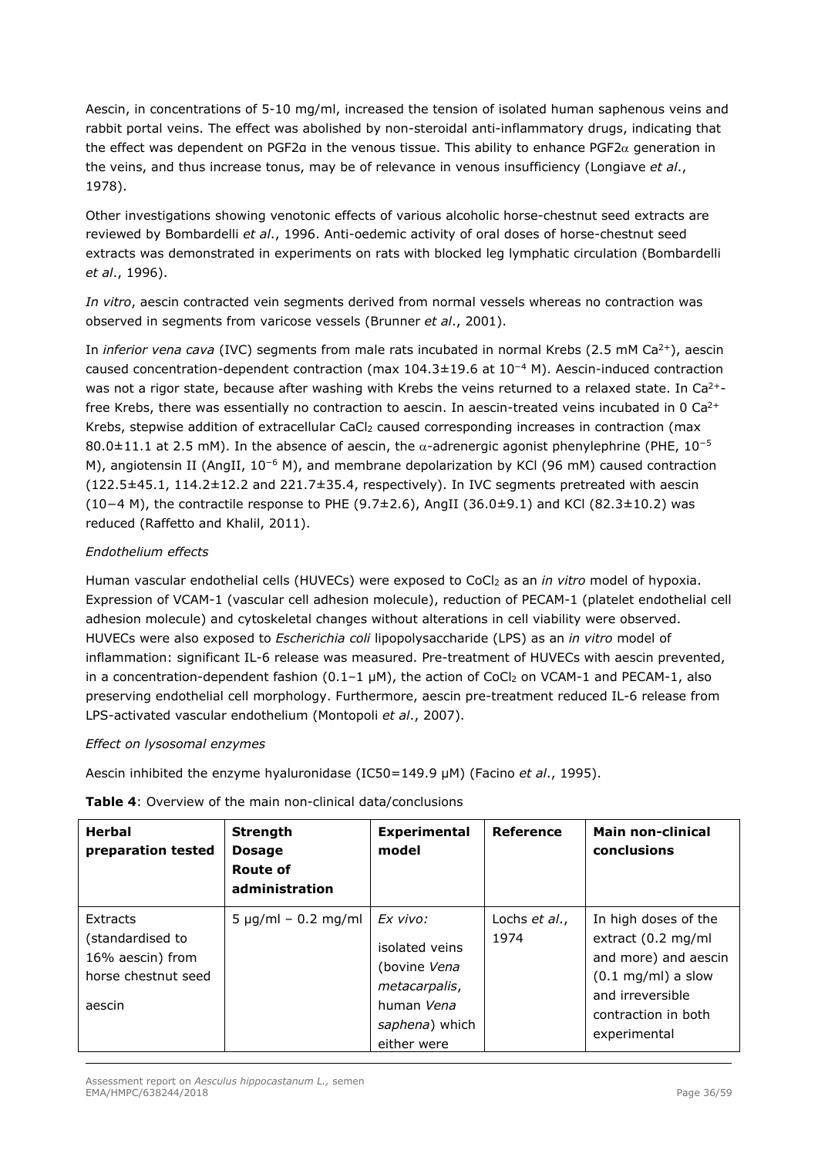Aescin, in concentrations of 5-10 mg/ml, increased the tension of isolated human saphenous veins and rabbit portal veins. The effect was abolished by non-steroidal anti-inflammatory drugs, indicating that the effect was dependent on PGF2a in the venous tissue. This ability to enhance PGF2 $\alpha$  generation in the veins, and thus increase tonus, may be of relevance in venous insufficiency (Longiave *et al*., 1978).

Other investigations showing venotonic effects of various alcoholic horse-chestnut seed extracts are reviewed by Bombardelli *et al*., 1996. Anti-oedemic activity of oral doses of horse-chestnut seed extracts was demonstrated in experiments on rats with blocked leg lymphatic circulation (Bombardelli *et al*., 1996).

*In vitro*, aescin contracted vein segments derived from normal vessels whereas no contraction was observed in segments from varicose vessels (Brunner *et al*., 2001).

In *inferior vena cava* (IVC) segments from male rats incubated in normal Krebs (2.5 mM Ca<sup>2+</sup>), aescin caused concentration-dependent contraction (max 104.3±19.6 at 10<sup>−</sup>4 M). Aescin-induced contraction was not a rigor state, because after washing with Krebs the veins returned to a relaxed state. In Ca<sup>2+</sup>free Krebs, there was essentially no contraction to aescin. In aescin-treated veins incubated in 0  $Ca<sup>2+</sup>$ Krebs, stepwise addition of extracellular CaCl<sub>2</sub> caused corresponding increases in contraction (max 80.0 $\pm$ 11.1 at 2.5 mM). In the absence of aescin, the  $\alpha$ -adrenergic agonist phenylephrine (PHE, 10<sup>-5</sup> M), angiotensin II (AngII, 10<sup>-6</sup> M), and membrane depolarization by KCl (96 mM) caused contraction (122.5±45.1, 114.2±12.2 and 221.7±35.4, respectively). In IVC segments pretreated with aescin (10−4 M), the contractile response to PHE (9.7±2.6), AngII (36.0±9.1) and KCl (82.3±10.2) was reduced (Raffetto and Khalil, 2011).

## *Endothelium effects*

Human vascular endothelial cells (HUVECs) were exposed to CoCl2 as an *in vitro* model of hypoxia. Expression of VCAM-1 (vascular cell adhesion molecule), reduction of PECAM-1 (platelet endothelial cell adhesion molecule) and cytoskeletal changes without alterations in cell viability were observed. HUVECs were also exposed to *Escherichia coli* lipopolysaccharide (LPS) as an *in vitro* model of inflammation: significant IL-6 release was measured. Pre-treatment of HUVECs with aescin prevented, in a concentration-dependent fashion  $(0.1-1 \mu M)$ , the action of CoCl<sub>2</sub> on VCAM-1 and PECAM-1, also preserving endothelial cell morphology. Furthermore, aescin pre-treatment reduced IL-6 release from LPS-activated vascular endothelium (Montopoli *et al*., 2007).

### *Effect on lysosomal enzymes*

Aescin inhibited the enzyme hyaluronidase (IC50=149.9 μM) (Facino *et al*., 1995).

| <b>Herbal</b><br>preparation tested                                               | <b>Strength</b><br><b>Dosage</b><br><b>Route of</b><br>administration | <b>Experimental</b><br>model                                                                               | Reference             | <b>Main non-clinical</b><br>conclusions                                                                                                                       |
|-----------------------------------------------------------------------------------|-----------------------------------------------------------------------|------------------------------------------------------------------------------------------------------------|-----------------------|---------------------------------------------------------------------------------------------------------------------------------------------------------------|
| Extracts<br>(standardised to<br>16% aescin) from<br>horse chestnut seed<br>aescin | $5 \mu g/ml - 0.2 mg/ml$                                              | Ex vivo:<br>isolated veins<br>(bovine Vena<br>metacarpalis,<br>human Vena<br>saphena) which<br>either were | Lochs et al.,<br>1974 | In high doses of the<br>extract (0.2 mg/ml<br>and more) and aescin<br>$(0.1 \text{ mg/ml})$ a slow<br>and irreversible<br>contraction in both<br>experimental |

**Table 4**: Overview of the main non-clinical data/conclusions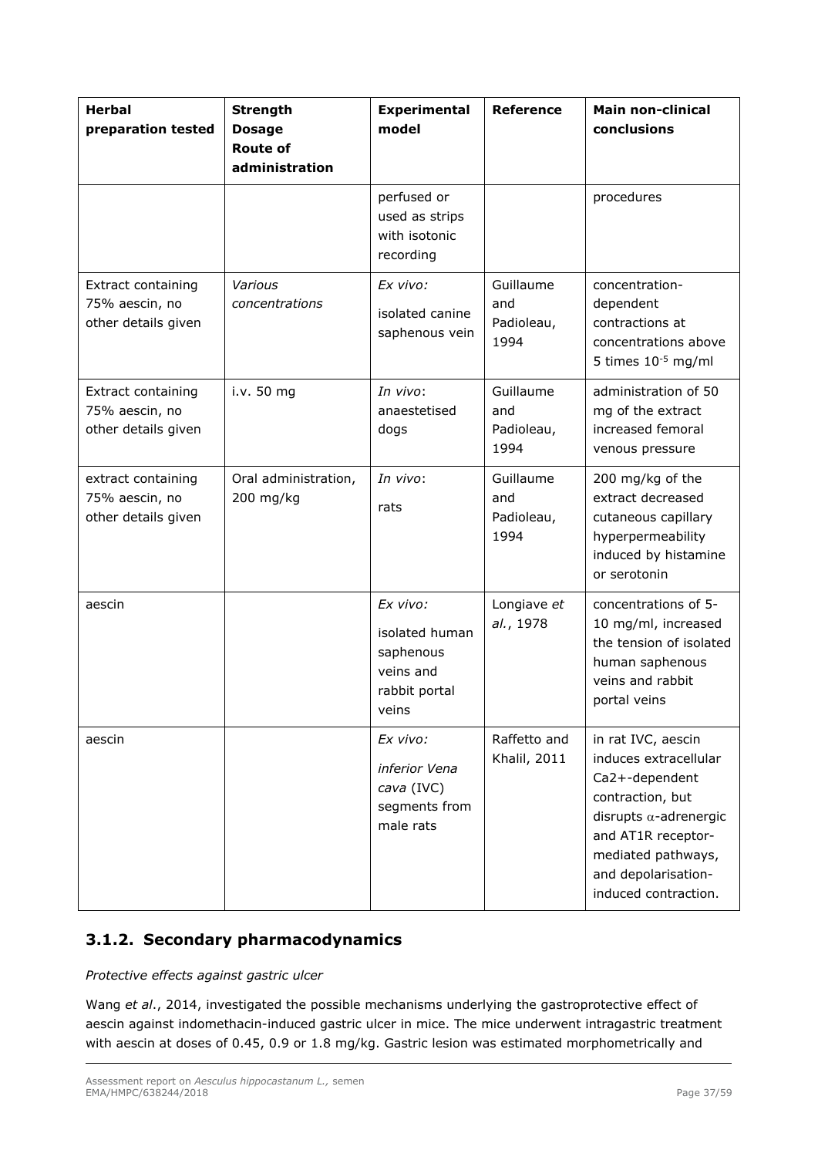| <b>Herbal</b><br>preparation tested                                | <b>Strength</b><br><b>Dosage</b><br><b>Route of</b><br>administration | <b>Experimental</b><br>model                                                   | <b>Reference</b>                       | <b>Main non-clinical</b><br>conclusions                                                                                                                                                                       |
|--------------------------------------------------------------------|-----------------------------------------------------------------------|--------------------------------------------------------------------------------|----------------------------------------|---------------------------------------------------------------------------------------------------------------------------------------------------------------------------------------------------------------|
|                                                                    |                                                                       | perfused or<br>used as strips<br>with isotonic<br>recording                    |                                        | procedures                                                                                                                                                                                                    |
| <b>Extract containing</b><br>75% aescin, no<br>other details given | Various<br>concentrations                                             | Ex vivo:<br>isolated canine<br>saphenous vein                                  | Guillaume<br>and<br>Padioleau,<br>1994 | concentration-<br>dependent<br>contractions at<br>concentrations above<br>5 times $10^{-5}$ mg/ml                                                                                                             |
| Extract containing<br>75% aescin, no<br>other details given        | i.v. 50 mg                                                            | In vivo:<br>anaestetised<br>dogs                                               | Guillaume<br>and<br>Padioleau,<br>1994 | administration of 50<br>mg of the extract<br>increased femoral<br>venous pressure                                                                                                                             |
| extract containing<br>75% aescin, no<br>other details given        | Oral administration,<br>200 mg/kg                                     | In vivo:<br>rats                                                               | Guillaume<br>and<br>Padioleau,<br>1994 | 200 mg/kg of the<br>extract decreased<br>cutaneous capillary<br>hyperpermeability<br>induced by histamine<br>or serotonin                                                                                     |
| aescin                                                             |                                                                       | Ex vivo:<br>isolated human<br>saphenous<br>veins and<br>rabbit portal<br>veins | Longiave et<br>al., 1978               | concentrations of 5-<br>10 mg/ml, increased<br>the tension of isolated<br>human saphenous<br>veins and rabbit<br>portal veins                                                                                 |
| aescin                                                             |                                                                       | Ex vivo:<br>inferior Vena<br>cava (IVC)<br>segments from<br>male rats          | Raffetto and<br><b>Khalil, 2011</b>    | in rat IVC, aescin<br>induces extracellular<br>Ca2+-dependent<br>contraction, but<br>disrupts $\alpha$ -adrenergic<br>and AT1R receptor-<br>mediated pathways,<br>and depolarisation-<br>induced contraction. |

# **3.1.2. Secondary pharmacodynamics**

*Protective effects against gastric ulcer* 

Wang *et al*., 2014, investigated the possible mechanisms underlying the gastroprotective effect of aescin against indomethacin-induced gastric ulcer in mice. The mice underwent intragastric treatment with aescin at doses of 0.45, 0.9 or 1.8 mg/kg. Gastric lesion was estimated morphometrically and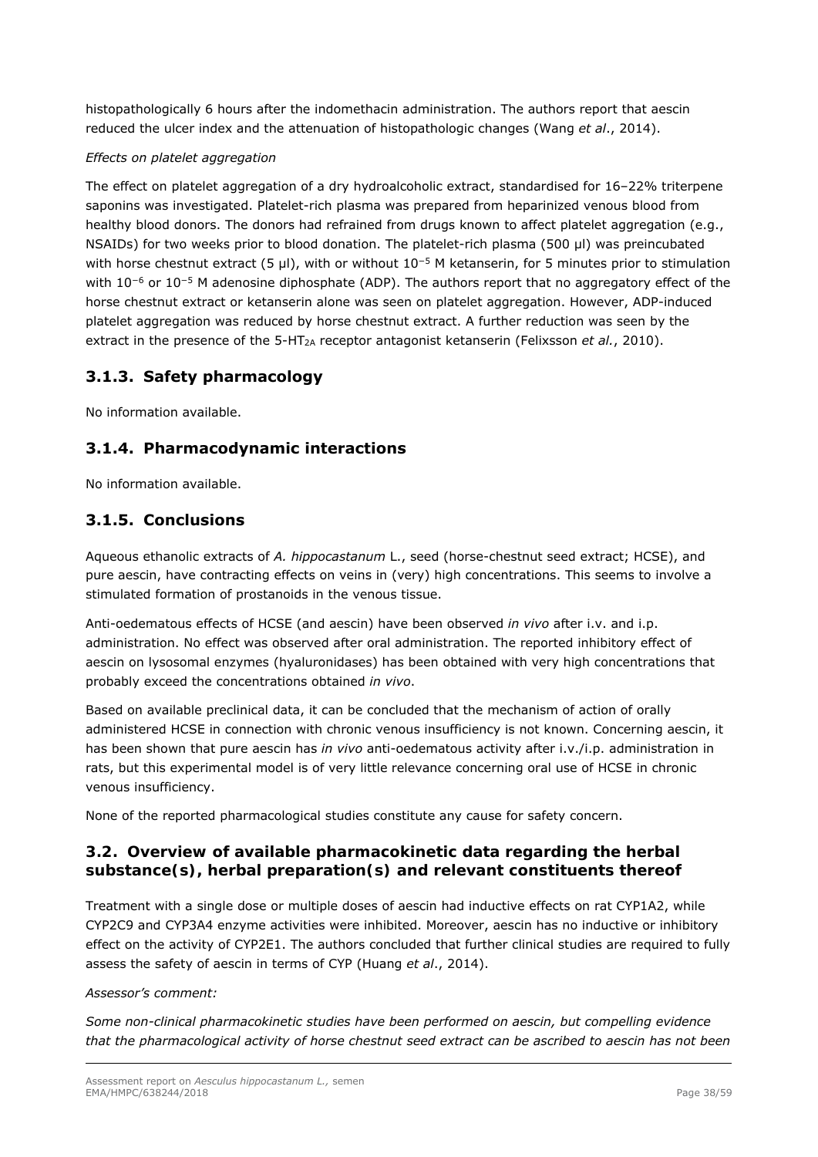histopathologically 6 hours after the indomethacin administration. The authors report that aescin reduced the ulcer index and the attenuation of histopathologic changes (Wang *et al*., 2014).

### *Effects on platelet aggregation*

The effect on platelet aggregation of a dry hydroalcoholic extract, standardised for 16–22% triterpene saponins was investigated. Platelet-rich plasma was prepared from heparinized venous blood from healthy blood donors. The donors had refrained from drugs known to affect platelet aggregation (e.g., NSAIDs) for two weeks prior to blood donation. The platelet-rich plasma (500 µl) was preincubated with horse chestnut extract (5 µl), with or without 10<sup>-5</sup> M ketanserin, for 5 minutes prior to stimulation with 10<sup>-6</sup> or 10<sup>-5</sup> M adenosine diphosphate (ADP). The authors report that no aggregatory effect of the horse chestnut extract or ketanserin alone was seen on platelet aggregation. However, ADP-induced platelet aggregation was reduced by horse chestnut extract. A further reduction was seen by the extract in the presence of the 5-HT<sub>2A</sub> receptor antagonist ketanserin (Felixsson *et al.*, 2010).

# **3.1.3. Safety pharmacology**

No information available.

# **3.1.4. Pharmacodynamic interactions**

No information available.

# **3.1.5. Conclusions**

Aqueous ethanolic extracts of *A. hippocastanum* L., seed (horse-chestnut seed extract; HCSE), and pure aescin, have contracting effects on veins in (very) high concentrations. This seems to involve a stimulated formation of prostanoids in the venous tissue.

Anti-oedematous effects of HCSE (and aescin) have been observed *in vivo* after i.v. and i.p. administration. No effect was observed after oral administration. The reported inhibitory effect of aescin on lysosomal enzymes (hyaluronidases) has been obtained with very high concentrations that probably exceed the concentrations obtained *in vivo*.

Based on available preclinical data, it can be concluded that the mechanism of action of orally administered HCSE in connection with chronic venous insufficiency is not known. Concerning aescin, it has been shown that pure aescin has *in vivo* anti-oedematous activity after i.v./i.p. administration in rats, but this experimental model is of very little relevance concerning oral use of HCSE in chronic venous insufficiency.

None of the reported pharmacological studies constitute any cause for safety concern.

# *3.2. Overview of available pharmacokinetic data regarding the herbal substance(s), herbal preparation(s) and relevant constituents thereof*

Treatment with a single dose or multiple doses of aescin had inductive effects on rat CYP1A2, while CYP2C9 and CYP3A4 enzyme activities were inhibited. Moreover, aescin has no inductive or inhibitory effect on the activity of CYP2E1. The authors concluded that further clinical studies are required to fully assess the safety of aescin in terms of CYP (Huang *et al*., 2014).

#### *Assessor's comment:*

*Some non-clinical pharmacokinetic studies have been performed on aescin, but compelling evidence that the pharmacological activity of horse chestnut seed extract can be ascribed to aescin has not been*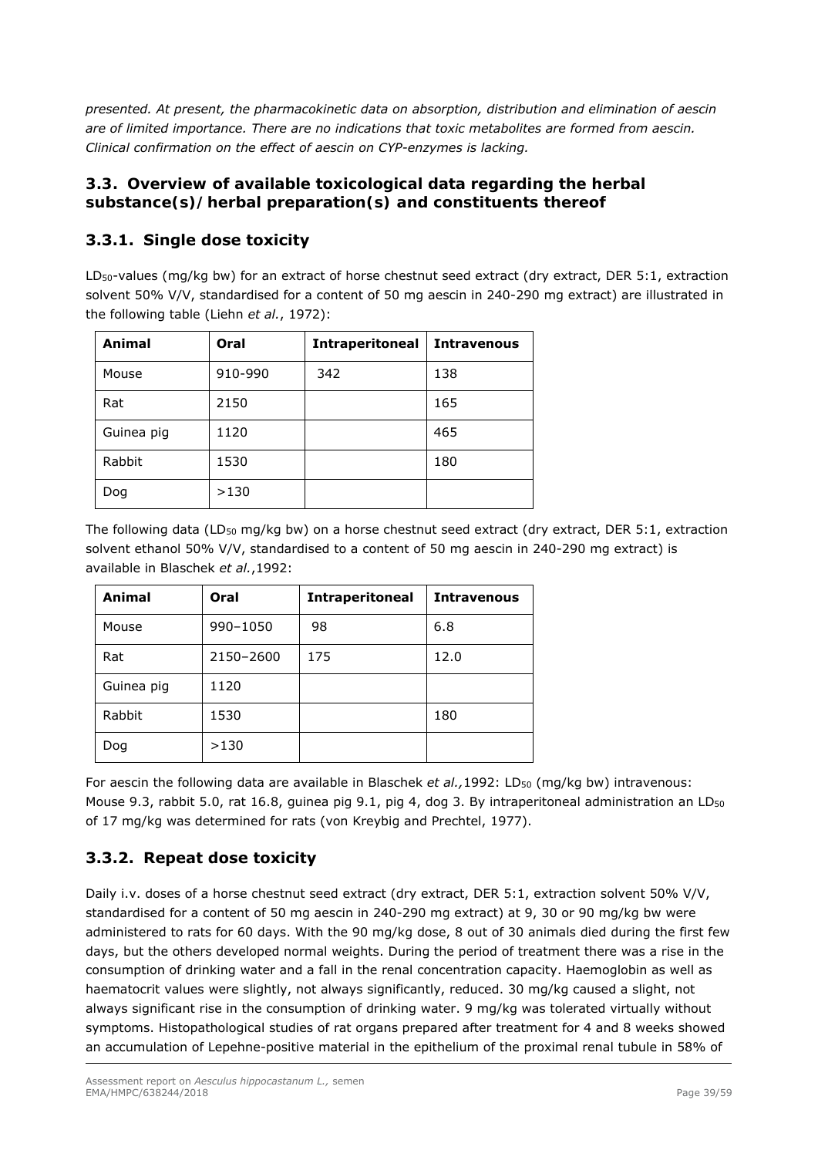*presented. At present, the pharmacokinetic data on absorption, distribution and elimination of aescin are of limited importance. There are no indications that toxic metabolites are formed from aescin. Clinical confirmation on the effect of aescin on CYP-enzymes is lacking.* 

# *3.3. Overview of available toxicological data regarding the herbal substance(s)/herbal preparation(s) and constituents thereof*

# **3.3.1. Single dose toxicity**

LD<sub>50</sub>-values (mg/kg bw) for an extract of horse chestnut seed extract (dry extract, DER 5:1, extraction solvent 50% V/V, standardised for a content of 50 mg aescin in 240-290 mg extract) are illustrated in the following table (Liehn *et al.*, 1972):

| Animal     | Oral    | <b>Intraperitoneal</b> | <b>Intravenous</b> |
|------------|---------|------------------------|--------------------|
| Mouse      | 910-990 | 342                    | 138                |
| Rat        | 2150    |                        | 165                |
| Guinea pig | 1120    |                        | 465                |
| Rabbit     | 1530    |                        | 180                |
| Dog        | >130    |                        |                    |

The following data (LD<sub>50</sub> mg/kg bw) on a horse chestnut seed extract (dry extract, DER 5:1, extraction solvent ethanol 50% V/V, standardised to a content of 50 mg aescin in 240-290 mg extract) is available in Blaschek *et al.*,1992:

| Animal     | Oral      | <b>Intraperitoneal</b> | <b>Intravenous</b> |
|------------|-----------|------------------------|--------------------|
| Mouse      | 990-1050  | 98                     | 6.8                |
| Rat        | 2150-2600 | 175                    | 12.0               |
| Guinea pig | 1120      |                        |                    |
| Rabbit     | 1530      |                        | 180                |
| Dog        | >130      |                        |                    |

For aescin the following data are available in Blaschek *et al.*,1992: LD<sub>50</sub> (mg/kg bw) intravenous: Mouse 9.3, rabbit 5.0, rat 16.8, guinea pig 9.1, pig 4, dog 3. By intraperitoneal administration an LD<sub>50</sub> of 17 mg/kg was determined for rats (von Kreybig and Prechtel, 1977).

# **3.3.2. Repeat dose toxicity**

Daily i.v. doses of a horse chestnut seed extract (dry extract, DER 5:1, extraction solvent 50% V/V, standardised for a content of 50 mg aescin in 240-290 mg extract) at 9, 30 or 90 mg/kg bw were administered to rats for 60 days. With the 90 mg/kg dose, 8 out of 30 animals died during the first few days, but the others developed normal weights. During the period of treatment there was a rise in the consumption of drinking water and a fall in the renal concentration capacity. Haemoglobin as well as haematocrit values were slightly, not always significantly, reduced. 30 mg/kg caused a slight, not always significant rise in the consumption of drinking water. 9 mg/kg was tolerated virtually without symptoms. Histopathological studies of rat organs prepared after treatment for 4 and 8 weeks showed an accumulation of Lepehne-positive material in the epithelium of the proximal renal tubule in 58% of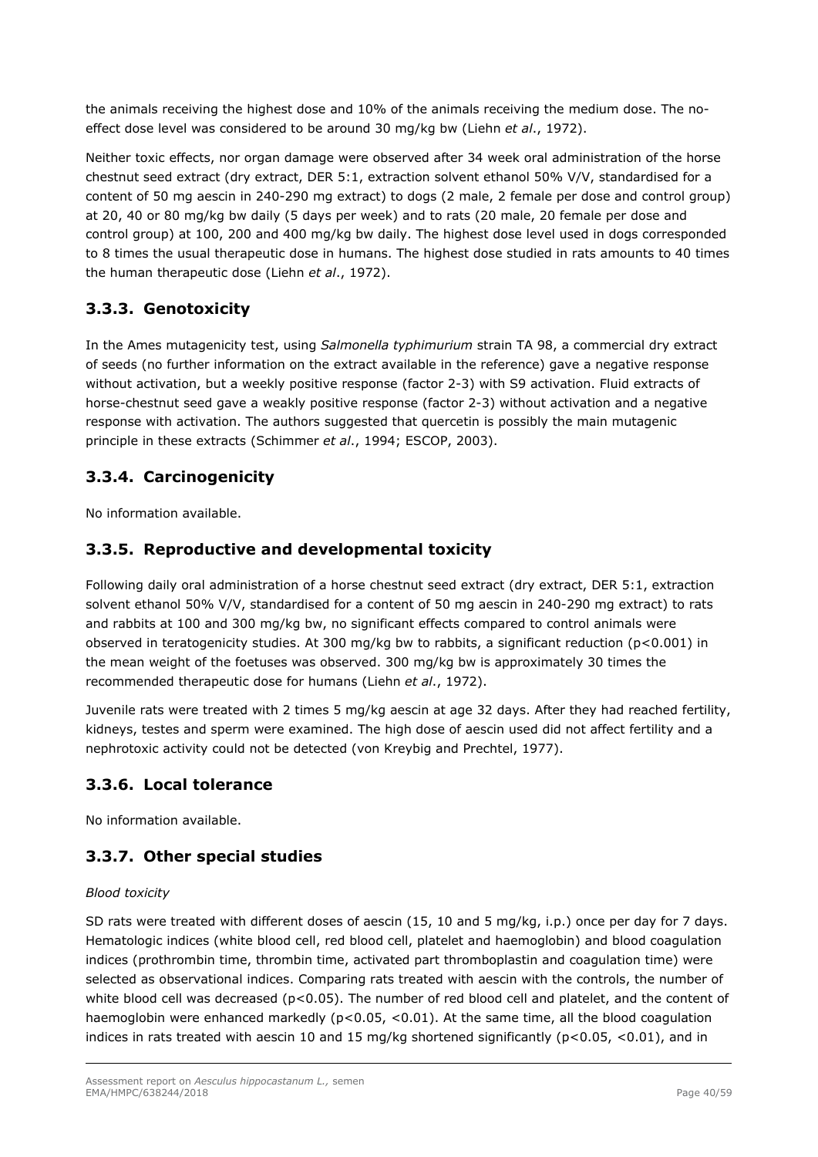the animals receiving the highest dose and 10% of the animals receiving the medium dose. The noeffect dose level was considered to be around 30 mg/kg bw (Liehn *et al*., 1972).

Neither toxic effects, nor organ damage were observed after 34 week oral administration of the horse chestnut seed extract (dry extract, DER 5:1, extraction solvent ethanol 50% V/V, standardised for a content of 50 mg aescin in 240-290 mg extract) to dogs (2 male, 2 female per dose and control group) at 20, 40 or 80 mg/kg bw daily (5 days per week) and to rats (20 male, 20 female per dose and control group) at 100, 200 and 400 mg/kg bw daily. The highest dose level used in dogs corresponded to 8 times the usual therapeutic dose in humans. The highest dose studied in rats amounts to 40 times the human therapeutic dose (Liehn *et al*., 1972).

# **3.3.3. Genotoxicity**

In the Ames mutagenicity test, using *Salmonella typhimurium* strain TA 98, a commercial dry extract of seeds (no further information on the extract available in the reference) gave a negative response without activation, but a weekly positive response (factor 2-3) with S9 activation. Fluid extracts of horse-chestnut seed gave a weakly positive response (factor 2-3) without activation and a negative response with activation. The authors suggested that quercetin is possibly the main mutagenic principle in these extracts (Schimmer *et al*., 1994; ESCOP, 2003).

# **3.3.4. Carcinogenicity**

No information available.

# **3.3.5. Reproductive and developmental toxicity**

Following daily oral administration of a horse chestnut seed extract (dry extract, DER 5:1, extraction solvent ethanol 50% V/V, standardised for a content of 50 mg aescin in 240-290 mg extract) to rats and rabbits at 100 and 300 mg/kg bw, no significant effects compared to control animals were observed in teratogenicity studies. At 300 mg/kg bw to rabbits, a significant reduction (p<0.001) in the mean weight of the foetuses was observed. 300 mg/kg bw is approximately 30 times the recommended therapeutic dose for humans (Liehn *et al*., 1972).

Juvenile rats were treated with 2 times 5 mg/kg aescin at age 32 days. After they had reached fertility, kidneys, testes and sperm were examined. The high dose of aescin used did not affect fertility and a nephrotoxic activity could not be detected (von Kreybig and Prechtel, 1977).

# **3.3.6. Local tolerance**

No information available.

# **3.3.7. Other special studies**

## *Blood toxicity*

SD rats were treated with different doses of aescin (15, 10 and 5 mg/kg, i.p.) once per day for 7 days. Hematologic indices (white blood cell, red blood cell, platelet and haemoglobin) and blood coagulation indices (prothrombin time, thrombin time, activated part thromboplastin and coagulation time) were selected as observational indices. Comparing rats treated with aescin with the controls, the number of white blood cell was decreased ( $p<0.05$ ). The number of red blood cell and platelet, and the content of haemoglobin were enhanced markedly ( $p<0.05$ ,  $<0.01$ ). At the same time, all the blood coagulation indices in rats treated with aescin 10 and 15 mg/kg shortened significantly ( $p < 0.05$ ,  $< 0.01$ ), and in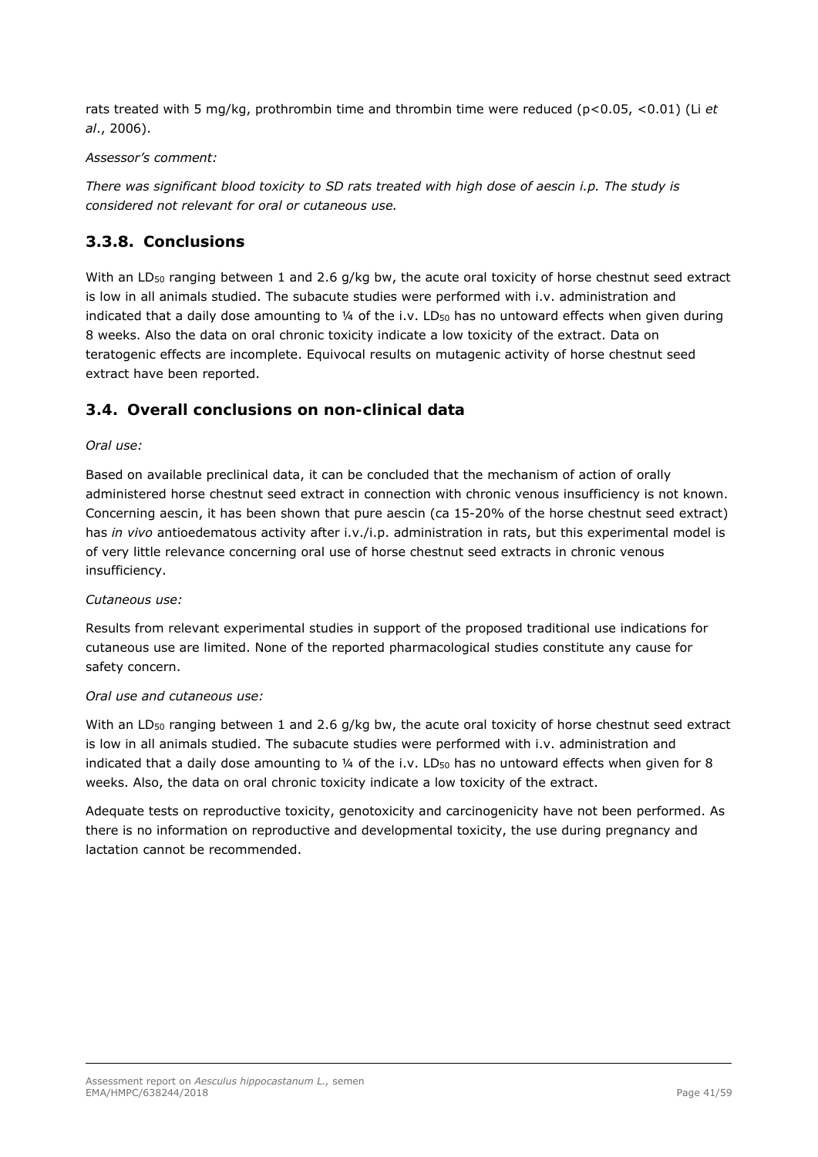rats treated with 5 mg/kg, prothrombin time and thrombin time were reduced (p<0.05, <0.01) (Li *et al*., 2006).

### *Assessor's comment:*

*There was significant blood toxicity to SD rats treated with high dose of aescin i.p. The study is considered not relevant for oral or cutaneous use.* 

# **3.3.8. Conclusions**

With an LD<sub>50</sub> ranging between 1 and 2.6 g/kg bw, the acute oral toxicity of horse chestnut seed extract is low in all animals studied. The subacute studies were performed with i.v. administration and indicated that a daily dose amounting to  $\frac{1}{4}$  of the i.v. LD<sub>50</sub> has no untoward effects when given during 8 weeks. Also the data on oral chronic toxicity indicate a low toxicity of the extract. Data on teratogenic effects are incomplete. Equivocal results on mutagenic activity of horse chestnut seed extract have been reported.

## *3.4. Overall conclusions on non-clinical data*

### *Oral use:*

Based on available preclinical data, it can be concluded that the mechanism of action of orally administered horse chestnut seed extract in connection with chronic venous insufficiency is not known. Concerning aescin, it has been shown that pure aescin (ca 15-20% of the horse chestnut seed extract) has *in vivo* antioedematous activity after i.v./i.p. administration in rats, but this experimental model is of very little relevance concerning oral use of horse chestnut seed extracts in chronic venous insufficiency.

### *Cutaneous use:*

Results from relevant experimental studies in support of the proposed traditional use indications for cutaneous use are limited. None of the reported pharmacological studies constitute any cause for safety concern.

#### *Oral use and cutaneous use:*

With an LD<sub>50</sub> ranging between 1 and 2.6 g/kg bw, the acute oral toxicity of horse chestnut seed extract is low in all animals studied. The subacute studies were performed with i.v. administration and indicated that a daily dose amounting to 1/4 of the i.v. LD<sub>50</sub> has no untoward effects when given for 8 weeks. Also, the data on oral chronic toxicity indicate a low toxicity of the extract.

Adequate tests on reproductive toxicity, genotoxicity and carcinogenicity have not been performed. As there is no information on reproductive and developmental toxicity, the use during pregnancy and lactation cannot be recommended.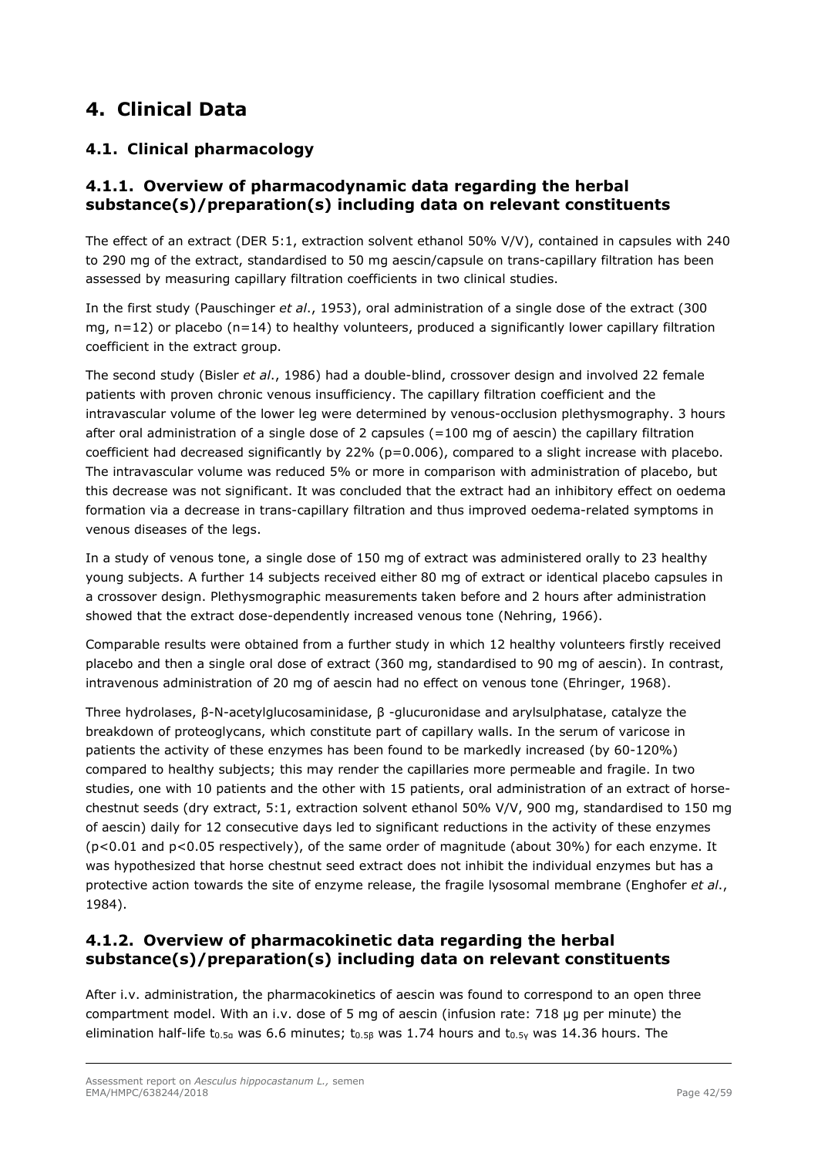# **4. Clinical Data**

# *4.1. Clinical pharmacology*

# **4.1.1. Overview of pharmacodynamic data regarding the herbal substance(s)/preparation(s) including data on relevant constituents**

The effect of an extract (DER 5:1, extraction solvent ethanol 50% V/V), contained in capsules with 240 to 290 mg of the extract, standardised to 50 mg aescin/capsule on trans-capillary filtration has been assessed by measuring capillary filtration coefficients in two clinical studies.

In the first study (Pauschinger *et al*., 1953), oral administration of a single dose of the extract (300 mg,  $n=12$ ) or placebo ( $n=14$ ) to healthy volunteers, produced a significantly lower capillary filtration coefficient in the extract group.

The second study (Bisler *et al*., 1986) had a double-blind, crossover design and involved 22 female patients with proven chronic venous insufficiency. The capillary filtration coefficient and the intravascular volume of the lower leg were determined by venous-occlusion plethysmography. 3 hours after oral administration of a single dose of 2 capsules  $(=100 \text{ mg of } a$  aescin) the capillary filtration coefficient had decreased significantly by 22% (p=0.006), compared to a slight increase with placebo. The intravascular volume was reduced 5% or more in comparison with administration of placebo, but this decrease was not significant. It was concluded that the extract had an inhibitory effect on oedema formation via a decrease in trans-capillary filtration and thus improved oedema-related symptoms in venous diseases of the legs.

In a study of venous tone, a single dose of 150 mg of extract was administered orally to 23 healthy young subjects. A further 14 subjects received either 80 mg of extract or identical placebo capsules in a crossover design. Plethysmographic measurements taken before and 2 hours after administration showed that the extract dose-dependently increased venous tone (Nehring, 1966).

Comparable results were obtained from a further study in which 12 healthy volunteers firstly received placebo and then a single oral dose of extract (360 mg, standardised to 90 mg of aescin). In contrast, intravenous administration of 20 mg of aescin had no effect on venous tone (Ehringer, 1968).

Three hydrolases, β-N-acetylglucosaminidase, β -glucuronidase and arylsulphatase, catalyze the breakdown of proteoglycans, which constitute part of capillary walls. In the serum of varicose in patients the activity of these enzymes has been found to be markedly increased (by 60-120%) compared to healthy subjects; this may render the capillaries more permeable and fragile. In two studies, one with 10 patients and the other with 15 patients, oral administration of an extract of horsechestnut seeds (dry extract, 5:1, extraction solvent ethanol 50% V/V, 900 mg, standardised to 150 mg of aescin) daily for 12 consecutive days led to significant reductions in the activity of these enzymes (p<0.01 and p<0.05 respectively), of the same order of magnitude (about 30%) for each enzyme. It was hypothesized that horse chestnut seed extract does not inhibit the individual enzymes but has a protective action towards the site of enzyme release, the fragile lysosomal membrane (Enghofer *et al*., 1984).

# **4.1.2. Overview of pharmacokinetic data regarding the herbal substance(s)/preparation(s) including data on relevant constituents**

After i.v. administration, the pharmacokinetics of aescin was found to correspond to an open three compartment model. With an i.v. dose of 5 mg of aescin (infusion rate: 718 µg per minute) the elimination half-life t<sub>0.5α</sub> was 6.6 minutes; t<sub>0.58</sub> was 1.74 hours and t<sub>0.5γ</sub> was 14.36 hours. The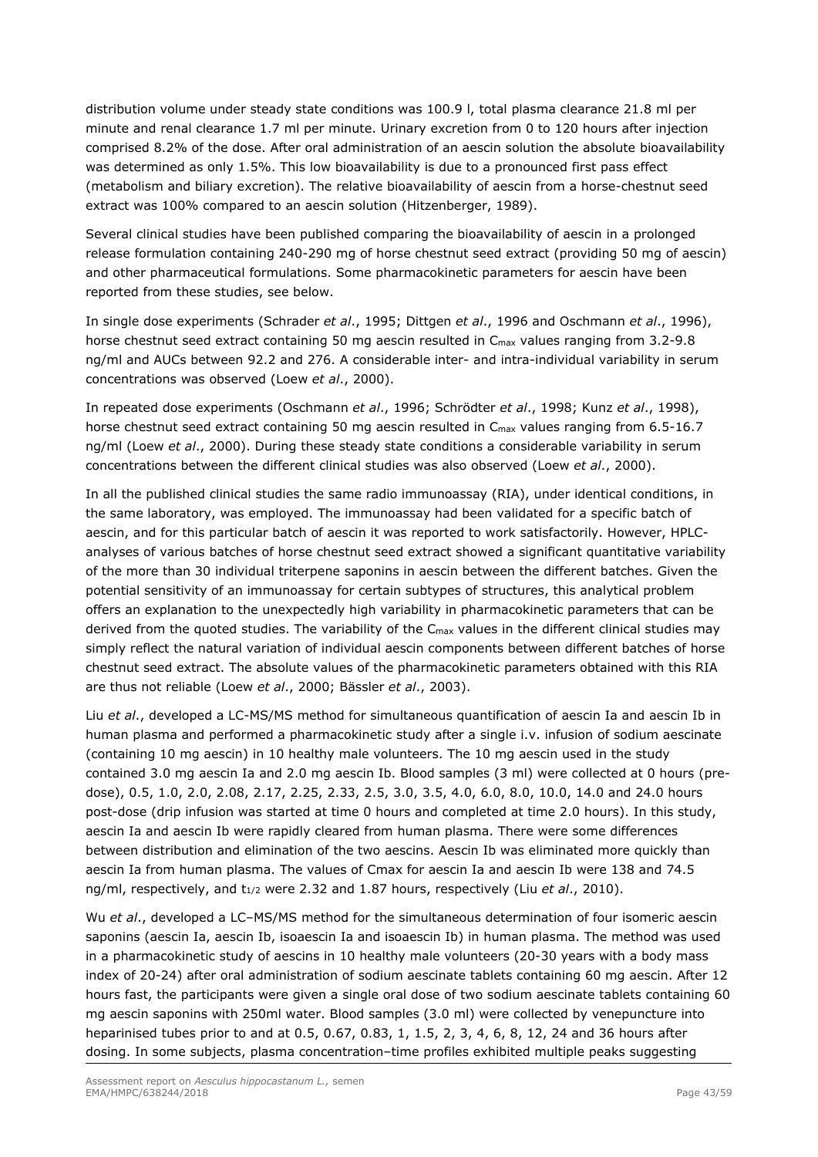distribution volume under steady state conditions was 100.9 l, total plasma clearance 21.8 ml per minute and renal clearance 1.7 ml per minute. Urinary excretion from 0 to 120 hours after injection comprised 8.2% of the dose. After oral administration of an aescin solution the absolute bioavailability was determined as only 1.5%. This low bioavailability is due to a pronounced first pass effect (metabolism and biliary excretion). The relative bioavailability of aescin from a horse-chestnut seed extract was 100% compared to an aescin solution (Hitzenberger, 1989).

Several clinical studies have been published comparing the bioavailability of aescin in a prolonged release formulation containing 240-290 mg of horse chestnut seed extract (providing 50 mg of aescin) and other pharmaceutical formulations. Some pharmacokinetic parameters for aescin have been reported from these studies, see below.

In single dose experiments (Schrader *et al*., 1995; Dittgen *et al*., 1996 and Oschmann *et al*., 1996), horse chestnut seed extract containing 50 mg aescin resulted in C<sub>max</sub> values ranging from 3.2-9.8 ng/ml and AUCs between 92.2 and 276. A considerable inter- and intra-individual variability in serum concentrations was observed (Loew *et al*., 2000).

In repeated dose experiments (Oschmann *et al*., 1996; Schrödter *et al*., 1998; Kunz *et al*., 1998), horse chestnut seed extract containing 50 mg aescin resulted in C<sub>max</sub> values ranging from 6.5-16.7 ng/ml (Loew *et al*., 2000). During these steady state conditions a considerable variability in serum concentrations between the different clinical studies was also observed (Loew *et al*., 2000).

In all the published clinical studies the same radio immunoassay (RIA), under identical conditions, in the same laboratory, was employed. The immunoassay had been validated for a specific batch of aescin, and for this particular batch of aescin it was reported to work satisfactorily. However, HPLCanalyses of various batches of horse chestnut seed extract showed a significant quantitative variability of the more than 30 individual triterpene saponins in aescin between the different batches. Given the potential sensitivity of an immunoassay for certain subtypes of structures, this analytical problem offers an explanation to the unexpectedly high variability in pharmacokinetic parameters that can be derived from the quoted studies. The variability of the C<sub>max</sub> values in the different clinical studies may simply reflect the natural variation of individual aescin components between different batches of horse chestnut seed extract. The absolute values of the pharmacokinetic parameters obtained with this RIA are thus not reliable (Loew *et al*., 2000; Bässler *et al*., 2003).

Liu *et al*., developed a LC-MS/MS method for simultaneous quantification of aescin Ia and aescin Ib in human plasma and performed a pharmacokinetic study after a single i.v. infusion of sodium aescinate (containing 10 mg aescin) in 10 healthy male volunteers. The 10 mg aescin used in the study contained 3.0 mg aescin Ia and 2.0 mg aescin Ib. Blood samples (3 ml) were collected at 0 hours (predose), 0.5, 1.0, 2.0, 2.08, 2.17, 2.25, 2.33, 2.5, 3.0, 3.5, 4.0, 6.0, 8.0, 10.0, 14.0 and 24.0 hours post-dose (drip infusion was started at time 0 hours and completed at time 2.0 hours). In this study, aescin Ia and aescin Ib were rapidly cleared from human plasma. There were some differences between distribution and elimination of the two aescins. Aescin Ib was eliminated more quickly than aescin Ia from human plasma. The values of Cmax for aescin Ia and aescin Ib were 138 and 74.5 ng/ml, respectively, and t<sub>1/2</sub> were 2.32 and 1.87 hours, respectively (Liu *et al.*, 2010).

Wu *et al*., developed a LC–MS/MS method for the simultaneous determination of four isomeric aescin saponins (aescin Ia, aescin Ib, isoaescin Ia and isoaescin Ib) in human plasma. The method was used in a pharmacokinetic study of aescins in 10 healthy male volunteers (20-30 years with a body mass index of 20-24) after oral administration of sodium aescinate tablets containing 60 mg aescin. After 12 hours fast, the participants were given a single oral dose of two sodium aescinate tablets containing 60 mg aescin saponins with 250ml water. Blood samples (3.0 ml) were collected by venepuncture into heparinised tubes prior to and at 0.5, 0.67, 0.83, 1, 1.5, 2, 3, 4, 6, 8, 12, 24 and 36 hours after dosing. In some subjects, plasma concentration–time profiles exhibited multiple peaks suggesting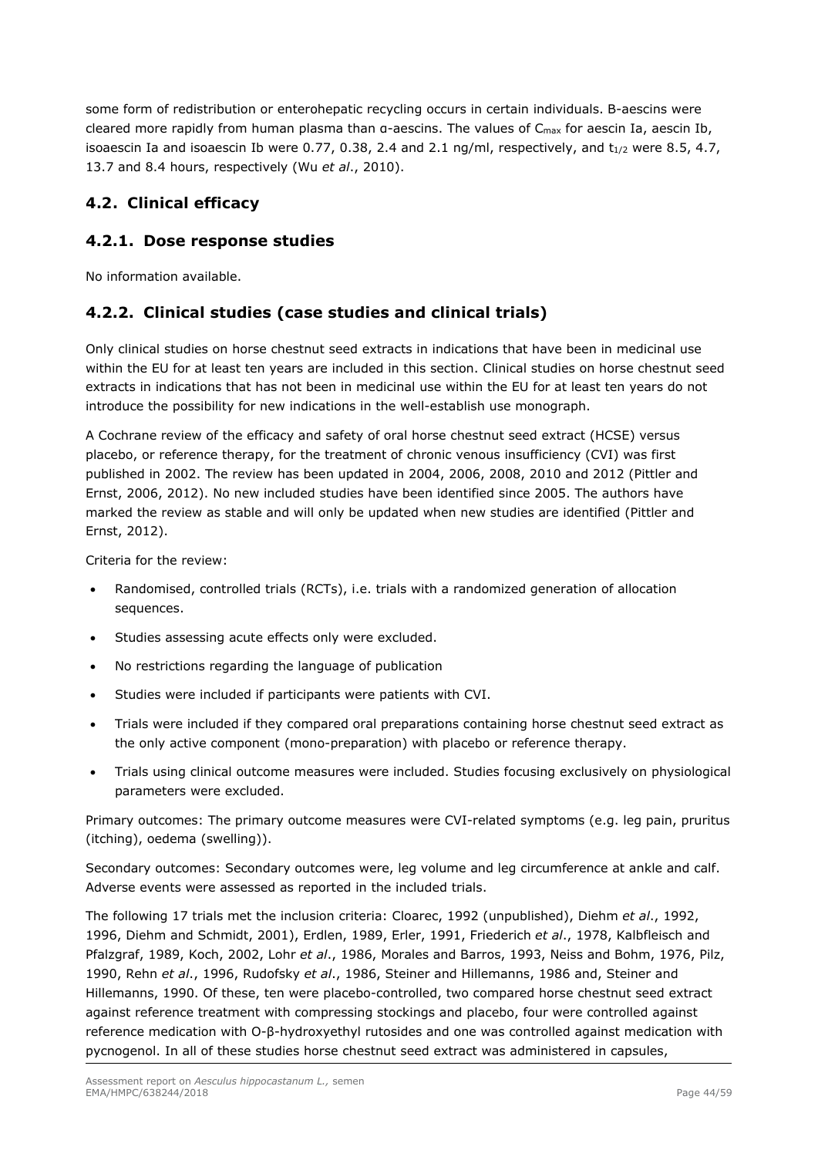some form of redistribution or enterohepatic recycling occurs in certain individuals. Β-aescins were cleared more rapidly from human plasma than α-aescins. The values of Cmax for aescin Ia, aescin Ib, isoaescin Ia and isoaescin Ib were 0.77, 0.38, 2.4 and 2.1 ng/ml, respectively, and  $t_{1/2}$  were 8.5, 4.7, 13.7 and 8.4 hours, respectively (Wu *et al*., 2010).

# *4.2. Clinical efficacy*

# **4.2.1. Dose response studies**

No information available.

# **4.2.2. Clinical studies (case studies and clinical trials)**

Only clinical studies on horse chestnut seed extracts in indications that have been in medicinal use within the EU for at least ten years are included in this section. Clinical studies on horse chestnut seed extracts in indications that has not been in medicinal use within the EU for at least ten years do not introduce the possibility for new indications in the well-establish use monograph.

A Cochrane review of the efficacy and safety of oral horse chestnut seed extract (HCSE) versus placebo, or reference therapy, for the treatment of chronic venous insufficiency (CVI) was first published in 2002. The review has been updated in 2004, 2006, 2008, 2010 and 2012 (Pittler and Ernst, 2006, 2012). No new included studies have been identified since 2005. The authors have marked the review as stable and will only be updated when new studies are identified (Pittler and Ernst, 2012).

Criteria for the review:

- Randomised, controlled trials (RCTs), i.e. trials with a randomized generation of allocation sequences.
- Studies assessing acute effects only were excluded.
- No restrictions regarding the language of publication
- Studies were included if participants were patients with CVI.
- Trials were included if they compared oral preparations containing horse chestnut seed extract as the only active component (mono-preparation) with placebo or reference therapy.
- Trials using clinical outcome measures were included. Studies focusing exclusively on physiological parameters were excluded.

Primary outcomes: The primary outcome measures were CVI-related symptoms (e.g. leg pain, pruritus (itching), oedema (swelling)).

Secondary outcomes: Secondary outcomes were, leg volume and leg circumference at ankle and calf. Adverse events were assessed as reported in the included trials.

The following 17 trials met the inclusion criteria: Cloarec, 1992 (unpublished), Diehm *et al*., 1992, 1996, Diehm and Schmidt, 2001), Erdlen, 1989, Erler, 1991, Friederich *et al*., 1978, Kalbfleisch and Pfalzgraf, 1989, Koch, 2002, Lohr *et al*., 1986, Morales and Barros, 1993, Neiss and Bohm, 1976, Pilz, 1990, Rehn *et al*., 1996, Rudofsky *et al*., 1986, Steiner and Hillemanns, 1986 and, Steiner and Hillemanns, 1990. Of these, ten were placebo-controlled, two compared horse chestnut seed extract against reference treatment with compressing stockings and placebo, four were controlled against reference medication with O-β-hydroxyethyl rutosides and one was controlled against medication with pycnogenol. In all of these studies horse chestnut seed extract was administered in capsules,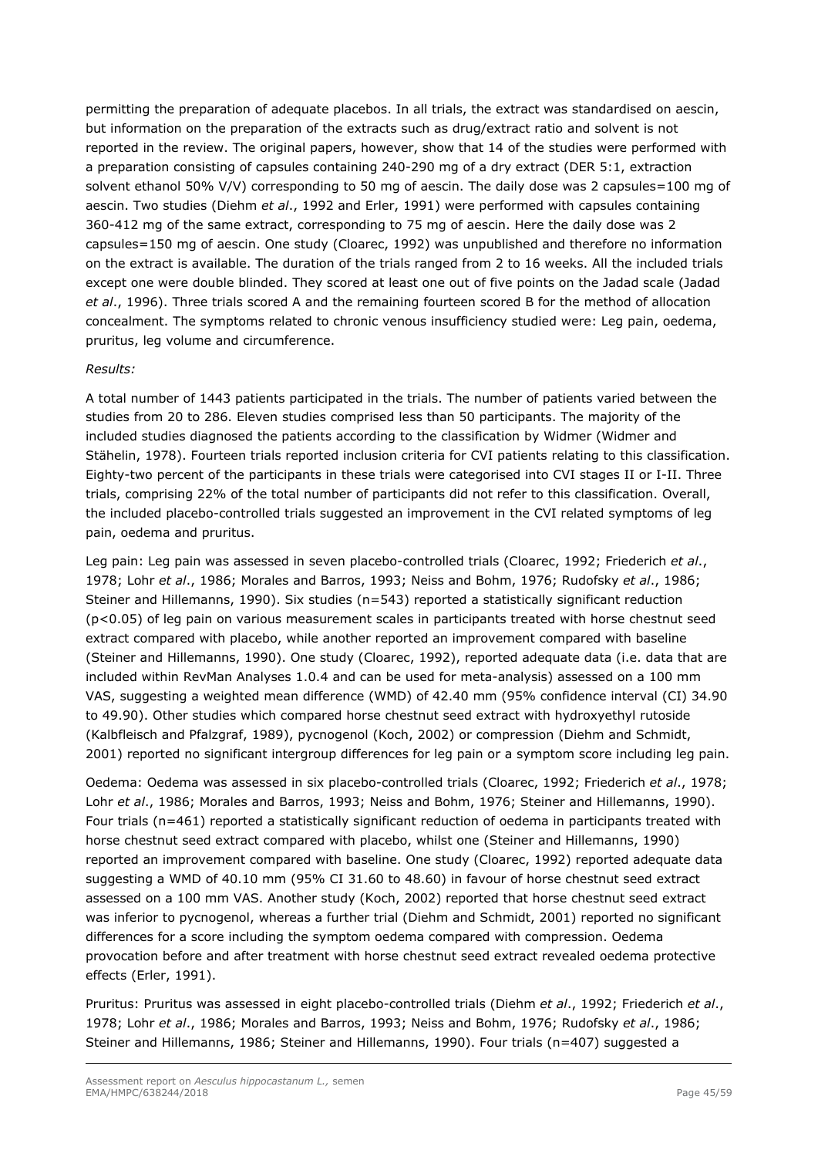permitting the preparation of adequate placebos. In all trials, the extract was standardised on aescin, but information on the preparation of the extracts such as drug/extract ratio and solvent is not reported in the review. The original papers, however, show that 14 of the studies were performed with a preparation consisting of capsules containing 240-290 mg of a dry extract (DER 5:1, extraction solvent ethanol 50% V/V) corresponding to 50 mg of aescin. The daily dose was 2 capsules=100 mg of aescin. Two studies (Diehm *et al*., 1992 and Erler, 1991) were performed with capsules containing 360-412 mg of the same extract, corresponding to 75 mg of aescin. Here the daily dose was 2 capsules=150 mg of aescin. One study (Cloarec, 1992) was unpublished and therefore no information on the extract is available. The duration of the trials ranged from 2 to 16 weeks. All the included trials except one were double blinded. They scored at least one out of five points on the Jadad scale (Jadad *et al*., 1996). Three trials scored A and the remaining fourteen scored B for the method of allocation concealment. The symptoms related to chronic venous insufficiency studied were: Leg pain, oedema, pruritus, leg volume and circumference.

## *Results:*

A total number of 1443 patients participated in the trials. The number of patients varied between the studies from 20 to 286. Eleven studies comprised less than 50 participants. The majority of the included studies diagnosed the patients according to the classification by Widmer (Widmer and Stähelin, 1978). Fourteen trials reported inclusion criteria for CVI patients relating to this classification. Eighty-two percent of the participants in these trials were categorised into CVI stages II or I-II. Three trials, comprising 22% of the total number of participants did not refer to this classification. Overall, the included placebo-controlled trials suggested an improvement in the CVI related symptoms of leg pain, oedema and pruritus.

Leg pain: Leg pain was assessed in seven placebo-controlled trials (Cloarec, 1992; Friederich *et al*., 1978; Lohr *et al*., 1986; Morales and Barros, 1993; Neiss and Bohm, 1976; Rudofsky *et al*., 1986; Steiner and Hillemanns, 1990). Six studies (n=543) reported a statistically significant reduction (p<0.05) of leg pain on various measurement scales in participants treated with horse chestnut seed extract compared with placebo, while another reported an improvement compared with baseline (Steiner and Hillemanns, 1990). One study (Cloarec, 1992), reported adequate data (i.e. data that are included within RevMan Analyses 1.0.4 and can be used for meta-analysis) assessed on a 100 mm VAS, suggesting a weighted mean difference (WMD) of 42.40 mm (95% confidence interval (CI) 34.90 to 49.90). Other studies which compared horse chestnut seed extract with hydroxyethyl rutoside (Kalbfleisch and Pfalzgraf, 1989), pycnogenol (Koch, 2002) or compression (Diehm and Schmidt, 2001) reported no significant intergroup differences for leg pain or a symptom score including leg pain.

Oedema: Oedema was assessed in six placebo-controlled trials (Cloarec, 1992; Friederich *et al*., 1978; Lohr *et al*., 1986; Morales and Barros, 1993; Neiss and Bohm, 1976; Steiner and Hillemanns, 1990). Four trials (n=461) reported a statistically significant reduction of oedema in participants treated with horse chestnut seed extract compared with placebo, whilst one (Steiner and Hillemanns, 1990) reported an improvement compared with baseline. One study (Cloarec, 1992) reported adequate data suggesting a WMD of 40.10 mm (95% CI 31.60 to 48.60) in favour of horse chestnut seed extract assessed on a 100 mm VAS. Another study (Koch, 2002) reported that horse chestnut seed extract was inferior to pycnogenol, whereas a further trial (Diehm and Schmidt, 2001) reported no significant differences for a score including the symptom oedema compared with compression. Oedema provocation before and after treatment with horse chestnut seed extract revealed oedema protective effects (Erler, 1991).

Pruritus: Pruritus was assessed in eight placebo-controlled trials (Diehm *et al*., 1992; Friederich *et al*., 1978; Lohr *et al*., 1986; Morales and Barros, 1993; Neiss and Bohm, 1976; Rudofsky *et al*., 1986; Steiner and Hillemanns, 1986; Steiner and Hillemanns, 1990). Four trials (n=407) suggested a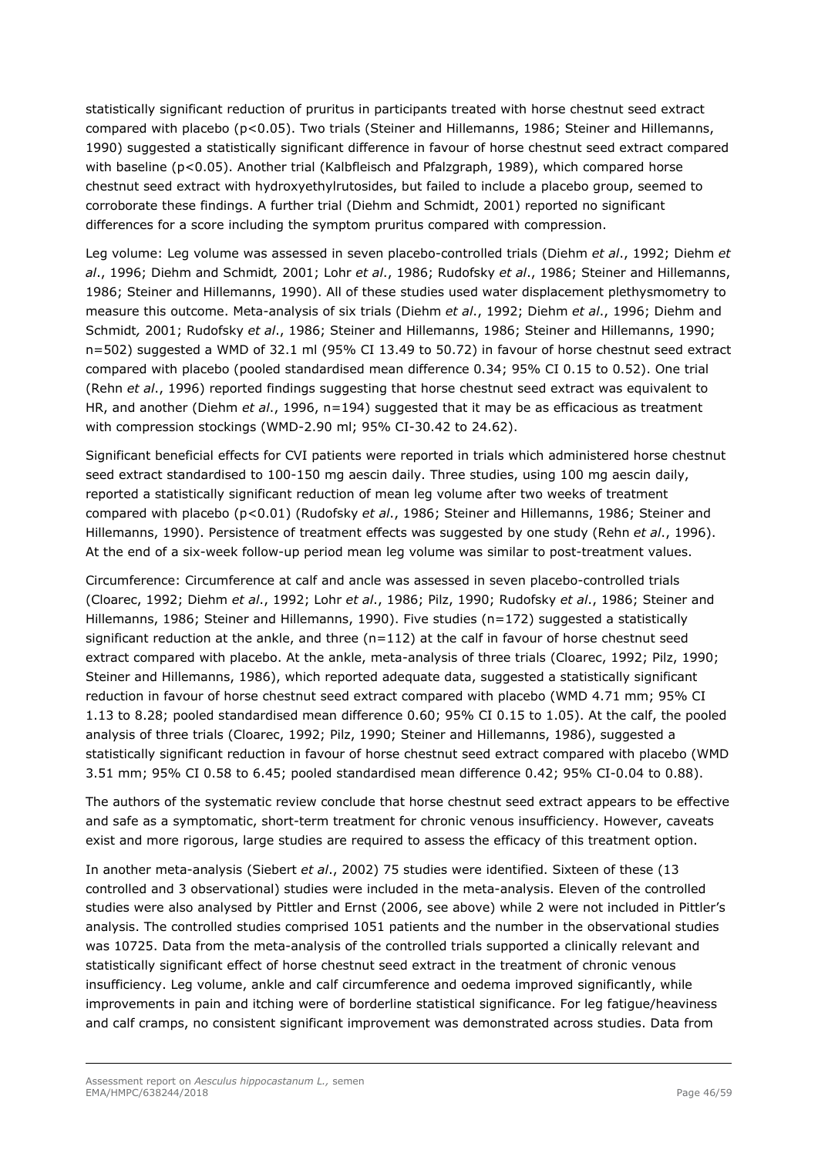statistically significant reduction of pruritus in participants treated with horse chestnut seed extract compared with placebo (p<0.05). Two trials (Steiner and Hillemanns, 1986; Steiner and Hillemanns, 1990) suggested a statistically significant difference in favour of horse chestnut seed extract compared with baseline (p<0.05). Another trial (Kalbfleisch and Pfalzgraph, 1989), which compared horse chestnut seed extract with hydroxyethylrutosides, but failed to include a placebo group, seemed to corroborate these findings. A further trial (Diehm and Schmidt, 2001) reported no significant differences for a score including the symptom pruritus compared with compression.

Leg volume: Leg volume was assessed in seven placebo-controlled trials (Diehm *et al*., 1992; Diehm *et al*., 1996; Diehm and Schmidt*,* 2001; Lohr *et al*., 1986; Rudofsky *et al*., 1986; Steiner and Hillemanns, 1986; Steiner and Hillemanns, 1990). All of these studies used water displacement plethysmometry to measure this outcome. Meta-analysis of six trials (Diehm *et al*., 1992; Diehm *et al*., 1996; Diehm and Schmidt*,* 2001; Rudofsky *et al*., 1986; Steiner and Hillemanns, 1986; Steiner and Hillemanns, 1990; n=502) suggested a WMD of 32.1 ml (95% CI 13.49 to 50.72) in favour of horse chestnut seed extract compared with placebo (pooled standardised mean difference 0.34; 95% CI 0.15 to 0.52). One trial (Rehn *et al*., 1996) reported findings suggesting that horse chestnut seed extract was equivalent to HR, and another (Diehm *et al*., 1996, n=194) suggested that it may be as efficacious as treatment with compression stockings (WMD-2.90 ml; 95% CI-30.42 to 24.62).

Significant beneficial effects for CVI patients were reported in trials which administered horse chestnut seed extract standardised to 100-150 mg aescin daily. Three studies, using 100 mg aescin daily, reported a statistically significant reduction of mean leg volume after two weeks of treatment compared with placebo (p<0.01) (Rudofsky *et al*., 1986; Steiner and Hillemanns, 1986; Steiner and Hillemanns, 1990). Persistence of treatment effects was suggested by one study (Rehn *et al*., 1996). At the end of a six-week follow-up period mean leg volume was similar to post-treatment values.

Circumference: Circumference at calf and ancle was assessed in seven placebo-controlled trials (Cloarec, 1992; Diehm *et al*., 1992; Lohr *et al*., 1986; Pilz, 1990; Rudofsky *et al*., 1986; Steiner and Hillemanns, 1986; Steiner and Hillemanns, 1990). Five studies (n=172) suggested a statistically significant reduction at the ankle, and three (n=112) at the calf in favour of horse chestnut seed extract compared with placebo. At the ankle, meta-analysis of three trials (Cloarec, 1992; Pilz, 1990; Steiner and Hillemanns, 1986), which reported adequate data, suggested a statistically significant reduction in favour of horse chestnut seed extract compared with placebo (WMD 4.71 mm; 95% CI 1.13 to 8.28; pooled standardised mean difference 0.60; 95% CI 0.15 to 1.05). At the calf, the pooled analysis of three trials (Cloarec, 1992; Pilz, 1990; Steiner and Hillemanns, 1986), suggested a statistically significant reduction in favour of horse chestnut seed extract compared with placebo (WMD 3.51 mm; 95% CI 0.58 to 6.45; pooled standardised mean difference 0.42; 95% CI-0.04 to 0.88).

The authors of the systematic review conclude that horse chestnut seed extract appears to be effective and safe as a symptomatic, short-term treatment for chronic venous insufficiency. However, caveats exist and more rigorous, large studies are required to assess the efficacy of this treatment option.

In another meta-analysis (Siebert *et al*., 2002) 75 studies were identified. Sixteen of these (13 controlled and 3 observational) studies were included in the meta-analysis. Eleven of the controlled studies were also analysed by Pittler and Ernst (2006, see above) while 2 were not included in Pittler's analysis. The controlled studies comprised 1051 patients and the number in the observational studies was 10725. Data from the meta-analysis of the controlled trials supported a clinically relevant and statistically significant effect of horse chestnut seed extract in the treatment of chronic venous insufficiency. Leg volume, ankle and calf circumference and oedema improved significantly, while improvements in pain and itching were of borderline statistical significance. For leg fatigue/heaviness and calf cramps, no consistent significant improvement was demonstrated across studies. Data from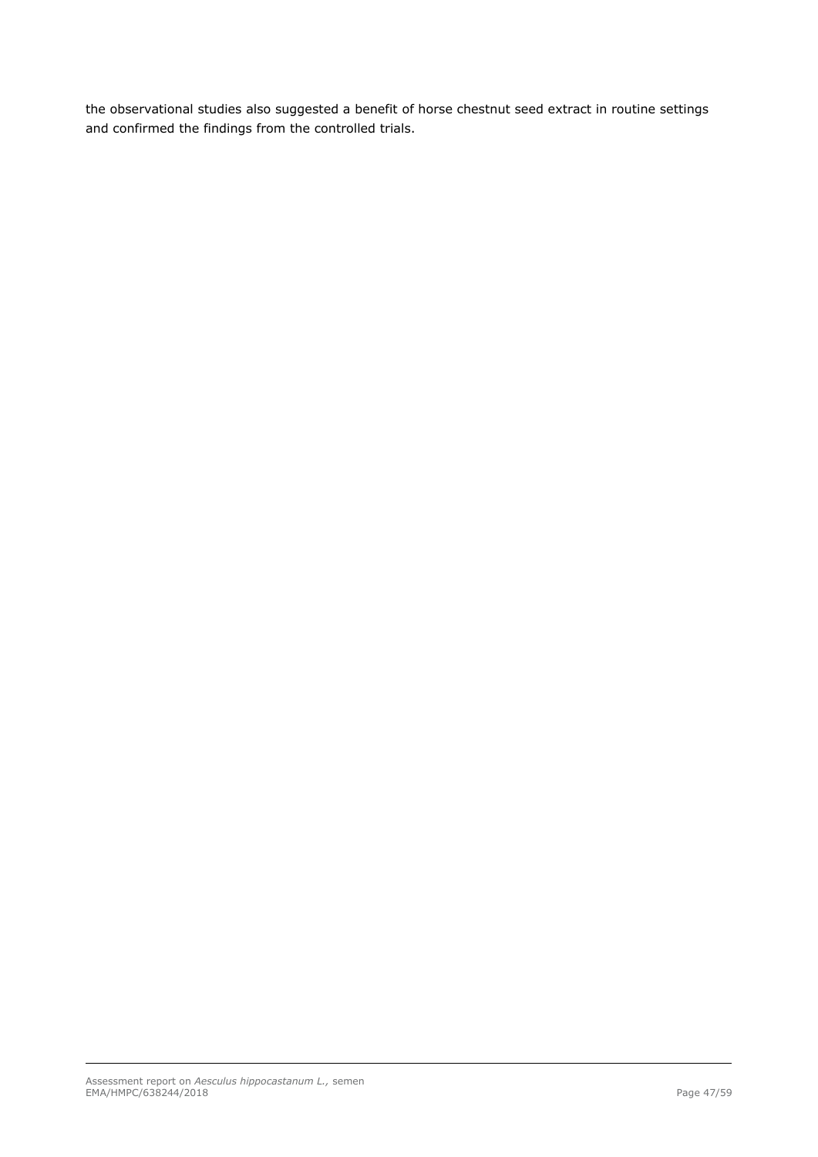the observational studies also suggested a benefit of horse chestnut seed extract in routine settings and confirmed the findings from the controlled trials.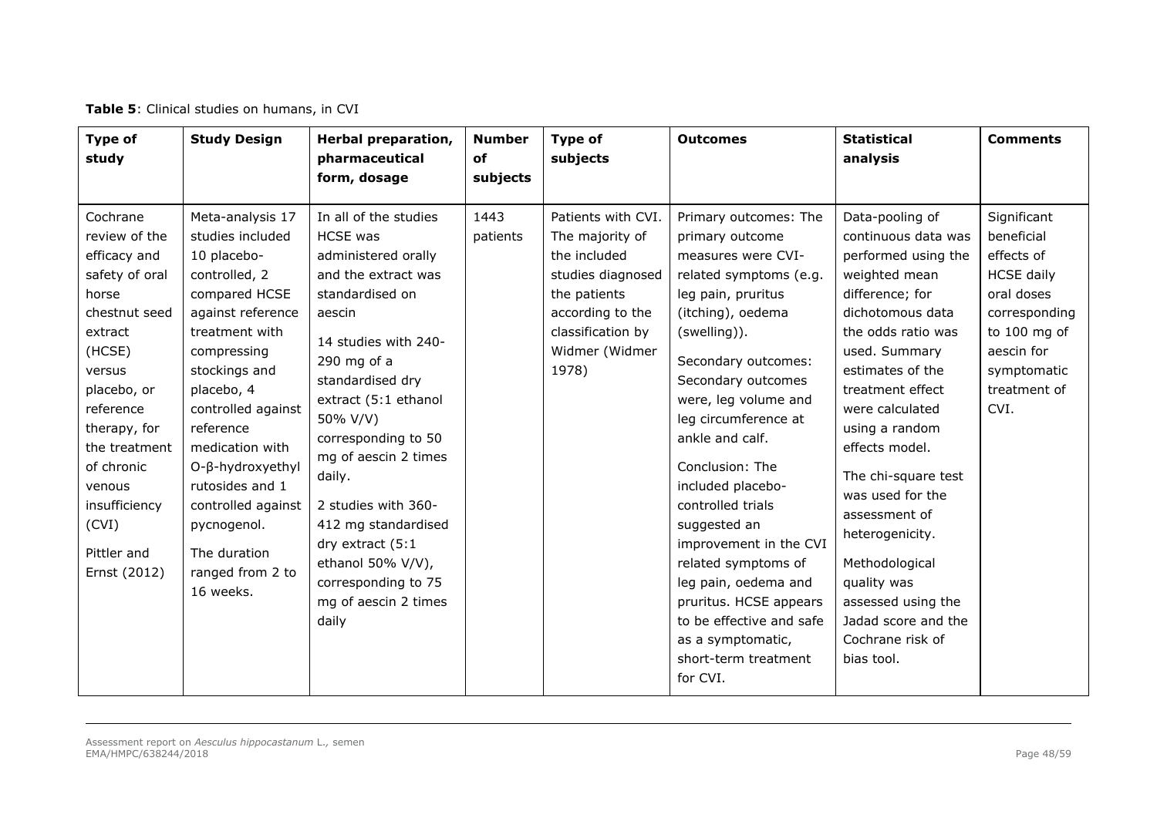| <b>Type of</b><br>study                                                                                                                                                                                                                                            | <b>Study Design</b>                                                                                                                                                                                                                                                                                                                                           | Herbal preparation,<br>pharmaceutical<br>form, dosage                                                                                                                                                                                                                                                                                                                                                                        | <b>Number</b><br>of<br>subjects | Type of<br>subjects                                                                                                                                            | <b>Outcomes</b>                                                                                                                                                                                                                                                                                                                                                                                                                                                                                                                          | <b>Statistical</b><br>analysis                                                                                                                                                                                                                                                                                                                                                                                                                             | <b>Comments</b>                                                                                                                                                  |
|--------------------------------------------------------------------------------------------------------------------------------------------------------------------------------------------------------------------------------------------------------------------|---------------------------------------------------------------------------------------------------------------------------------------------------------------------------------------------------------------------------------------------------------------------------------------------------------------------------------------------------------------|------------------------------------------------------------------------------------------------------------------------------------------------------------------------------------------------------------------------------------------------------------------------------------------------------------------------------------------------------------------------------------------------------------------------------|---------------------------------|----------------------------------------------------------------------------------------------------------------------------------------------------------------|------------------------------------------------------------------------------------------------------------------------------------------------------------------------------------------------------------------------------------------------------------------------------------------------------------------------------------------------------------------------------------------------------------------------------------------------------------------------------------------------------------------------------------------|------------------------------------------------------------------------------------------------------------------------------------------------------------------------------------------------------------------------------------------------------------------------------------------------------------------------------------------------------------------------------------------------------------------------------------------------------------|------------------------------------------------------------------------------------------------------------------------------------------------------------------|
| Cochrane<br>review of the<br>efficacy and<br>safety of oral<br>horse<br>chestnut seed<br>extract<br>(HCSE)<br>versus<br>placebo, or<br>reference<br>therapy, for<br>the treatment<br>of chronic<br>venous<br>insufficiency<br>(CVI)<br>Pittler and<br>Ernst (2012) | Meta-analysis 17<br>studies included<br>10 placebo-<br>controlled, 2<br>compared HCSE<br>against reference<br>treatment with<br>compressing<br>stockings and<br>placebo, 4<br>controlled against<br>reference<br>medication with<br>O-β-hydroxyethyl<br>rutosides and 1<br>controlled against<br>pycnogenol.<br>The duration<br>ranged from 2 to<br>16 weeks. | In all of the studies<br><b>HCSE</b> was<br>administered orally<br>and the extract was<br>standardised on<br>aescin<br>14 studies with 240-<br>290 mg of $a$<br>standardised dry<br>extract (5:1 ethanol<br>50% V/V)<br>corresponding to 50<br>mg of aescin 2 times<br>daily.<br>2 studies with 360-<br>412 mg standardised<br>dry extract (5:1<br>ethanol 50% V/V),<br>corresponding to 75<br>mg of aescin 2 times<br>daily | 1443<br>patients                | Patients with CVI.<br>The majority of<br>the included<br>studies diagnosed<br>the patients<br>according to the<br>classification by<br>Widmer (Widmer<br>1978) | Primary outcomes: The<br>primary outcome<br>measures were CVI-<br>related symptoms (e.g.<br>leg pain, pruritus<br>(itching), oedema<br>(swelling)).<br>Secondary outcomes:<br>Secondary outcomes<br>were, leg volume and<br>leg circumference at<br>ankle and calf.<br>Conclusion: The<br>included placebo-<br>controlled trials<br>suggested an<br>improvement in the CVI<br>related symptoms of<br>leg pain, oedema and<br>pruritus. HCSE appears<br>to be effective and safe<br>as a symptomatic,<br>short-term treatment<br>for CVI. | Data-pooling of<br>continuous data was<br>performed using the<br>weighted mean<br>difference; for<br>dichotomous data<br>the odds ratio was<br>used. Summary<br>estimates of the<br>treatment effect<br>were calculated<br>using a random<br>effects model.<br>The chi-square test<br>was used for the<br>assessment of<br>heterogenicity.<br>Methodological<br>quality was<br>assessed using the<br>Jadad score and the<br>Cochrane risk of<br>bias tool. | Significant<br>beneficial<br>effects of<br><b>HCSE</b> daily<br>oral doses<br>corresponding<br>to 100 mg of<br>aescin for<br>symptomatic<br>treatment of<br>CVI. |

### **Table 5**: Clinical studies on humans, in CVI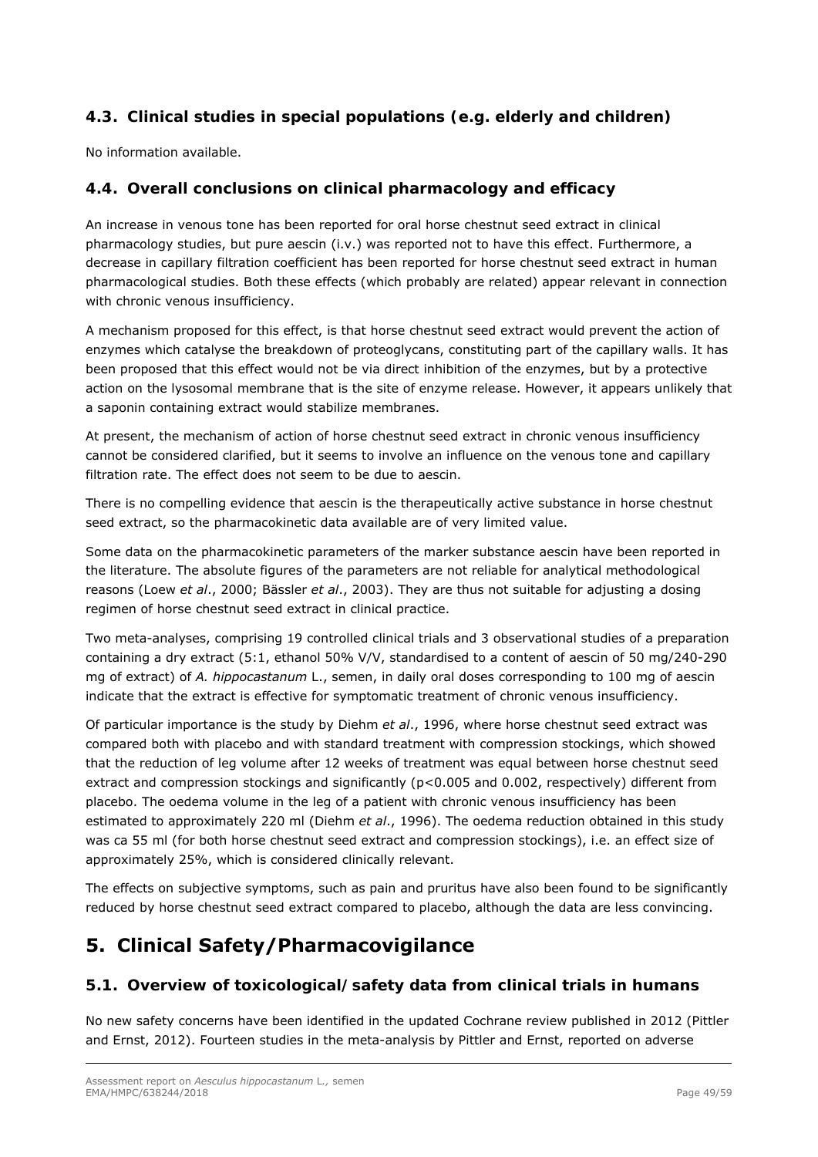# *4.3. Clinical studies in special populations (e.g. elderly and children)*

No information available.

# *4.4. Overall conclusions on clinical pharmacology and efficacy*

An increase in venous tone has been reported for oral horse chestnut seed extract in clinical pharmacology studies, but pure aescin (i.v.) was reported not to have this effect. Furthermore, a decrease in capillary filtration coefficient has been reported for horse chestnut seed extract in human pharmacological studies. Both these effects (which probably are related) appear relevant in connection with chronic venous insufficiency.

A mechanism proposed for this effect, is that horse chestnut seed extract would prevent the action of enzymes which catalyse the breakdown of proteoglycans, constituting part of the capillary walls. It has been proposed that this effect would not be via direct inhibition of the enzymes, but by a protective action on the lysosomal membrane that is the site of enzyme release. However, it appears unlikely that a saponin containing extract would stabilize membranes.

At present, the mechanism of action of horse chestnut seed extract in chronic venous insufficiency cannot be considered clarified, but it seems to involve an influence on the venous tone and capillary filtration rate. The effect does not seem to be due to aescin.

There is no compelling evidence that aescin is the therapeutically active substance in horse chestnut seed extract, so the pharmacokinetic data available are of very limited value.

Some data on the pharmacokinetic parameters of the marker substance aescin have been reported in the literature. The absolute figures of the parameters are not reliable for analytical methodological reasons (Loew *et al*., 2000; Bässler *et al*., 2003). They are thus not suitable for adjusting a dosing regimen of horse chestnut seed extract in clinical practice.

Two meta-analyses, comprising 19 controlled clinical trials and 3 observational studies of a preparation containing a dry extract (5:1, ethanol 50% V/V, standardised to a content of aescin of 50 mg/240-290 mg of extract) of *A. hippocastanum* L., semen, in daily oral doses corresponding to 100 mg of aescin indicate that the extract is effective for symptomatic treatment of chronic venous insufficiency.

Of particular importance is the study by Diehm *et al*., 1996, where horse chestnut seed extract was compared both with placebo and with standard treatment with compression stockings, which showed that the reduction of leg volume after 12 weeks of treatment was equal between horse chestnut seed extract and compression stockings and significantly (p<0.005 and 0.002, respectively) different from placebo. The oedema volume in the leg of a patient with chronic venous insufficiency has been estimated to approximately 220 ml (Diehm *et al*., 1996). The oedema reduction obtained in this study was ca 55 ml (for both horse chestnut seed extract and compression stockings), i.e. an effect size of approximately 25%, which is considered clinically relevant.

The effects on subjective symptoms, such as pain and pruritus have also been found to be significantly reduced by horse chestnut seed extract compared to placebo, although the data are less convincing.

# **5. Clinical Safety/Pharmacovigilance**

# *5.1. Overview of toxicological/safety data from clinical trials in humans*

No new safety concerns have been identified in the updated Cochrane review published in 2012 (Pittler and Ernst, 2012). Fourteen studies in the meta-analysis by Pittler and Ernst, reported on adverse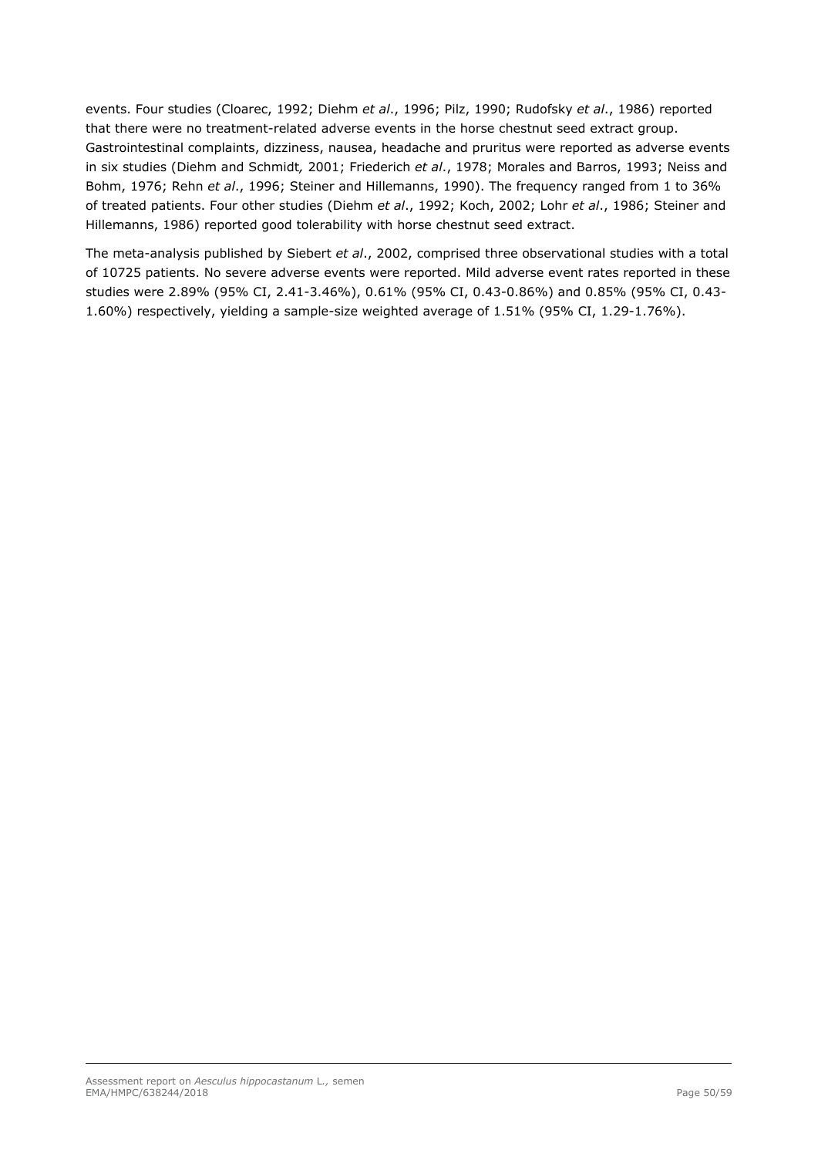events. Four studies (Cloarec, 1992; Diehm *et al*., 1996; Pilz, 1990; Rudofsky *et al*., 1986) reported that there were no treatment-related adverse events in the horse chestnut seed extract group. Gastrointestinal complaints, dizziness, nausea, headache and pruritus were reported as adverse events in six studies (Diehm and Schmidt*,* 2001; Friederich *et al*., 1978; Morales and Barros, 1993; Neiss and Bohm, 1976; Rehn *et al*., 1996; Steiner and Hillemanns, 1990). The frequency ranged from 1 to 36% of treated patients. Four other studies (Diehm *et al*., 1992; Koch, 2002; Lohr *et al*., 1986; Steiner and Hillemanns, 1986) reported good tolerability with horse chestnut seed extract.

The meta-analysis published by Siebert *et al*., 2002, comprised three observational studies with a total of 10725 patients. No severe adverse events were reported. Mild adverse event rates reported in these studies were 2.89% (95% CI, 2.41-3.46%), 0.61% (95% CI, 0.43-0.86%) and 0.85% (95% CI, 0.43- 1.60%) respectively, yielding a sample-size weighted average of 1.51% (95% CI, 1.29-1.76%).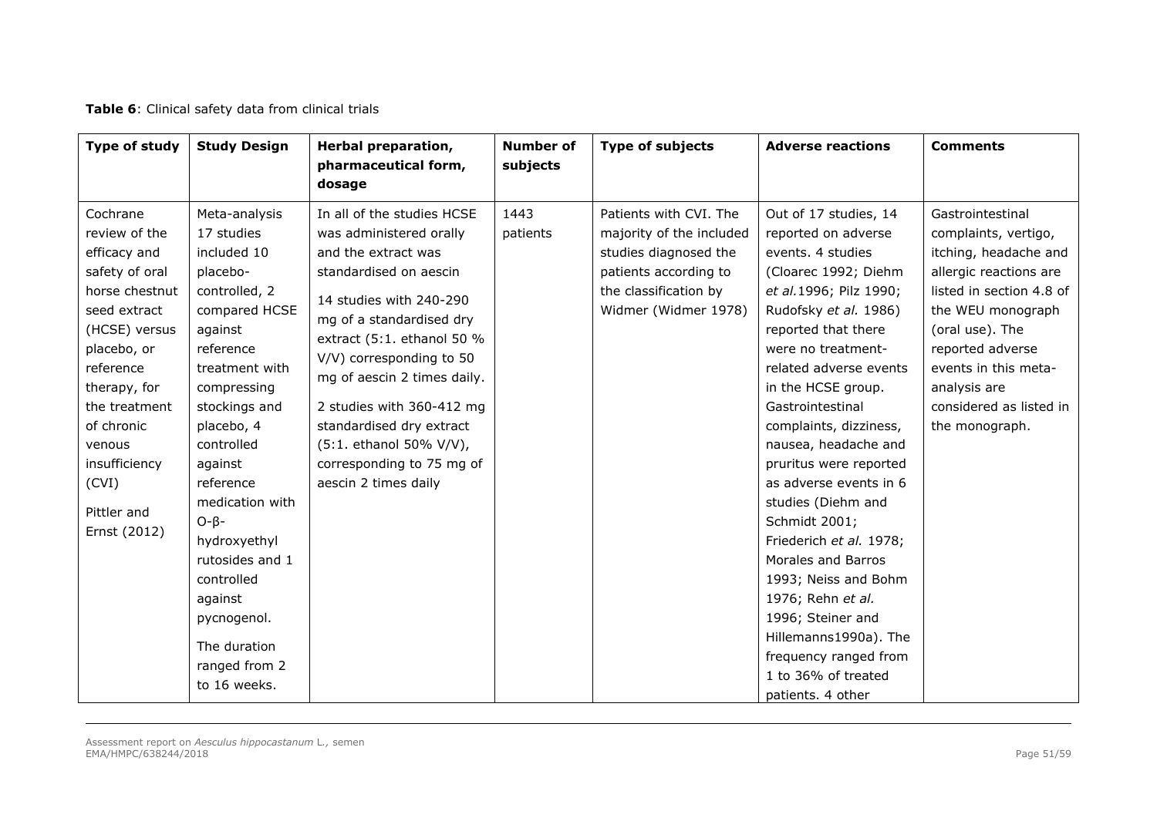| Table 6: Clinical safety data from clinical trials |  |  |  |  |  |  |
|----------------------------------------------------|--|--|--|--|--|--|
|----------------------------------------------------|--|--|--|--|--|--|

| Type of study                                                                                                                                                                                                                                                | <b>Study Design</b>                                                                                                                                                                                                                                                                                                                                                                    | Herbal preparation,<br>pharmaceutical form,<br>dosage                                                                                                                                                                                                                                                                                                                                           | <b>Number of</b><br>subjects | <b>Type of subjects</b>                                                                                                                               | <b>Adverse reactions</b>                                                                                                                                                                                                                                                                                                                                                                                                                                                                                                                                                                                                    | <b>Comments</b>                                                                                                                                                                                                                                                          |
|--------------------------------------------------------------------------------------------------------------------------------------------------------------------------------------------------------------------------------------------------------------|----------------------------------------------------------------------------------------------------------------------------------------------------------------------------------------------------------------------------------------------------------------------------------------------------------------------------------------------------------------------------------------|-------------------------------------------------------------------------------------------------------------------------------------------------------------------------------------------------------------------------------------------------------------------------------------------------------------------------------------------------------------------------------------------------|------------------------------|-------------------------------------------------------------------------------------------------------------------------------------------------------|-----------------------------------------------------------------------------------------------------------------------------------------------------------------------------------------------------------------------------------------------------------------------------------------------------------------------------------------------------------------------------------------------------------------------------------------------------------------------------------------------------------------------------------------------------------------------------------------------------------------------------|--------------------------------------------------------------------------------------------------------------------------------------------------------------------------------------------------------------------------------------------------------------------------|
| Cochrane<br>review of the<br>efficacy and<br>safety of oral<br>horse chestnut<br>seed extract<br>(HCSE) versus<br>placebo, or<br>reference<br>therapy, for<br>the treatment<br>of chronic<br>venous<br>insufficiency<br>(CVI)<br>Pittler and<br>Ernst (2012) | Meta-analysis<br>17 studies<br>included 10<br>placebo-<br>controlled, 2<br>compared HCSE<br>against<br>reference<br>treatment with<br>compressing<br>stockings and<br>placebo, 4<br>controlled<br>against<br>reference<br>medication with<br>$O - \beta -$<br>hydroxyethyl<br>rutosides and 1<br>controlled<br>against<br>pycnogenol.<br>The duration<br>ranged from 2<br>to 16 weeks. | In all of the studies HCSE<br>was administered orally<br>and the extract was<br>standardised on aescin<br>14 studies with 240-290<br>mg of a standardised dry<br>extract (5:1. ethanol 50 %<br>V/V) corresponding to 50<br>mg of aescin 2 times daily.<br>2 studies with 360-412 mg<br>standardised dry extract<br>(5:1. ethanol 50% V/V),<br>corresponding to 75 mg of<br>aescin 2 times daily | 1443<br>patients             | Patients with CVI. The<br>majority of the included<br>studies diagnosed the<br>patients according to<br>the classification by<br>Widmer (Widmer 1978) | Out of 17 studies, 14<br>reported on adverse<br>events. 4 studies<br>(Cloarec 1992; Diehm<br>et al.1996; Pilz 1990;<br>Rudofsky et al. 1986)<br>reported that there<br>were no treatment-<br>related adverse events<br>in the HCSE group.<br>Gastrointestinal<br>complaints, dizziness,<br>nausea, headache and<br>pruritus were reported<br>as adverse events in 6<br>studies (Diehm and<br>Schmidt 2001;<br>Friederich et al. 1978;<br>Morales and Barros<br>1993; Neiss and Bohm<br>1976; Rehn et al.<br>1996; Steiner and<br>Hillemanns1990a). The<br>frequency ranged from<br>1 to 36% of treated<br>patients. 4 other | Gastrointestinal<br>complaints, vertigo,<br>itching, headache and<br>allergic reactions are<br>listed in section 4.8 of<br>the WEU monograph<br>(oral use). The<br>reported adverse<br>events in this meta-<br>analysis are<br>considered as listed in<br>the monograph. |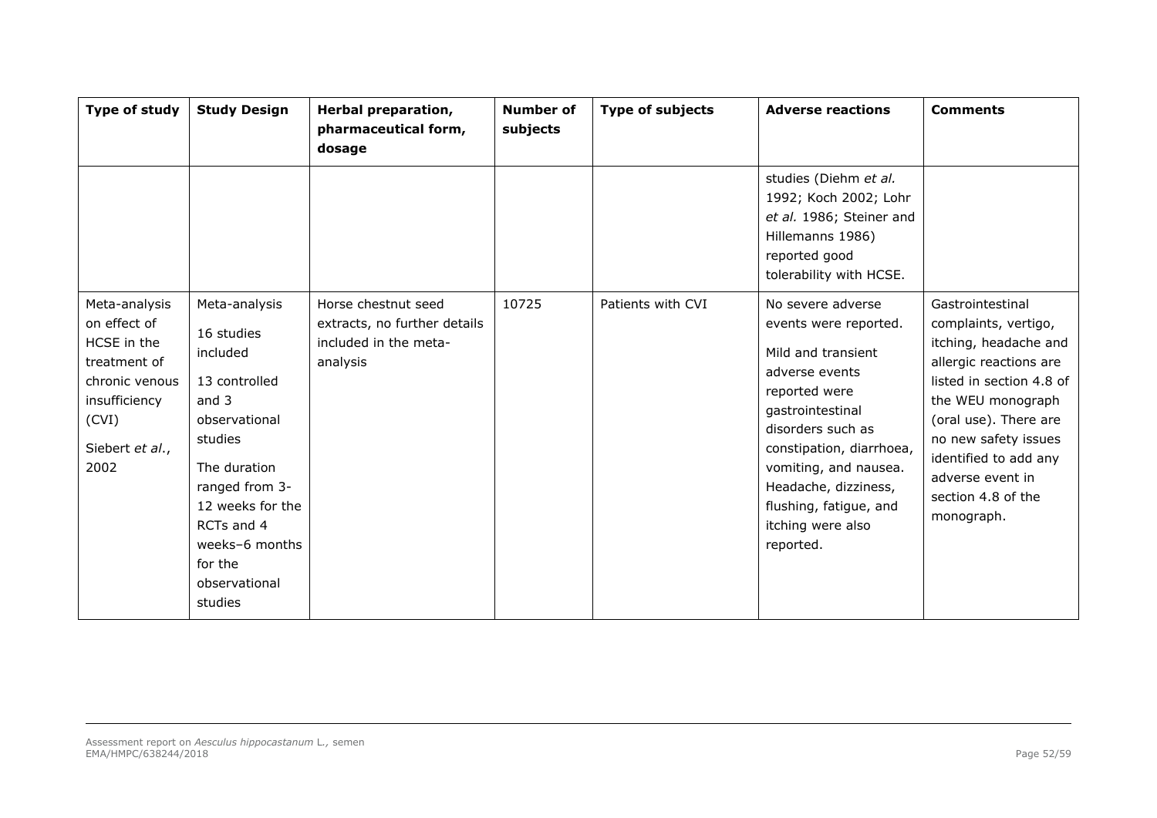| Type of study                                                                                                                       | <b>Study Design</b>                                                                                                                                                                                                        | Herbal preparation,<br>pharmaceutical form,<br>dosage                                    | <b>Number of</b><br>subjects | <b>Type of subjects</b> | <b>Adverse reactions</b>                                                                                                                                                                                                                                                              | <b>Comments</b>                                                                                                                                                                                                                                                                |
|-------------------------------------------------------------------------------------------------------------------------------------|----------------------------------------------------------------------------------------------------------------------------------------------------------------------------------------------------------------------------|------------------------------------------------------------------------------------------|------------------------------|-------------------------|---------------------------------------------------------------------------------------------------------------------------------------------------------------------------------------------------------------------------------------------------------------------------------------|--------------------------------------------------------------------------------------------------------------------------------------------------------------------------------------------------------------------------------------------------------------------------------|
|                                                                                                                                     |                                                                                                                                                                                                                            |                                                                                          |                              |                         | studies (Diehm et al.<br>1992; Koch 2002; Lohr<br>et al. 1986; Steiner and<br>Hillemanns 1986)<br>reported good<br>tolerability with HCSE.                                                                                                                                            |                                                                                                                                                                                                                                                                                |
| Meta-analysis<br>on effect of<br>HCSE in the<br>treatment of<br>chronic venous<br>insufficiency<br>(CVI)<br>Siebert et al.,<br>2002 | Meta-analysis<br>16 studies<br>included<br>13 controlled<br>and 3<br>observational<br>studies<br>The duration<br>ranged from 3-<br>12 weeks for the<br>RCTs and 4<br>weeks-6 months<br>for the<br>observational<br>studies | Horse chestnut seed<br>extracts, no further details<br>included in the meta-<br>analysis | 10725                        | Patients with CVI       | No severe adverse<br>events were reported.<br>Mild and transient<br>adverse events<br>reported were<br>gastrointestinal<br>disorders such as<br>constipation, diarrhoea,<br>vomiting, and nausea.<br>Headache, dizziness,<br>flushing, fatigue, and<br>itching were also<br>reported. | Gastrointestinal<br>complaints, vertigo,<br>itching, headache and<br>allergic reactions are<br>listed in section 4.8 of<br>the WEU monograph<br>(oral use). There are<br>no new safety issues<br>identified to add any<br>adverse event in<br>section 4.8 of the<br>monograph. |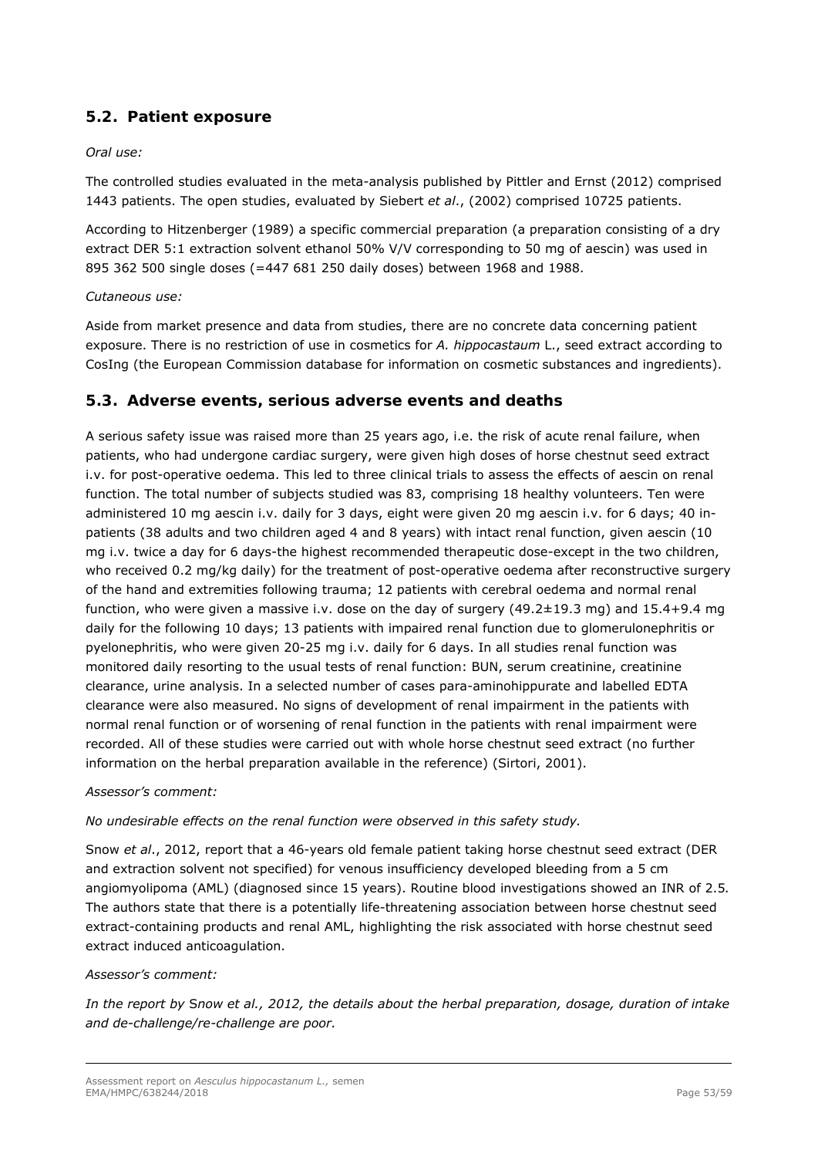# *5.2. Patient exposure*

## *Oral use:*

The controlled studies evaluated in the meta-analysis published by Pittler and Ernst (2012) comprised 1443 patients. The open studies, evaluated by Siebert *et al*., (2002) comprised 10725 patients.

According to Hitzenberger (1989) a specific commercial preparation (a preparation consisting of a dry extract DER 5:1 extraction solvent ethanol 50% V/V corresponding to 50 mg of aescin) was used in 895 362 500 single doses (=447 681 250 daily doses) between 1968 and 1988.

### *Cutaneous use:*

Aside from market presence and data from studies, there are no concrete data concerning patient exposure. There is no restriction of use in cosmetics for *A. hippocastaum* L., seed extract according to CosIng (the European Commission database for information on cosmetic substances and ingredients).

# *5.3. Adverse events, serious adverse events and deaths*

A serious safety issue was raised more than 25 years ago, i.e. the risk of acute renal failure, when patients, who had undergone cardiac surgery, were given high doses of horse chestnut seed extract i.v. for post-operative oedema. This led to three clinical trials to assess the effects of aescin on renal function. The total number of subjects studied was 83, comprising 18 healthy volunteers. Ten were administered 10 mg aescin i.v. daily for 3 days, eight were given 20 mg aescin i.v. for 6 days; 40 inpatients (38 adults and two children aged 4 and 8 years) with intact renal function, given aescin (10 mg i.v. twice a day for 6 days-the highest recommended therapeutic dose-except in the two children, who received 0.2 mg/kg daily) for the treatment of post-operative oedema after reconstructive surgery of the hand and extremities following trauma; 12 patients with cerebral oedema and normal renal function, who were given a massive i.v. dose on the day of surgery  $(49.2 \pm 19.3 \text{ mg})$  and  $15.4+9.4 \text{ mg}$ daily for the following 10 days; 13 patients with impaired renal function due to glomerulonephritis or pyelonephritis, who were given 20-25 mg i.v. daily for 6 days. In all studies renal function was monitored daily resorting to the usual tests of renal function: BUN, serum creatinine, creatinine clearance, urine analysis. In a selected number of cases para-aminohippurate and labelled EDTA clearance were also measured. No signs of development of renal impairment in the patients with normal renal function or of worsening of renal function in the patients with renal impairment were recorded. All of these studies were carried out with whole horse chestnut seed extract (no further information on the herbal preparation available in the reference) (Sirtori, 2001).

### *Assessor's comment:*

*No undesirable effects on the renal function were observed in this safety study.* 

Snow *et al*., 2012, report that a 46-years old female patient taking horse chestnut seed extract (DER and extraction solvent not specified) for venous insufficiency developed bleeding from a 5 cm angiomyolipoma (AML) (diagnosed since 15 years). Routine blood investigations showed an INR of 2.5*.*  The authors state that there is a potentially life-threatening association between horse chestnut seed extract-containing products and renal AML, highlighting the risk associated with horse chestnut seed extract induced anticoagulation.

### *Assessor's comment:*

*In the report by* S*now et al., 2012, the details about the herbal preparation, dosage, duration of intake and de-challenge/re-challenge are poor.*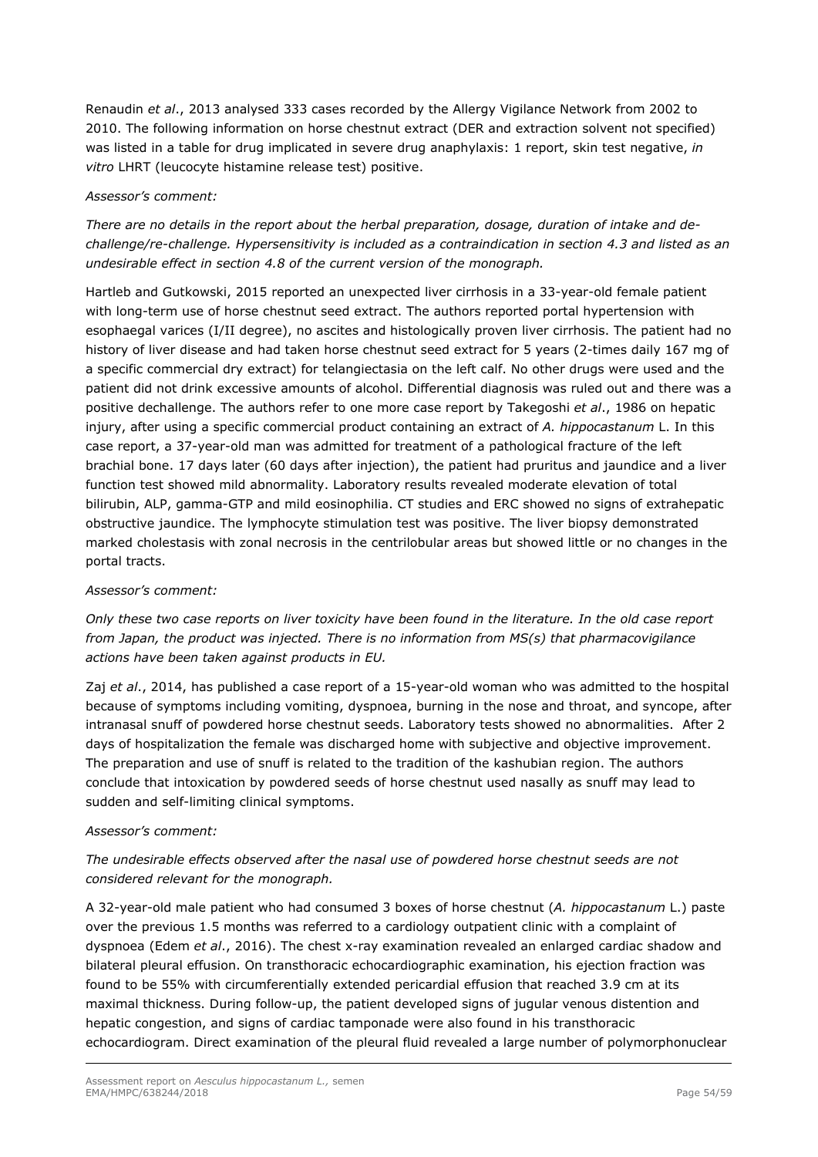Renaudin *et al*., 2013 analysed 333 cases recorded by the Allergy Vigilance Network from 2002 to 2010. The following information on horse chestnut extract (DER and extraction solvent not specified) was listed in a table for drug implicated in severe drug anaphylaxis: 1 report, skin test negative, *in vitro* LHRT (leucocyte histamine release test) positive.

### *Assessor's comment:*

*There are no details in the report about the herbal preparation, dosage, duration of intake and dechallenge/re-challenge. Hypersensitivity is included as a contraindication in section 4.3 and listed as an undesirable effect in section 4.8 of the current version of the monograph.* 

Hartleb and Gutkowski, 2015 reported an unexpected liver cirrhosis in a 33-year-old female patient with long-term use of horse chestnut seed extract. The authors reported portal hypertension with esophaegal varices (I/II degree), no ascites and histologically proven liver cirrhosis. The patient had no history of liver disease and had taken horse chestnut seed extract for 5 years (2-times daily 167 mg of a specific commercial dry extract) for telangiectasia on the left calf. No other drugs were used and the patient did not drink excessive amounts of alcohol. Differential diagnosis was ruled out and there was a positive dechallenge. The authors refer to one more case report by Takegoshi *et al*., 1986 on hepatic injury, after using a specific commercial product containing an extract of *A. hippocastanum* L. In this case report, a 37-year-old man was admitted for treatment of a pathological fracture of the left brachial bone. 17 days later (60 days after injection), the patient had pruritus and jaundice and a liver function test showed mild abnormality. Laboratory results revealed moderate elevation of total bilirubin, ALP, gamma-GTP and mild eosinophilia. CT studies and ERC showed no signs of extrahepatic obstructive jaundice. The lymphocyte stimulation test was positive. The liver biopsy demonstrated marked cholestasis with zonal necrosis in the centrilobular areas but showed little or no changes in the portal tracts.

#### *Assessor's comment:*

*Only these two case reports on liver toxicity have been found in the literature. In the old case report from Japan, the product was injected. There is no information from MS(s) that pharmacovigilance actions have been taken against products in EU.* 

Zaj *et al*., 2014, has published a case report of a 15-year-old woman who was admitted to the hospital because of symptoms including vomiting, dyspnoea, burning in the nose and throat, and syncope, after intranasal snuff of powdered horse chestnut seeds. Laboratory tests showed no abnormalities. After 2 days of hospitalization the female was discharged home with subjective and objective improvement. The preparation and use of snuff is related to the tradition of the kashubian region. The authors conclude that intoxication by powdered seeds of horse chestnut used nasally as snuff may lead to sudden and self-limiting clinical symptoms.

### *Assessor's comment:*

## *The undesirable effects observed after the nasal use of powdered horse chestnut seeds are not considered relevant for the monograph.*

A 32-year-old male patient who had consumed 3 boxes of horse chestnut (*A. hippocastanum* L.) paste over the previous 1.5 months was referred to a cardiology outpatient clinic with a complaint of dyspnoea (Edem *et al*., 2016). The chest x-ray examination revealed an enlarged cardiac shadow and bilateral pleural effusion. On transthoracic echocardiographic examination, his ejection fraction was found to be 55% with circumferentially extended pericardial effusion that reached 3.9 cm at its maximal thickness. During follow-up, the patient developed signs of jugular venous distention and hepatic congestion, and signs of cardiac tamponade were also found in his transthoracic echocardiogram. Direct examination of the pleural fluid revealed a large number of polymorphonuclear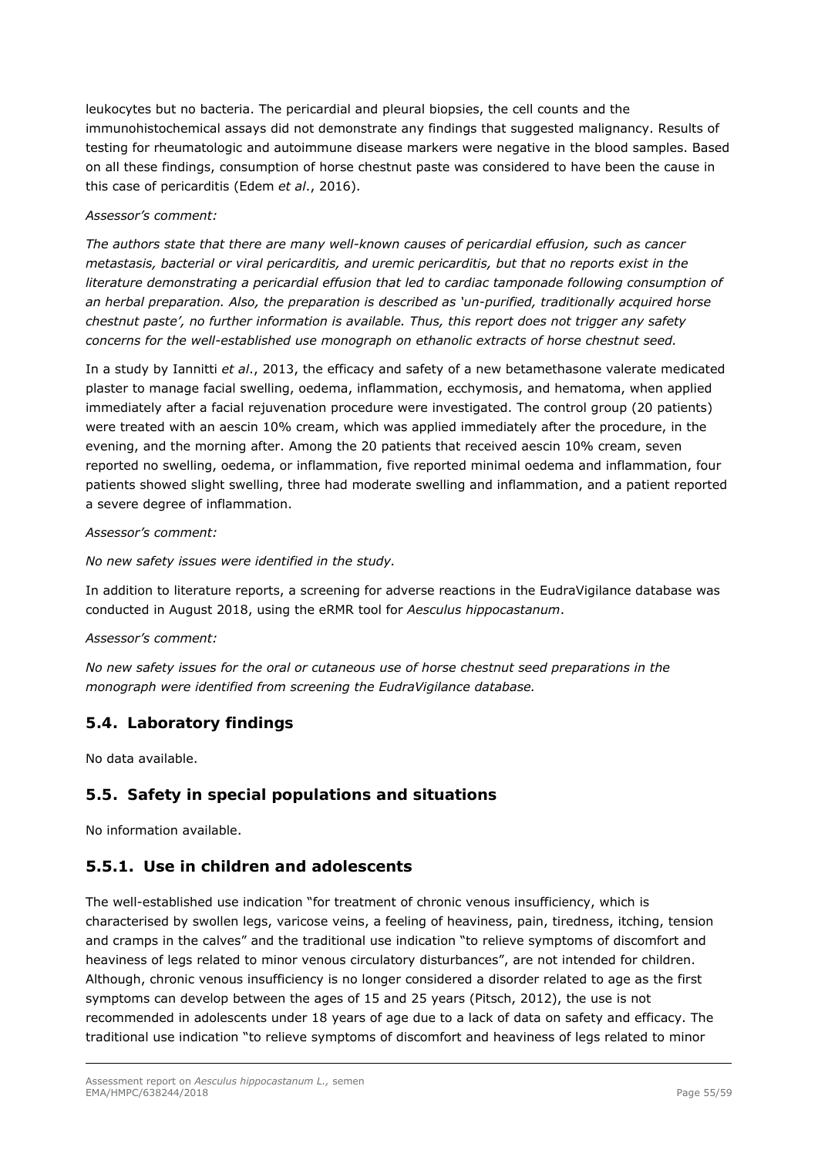leukocytes but no bacteria. The pericardial and pleural biopsies, the cell counts and the immunohistochemical assays did not demonstrate any findings that suggested malignancy. Results of testing for rheumatologic and autoimmune disease markers were negative in the blood samples. Based on all these findings, consumption of horse chestnut paste was considered to have been the cause in this case of pericarditis (Edem *et al*., 2016).

### *Assessor's comment:*

*The authors state that there are many well-known causes of pericardial effusion, such as cancer metastasis, bacterial or viral pericarditis, and uremic pericarditis, but that no reports exist in the literature demonstrating a pericardial effusion that led to cardiac tamponade following consumption of an herbal preparation. Also, the preparation is described as 'un-purified, traditionally acquired horse chestnut paste', no further information is available. Thus, this report does not trigger any safety concerns for the well-established use monograph on ethanolic extracts of horse chestnut seed.* 

In a study by Iannitti *et al*., 2013, the efficacy and safety of a new betamethasone valerate medicated plaster to manage facial swelling, oedema, inflammation, ecchymosis, and hematoma, when applied immediately after a facial rejuvenation procedure were investigated. The control group (20 patients) were treated with an aescin 10% cream, which was applied immediately after the procedure, in the evening, and the morning after. Among the 20 patients that received aescin 10% cream, seven reported no swelling, oedema, or inflammation, five reported minimal oedema and inflammation, four patients showed slight swelling, three had moderate swelling and inflammation, and a patient reported a severe degree of inflammation.

### *Assessor's comment:*

*No new safety issues were identified in the study.* 

In addition to literature reports, a screening for adverse reactions in the EudraVigilance database was conducted in August 2018, using the eRMR tool for *Aesculus hippocastanum*.

### *Assessor's comment:*

*No new safety issues for the oral or cutaneous use of horse chestnut seed preparations in the monograph were identified from screening the EudraVigilance database.* 

## *5.4. Laboratory findings*

No data available.

## *5.5. Safety in special populations and situations*

No information available.

# **5.5.1. Use in children and adolescents**

The well-established use indication "for treatment of chronic venous insufficiency, which is characterised by swollen legs, varicose veins, a feeling of heaviness, pain, tiredness, itching, tension and cramps in the calves" and the traditional use indication "to relieve symptoms of discomfort and heaviness of legs related to minor venous circulatory disturbances", are not intended for children. Although, chronic venous insufficiency is no longer considered a disorder related to age as the first symptoms can develop between the ages of 15 and 25 years (Pitsch, 2012), the use is not recommended in adolescents under 18 years of age due to a lack of data on safety and efficacy. The traditional use indication "to relieve symptoms of discomfort and heaviness of legs related to minor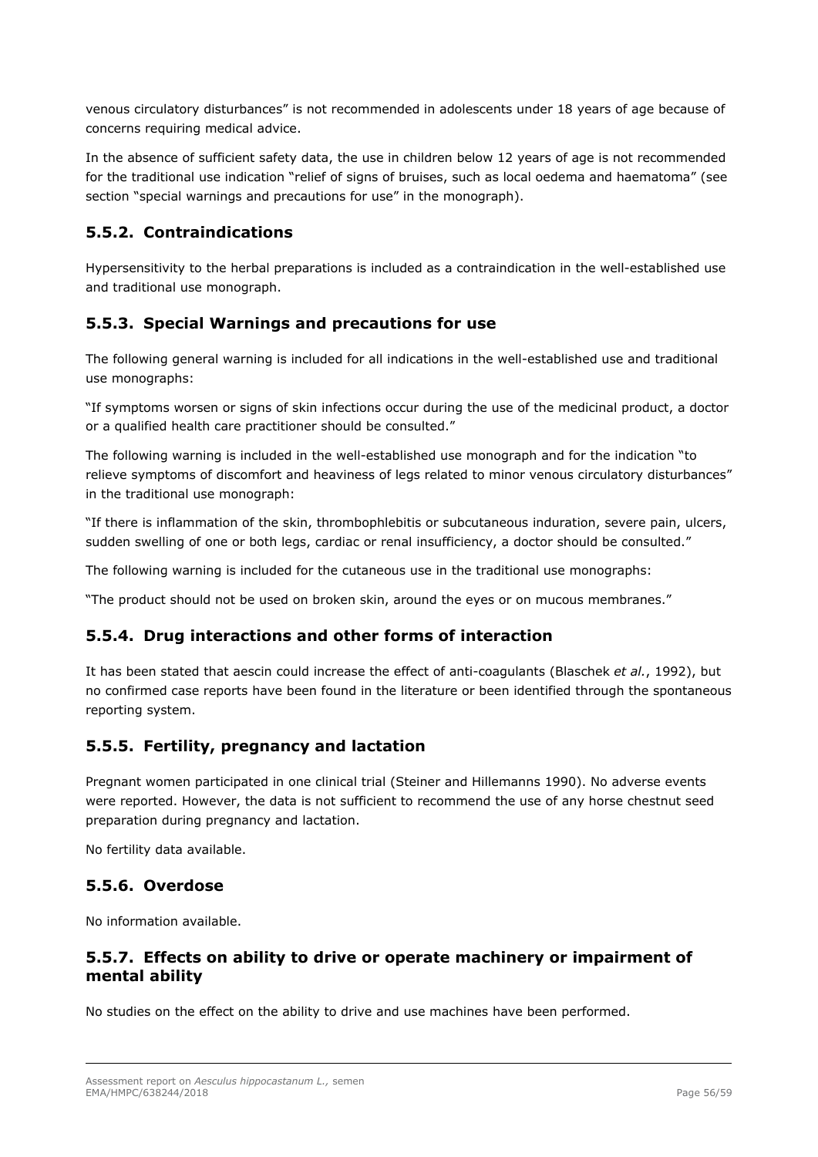venous circulatory disturbances" is not recommended in adolescents under 18 years of age because of concerns requiring medical advice.

In the absence of sufficient safety data, the use in children below 12 years of age is not recommended for the traditional use indication "relief of signs of bruises, such as local oedema and haematoma" (see section "special warnings and precautions for use" in the monograph).

# **5.5.2. Contraindications**

Hypersensitivity to the herbal preparations is included as a contraindication in the well-established use and traditional use monograph.

# **5.5.3. Special Warnings and precautions for use**

The following general warning is included for all indications in the well-established use and traditional use monographs:

"If symptoms worsen or signs of skin infections occur during the use of the medicinal product, a doctor or a qualified health care practitioner should be consulted."

The following warning is included in the well-established use monograph and for the indication "to relieve symptoms of discomfort and heaviness of legs related to minor venous circulatory disturbances" in the traditional use monograph:

"If there is inflammation of the skin, thrombophlebitis or subcutaneous induration, severe pain, ulcers, sudden swelling of one or both legs, cardiac or renal insufficiency, a doctor should be consulted."

The following warning is included for the cutaneous use in the traditional use monographs:

"The product should not be used on broken skin, around the eyes or on mucous membranes."

# **5.5.4. Drug interactions and other forms of interaction**

It has been stated that aescin could increase the effect of anti-coagulants (Blaschek *et al.*, 1992), but no confirmed case reports have been found in the literature or been identified through the spontaneous reporting system.

## **5.5.5. Fertility, pregnancy and lactation**

Pregnant women participated in one clinical trial (Steiner and Hillemanns 1990). No adverse events were reported. However, the data is not sufficient to recommend the use of any horse chestnut seed preparation during pregnancy and lactation.

No fertility data available.

## **5.5.6. Overdose**

No information available.

# **5.5.7. Effects on ability to drive or operate machinery or impairment of mental ability**

No studies on the effect on the ability to drive and use machines have been performed.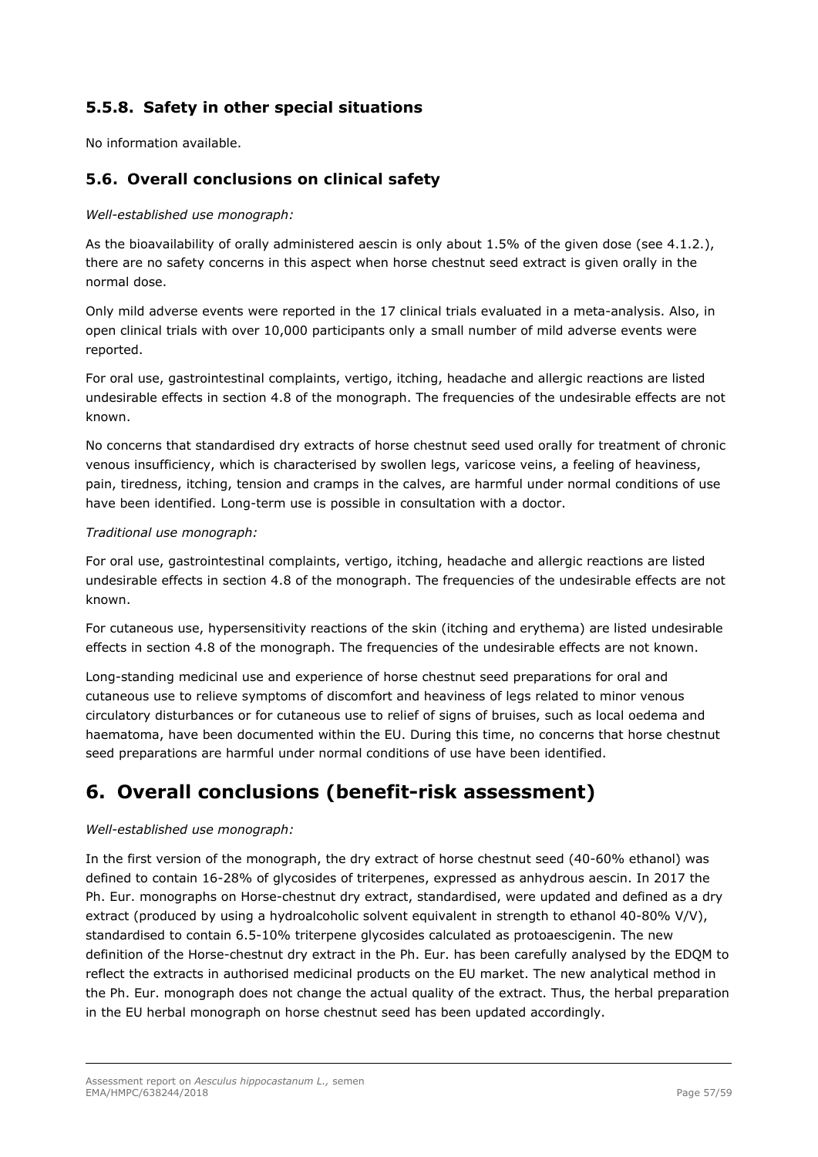# **5.5.8. Safety in other special situations**

No information available.

# *5.6. Overall conclusions on clinical safety*

### *Well-established use monograph:*

As the bioavailability of orally administered aescin is only about 1.5% of the given dose (see 4.1.2.), there are no safety concerns in this aspect when horse chestnut seed extract is given orally in the normal dose.

Only mild adverse events were reported in the 17 clinical trials evaluated in a meta-analysis. Also, in open clinical trials with over 10,000 participants only a small number of mild adverse events were reported.

For oral use, gastrointestinal complaints, vertigo, itching, headache and allergic reactions are listed undesirable effects in section 4.8 of the monograph. The frequencies of the undesirable effects are not known.

No concerns that standardised dry extracts of horse chestnut seed used orally for treatment of chronic venous insufficiency, which is characterised by swollen legs, varicose veins, a feeling of heaviness, pain, tiredness, itching, tension and cramps in the calves, are harmful under normal conditions of use have been identified. Long-term use is possible in consultation with a doctor.

### *Traditional use monograph:*

For oral use, gastrointestinal complaints, vertigo, itching, headache and allergic reactions are listed undesirable effects in section 4.8 of the monograph. The frequencies of the undesirable effects are not known.

For cutaneous use, hypersensitivity reactions of the skin (itching and erythema) are listed undesirable effects in section 4.8 of the monograph. The frequencies of the undesirable effects are not known.

Long-standing medicinal use and experience of horse chestnut seed preparations for oral and cutaneous use to relieve symptoms of discomfort and heaviness of legs related to minor venous circulatory disturbances or for cutaneous use to relief of signs of bruises, such as local oedema and haematoma, have been documented within the EU. During this time, no concerns that horse chestnut seed preparations are harmful under normal conditions of use have been identified.

# **6. Overall conclusions (benefit-risk assessment)**

#### *Well-established use monograph:*

In the first version of the monograph, the dry extract of horse chestnut seed (40-60% ethanol) was defined to contain 16-28% of glycosides of triterpenes, expressed as anhydrous aescin. In 2017 the Ph. Eur. monographs on Horse-chestnut dry extract, standardised, were updated and defined as a dry extract (produced by using a hydroalcoholic solvent equivalent in strength to ethanol 40-80% V/V), standardised to contain 6.5-10% triterpene glycosides calculated as protoaescigenin. The new definition of the Horse-chestnut dry extract in the Ph. Eur. has been carefully analysed by the EDQM to reflect the extracts in authorised medicinal products on the EU market. The new analytical method in the Ph. Eur. monograph does not change the actual quality of the extract. Thus, the herbal preparation in the EU herbal monograph on horse chestnut seed has been updated accordingly.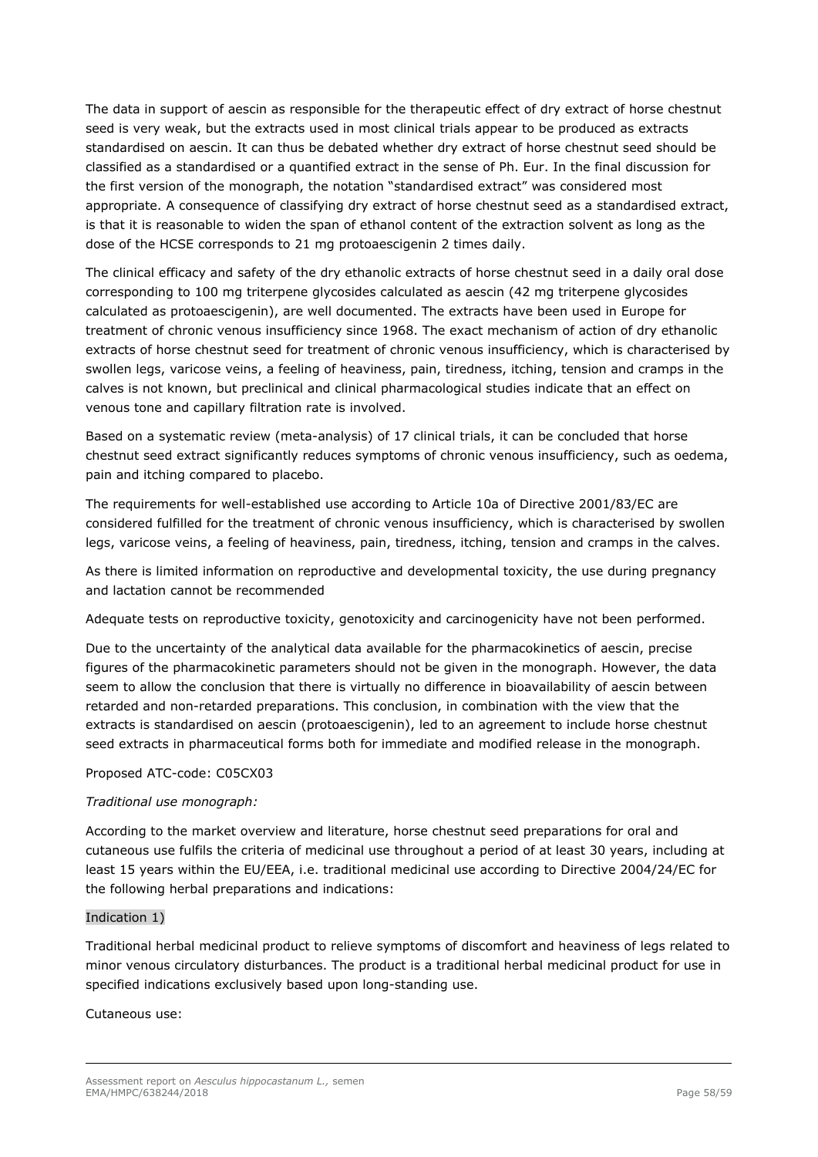The data in support of aescin as responsible for the therapeutic effect of dry extract of horse chestnut seed is very weak, but the extracts used in most clinical trials appear to be produced as extracts standardised on aescin. It can thus be debated whether dry extract of horse chestnut seed should be classified as a standardised or a quantified extract in the sense of Ph. Eur. In the final discussion for the first version of the monograph, the notation "standardised extract" was considered most appropriate. A consequence of classifying dry extract of horse chestnut seed as a standardised extract, is that it is reasonable to widen the span of ethanol content of the extraction solvent as long as the dose of the HCSE corresponds to 21 mg protoaescigenin 2 times daily.

The clinical efficacy and safety of the dry ethanolic extracts of horse chestnut seed in a daily oral dose corresponding to 100 mg triterpene glycosides calculated as aescin (42 mg triterpene glycosides calculated as protoaescigenin), are well documented. The extracts have been used in Europe for treatment of chronic venous insufficiency since 1968. The exact mechanism of action of dry ethanolic extracts of horse chestnut seed for treatment of chronic venous insufficiency, which is characterised by swollen legs, varicose veins, a feeling of heaviness, pain, tiredness, itching, tension and cramps in the calves is not known, but preclinical and clinical pharmacological studies indicate that an effect on venous tone and capillary filtration rate is involved.

Based on a systematic review (meta-analysis) of 17 clinical trials, it can be concluded that horse chestnut seed extract significantly reduces symptoms of chronic venous insufficiency, such as oedema, pain and itching compared to placebo.

The requirements for well-established use according to Article 10a of Directive 2001/83/EC are considered fulfilled for the treatment of chronic venous insufficiency, which is characterised by swollen legs, varicose veins, a feeling of heaviness, pain, tiredness, itching, tension and cramps in the calves.

As there is limited information on reproductive and developmental toxicity, the use during pregnancy and lactation cannot be recommended

Adequate tests on reproductive toxicity, genotoxicity and carcinogenicity have not been performed.

Due to the uncertainty of the analytical data available for the pharmacokinetics of aescin, precise figures of the pharmacokinetic parameters should not be given in the monograph. However, the data seem to allow the conclusion that there is virtually no difference in bioavailability of aescin between retarded and non-retarded preparations. This conclusion, in combination with the view that the extracts is standardised on aescin (protoaescigenin), led to an agreement to include horse chestnut seed extracts in pharmaceutical forms both for immediate and modified release in the monograph.

#### Proposed ATC-code: C05CX03

### *Traditional use monograph:*

According to the market overview and literature, horse chestnut seed preparations for oral and cutaneous use fulfils the criteria of medicinal use throughout a period of at least 30 years, including at least 15 years within the EU/EEA, i.e. traditional medicinal use according to Directive 2004/24/EC for the following herbal preparations and indications:

#### Indication 1)

Traditional herbal medicinal product to relieve symptoms of discomfort and heaviness of legs related to minor venous circulatory disturbances. The product is a traditional herbal medicinal product for use in specified indications exclusively based upon long-standing use.

#### Cutaneous use: